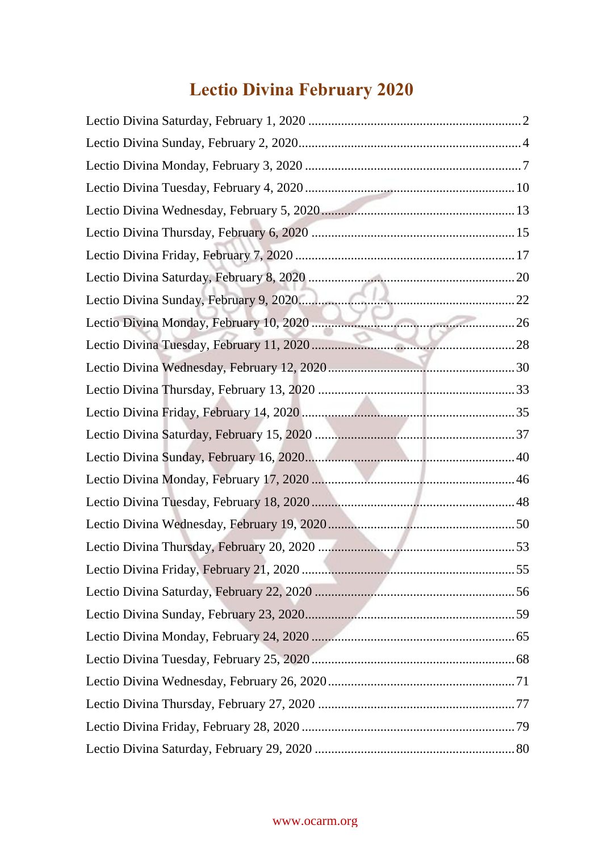# **Lectio Divina February 2020**

#### www.ocarm.org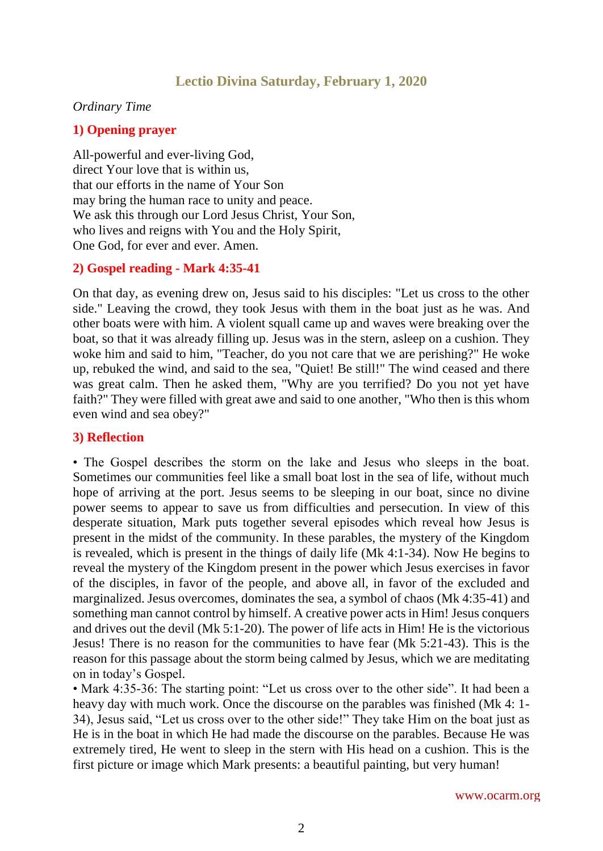# <span id="page-1-0"></span>**Lectio Divina Saturday, February 1, 2020**

#### *Ordinary Time*

### **1) Opening prayer**

All-powerful and ever-living God, direct Your love that is within us, that our efforts in the name of Your Son may bring the human race to unity and peace. We ask this through our Lord Jesus Christ, Your Son, who lives and reigns with You and the Holy Spirit, One God, for ever and ever. Amen.

### **2) Gospel reading - Mark 4:35-41**

On that day, as evening drew on, Jesus said to his disciples: "Let us cross to the other side." Leaving the crowd, they took Jesus with them in the boat just as he was. And other boats were with him. A violent squall came up and waves were breaking over the boat, so that it was already filling up. Jesus was in the stern, asleep on a cushion. They woke him and said to him, "Teacher, do you not care that we are perishing?" He woke up, rebuked the wind, and said to the sea, "Quiet! Be still!" The wind ceased and there was great calm. Then he asked them, "Why are you terrified? Do you not yet have faith?" They were filled with great awe and said to one another, "Who then is this whom even wind and sea obey?"

### **3) Reflection**

• The Gospel describes the storm on the lake and Jesus who sleeps in the boat. Sometimes our communities feel like a small boat lost in the sea of life, without much hope of arriving at the port. Jesus seems to be sleeping in our boat, since no divine power seems to appear to save us from difficulties and persecution. In view of this desperate situation, Mark puts together several episodes which reveal how Jesus is present in the midst of the community. In these parables, the mystery of the Kingdom is revealed, which is present in the things of daily life (Mk 4:1-34). Now He begins to reveal the mystery of the Kingdom present in the power which Jesus exercises in favor of the disciples, in favor of the people, and above all, in favor of the excluded and marginalized. Jesus overcomes, dominates the sea, a symbol of chaos (Mk 4:35-41) and something man cannot control by himself. A creative power acts in Him! Jesus conquers and drives out the devil (Mk 5:1-20). The power of life acts in Him! He is the victorious Jesus! There is no reason for the communities to have fear (Mk 5:21-43). This is the reason for this passage about the storm being calmed by Jesus, which we are meditating on in today's Gospel.

• Mark 4:35-36: The starting point: "Let us cross over to the other side". It had been a heavy day with much work. Once the discourse on the parables was finished (Mk 4: 1- 34), Jesus said, "Let us cross over to the other side!" They take Him on the boat just as He is in the boat in which He had made the discourse on the parables. Because He was extremely tired, He went to sleep in the stern with His head on a cushion. This is the first picture or image which Mark presents: a beautiful painting, but very human!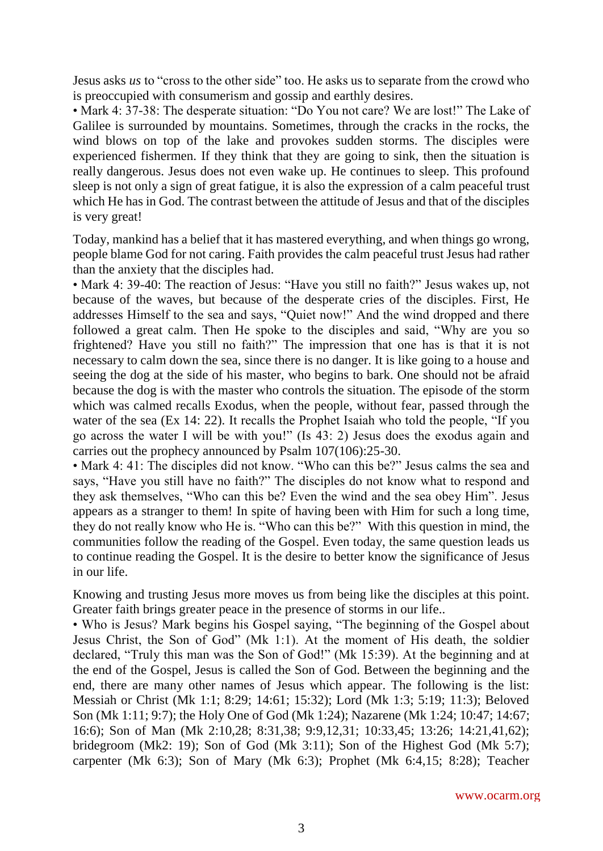Jesus asks *us* to "cross to the other side" too. He asks us to separate from the crowd who is preoccupied with consumerism and gossip and earthly desires.

• Mark 4: 37-38: The desperate situation: "Do You not care? We are lost!" The Lake of Galilee is surrounded by mountains. Sometimes, through the cracks in the rocks, the wind blows on top of the lake and provokes sudden storms. The disciples were experienced fishermen. If they think that they are going to sink, then the situation is really dangerous. Jesus does not even wake up. He continues to sleep. This profound sleep is not only a sign of great fatigue, it is also the expression of a calm peaceful trust which He has in God. The contrast between the attitude of Jesus and that of the disciples is very great!

Today, mankind has a belief that it has mastered everything, and when things go wrong, people blame God for not caring. Faith provides the calm peaceful trust Jesus had rather than the anxiety that the disciples had.

• Mark 4: 39-40: The reaction of Jesus: "Have you still no faith?" Jesus wakes up, not because of the waves, but because of the desperate cries of the disciples. First, He addresses Himself to the sea and says, "Quiet now!" And the wind dropped and there followed a great calm. Then He spoke to the disciples and said, "Why are you so frightened? Have you still no faith?" The impression that one has is that it is not necessary to calm down the sea, since there is no danger. It is like going to a house and seeing the dog at the side of his master, who begins to bark. One should not be afraid because the dog is with the master who controls the situation. The episode of the storm which was calmed recalls Exodus, when the people, without fear, passed through the water of the sea (Ex 14: 22). It recalls the Prophet Isaiah who told the people, "If you go across the water I will be with you!" (Is 43: 2) Jesus does the exodus again and carries out the prophecy announced by Psalm 107(106):25-30.

• Mark 4: 41: The disciples did not know. "Who can this be?" Jesus calms the sea and says, "Have you still have no faith?" The disciples do not know what to respond and they ask themselves, "Who can this be? Even the wind and the sea obey Him". Jesus appears as a stranger to them! In spite of having been with Him for such a long time, they do not really know who He is. "Who can this be?" With this question in mind, the communities follow the reading of the Gospel. Even today, the same question leads us to continue reading the Gospel. It is the desire to better know the significance of Jesus in our life.

Knowing and trusting Jesus more moves us from being like the disciples at this point. Greater faith brings greater peace in the presence of storms in our life..

• Who is Jesus? Mark begins his Gospel saying, "The beginning of the Gospel about Jesus Christ, the Son of God" (Mk 1:1). At the moment of His death, the soldier declared, "Truly this man was the Son of God!" (Mk 15:39). At the beginning and at the end of the Gospel, Jesus is called the Son of God. Between the beginning and the end, there are many other names of Jesus which appear. The following is the list: Messiah or Christ (Mk 1:1; 8:29; 14:61; 15:32); Lord (Mk 1:3; 5:19; 11:3); Beloved Son (Mk 1:11; 9:7); the Holy One of God (Mk 1:24); Nazarene (Mk 1:24; 10:47; 14:67; 16:6); Son of Man (Mk 2:10,28; 8:31,38; 9:9,12,31; 10:33,45; 13:26; 14:21,41,62); bridegroom (Mk2: 19); Son of God (Mk 3:11); Son of the Highest God (Mk 5:7); carpenter (Mk 6:3); Son of Mary (Mk 6:3); Prophet (Mk 6:4,15; 8:28); Teacher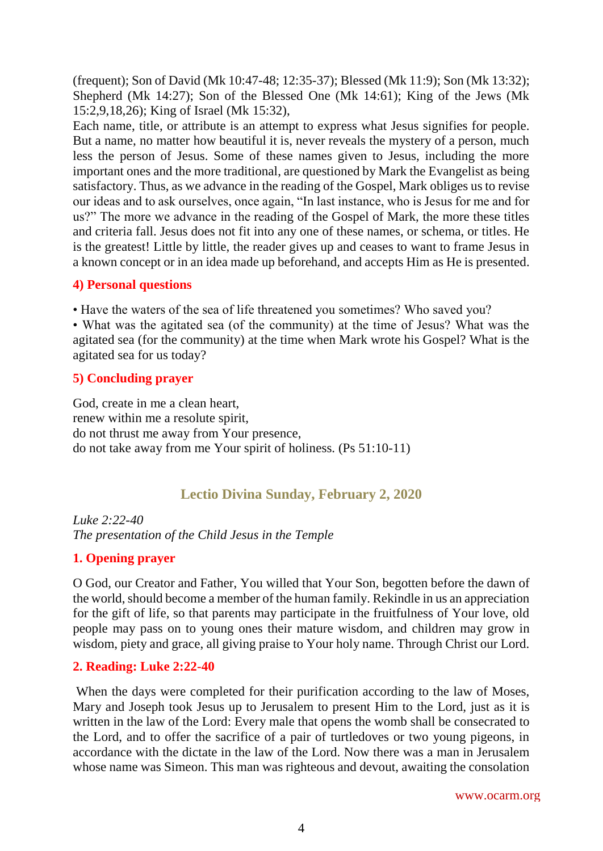(frequent); Son of David (Mk 10:47-48; 12:35-37); Blessed (Mk 11:9); Son (Mk 13:32); Shepherd (Mk 14:27); Son of the Blessed One (Mk 14:61); King of the Jews (Mk 15:2,9,18,26); King of Israel (Mk 15:32),

Each name, title, or attribute is an attempt to express what Jesus signifies for people. But a name, no matter how beautiful it is, never reveals the mystery of a person, much less the person of Jesus. Some of these names given to Jesus, including the more important ones and the more traditional, are questioned by Mark the Evangelist as being satisfactory. Thus, as we advance in the reading of the Gospel, Mark obliges us to revise our ideas and to ask ourselves, once again, "In last instance, who is Jesus for me and for us?" The more we advance in the reading of the Gospel of Mark, the more these titles and criteria fall. Jesus does not fit into any one of these names, or schema, or titles. He is the greatest! Little by little, the reader gives up and ceases to want to frame Jesus in a known concept or in an idea made up beforehand, and accepts Him as He is presented.

#### **4) Personal questions**

• Have the waters of the sea of life threatened you sometimes? Who saved you?

• What was the agitated sea (of the community) at the time of Jesus? What was the agitated sea (for the community) at the time when Mark wrote his Gospel? What is the agitated sea for us today?

### **5) Concluding prayer**

God, create in me a clean heart, renew within me a resolute spirit, do not thrust me away from Your presence, do not take away from me Your spirit of holiness. (Ps 51:10-11)

# **Lectio Divina Sunday, February 2, 2020**

<span id="page-3-0"></span>*Luke 2:22-40 The presentation of the Child Jesus in the Temple*

# **1. Opening prayer**

O God, our Creator and Father, You willed that Your Son, begotten before the dawn of the world, should become a member of the human family. Rekindle in us an appreciation for the gift of life, so that parents may participate in the fruitfulness of Your love, old people may pass on to young ones their mature wisdom, and children may grow in wisdom, piety and grace, all giving praise to Your holy name. Through Christ our Lord.

### **2. Reading: Luke 2:22-40**

When the days were completed for their purification according to the law of Moses, Mary and Joseph took Jesus up to Jerusalem to present Him to the Lord, just as it is written in the law of the Lord: Every male that opens the womb shall be consecrated to the Lord, and to offer the sacrifice of a pair of turtledoves or two young pigeons, in accordance with the dictate in the law of the Lord. Now there was a man in Jerusalem whose name was Simeon. This man was righteous and devout, awaiting the consolation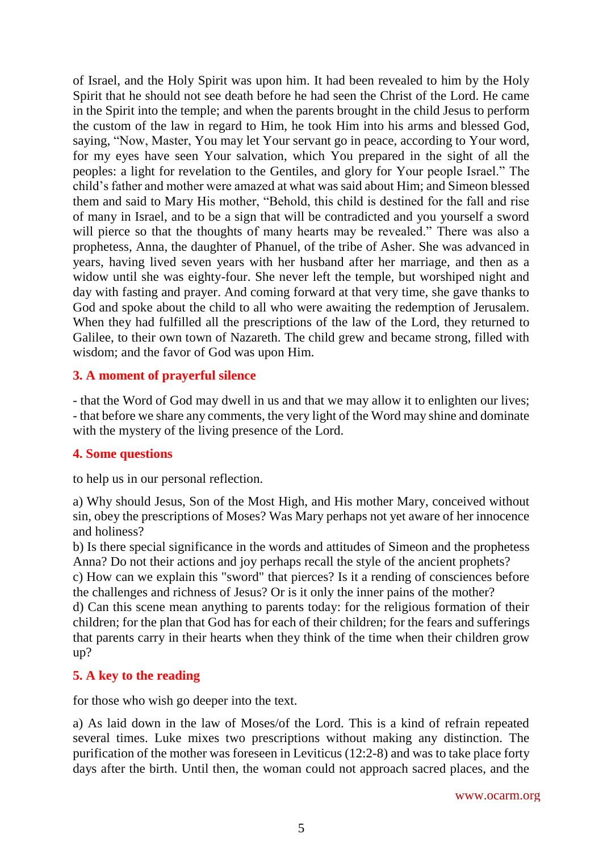of Israel, and the Holy Spirit was upon him. It had been revealed to him by the Holy Spirit that he should not see death before he had seen the Christ of the Lord. He came in the Spirit into the temple; and when the parents brought in the child Jesus to perform the custom of the law in regard to Him, he took Him into his arms and blessed God, saying, "Now, Master, You may let Your servant go in peace, according to Your word, for my eyes have seen Your salvation, which You prepared in the sight of all the peoples: a light for revelation to the Gentiles, and glory for Your people Israel." The child's father and mother were amazed at what was said about Him; and Simeon blessed them and said to Mary His mother, "Behold, this child is destined for the fall and rise of many in Israel, and to be a sign that will be contradicted and you yourself a sword will pierce so that the thoughts of many hearts may be revealed." There was also a prophetess, Anna, the daughter of Phanuel, of the tribe of Asher. She was advanced in years, having lived seven years with her husband after her marriage, and then as a widow until she was eighty-four. She never left the temple, but worshiped night and day with fasting and prayer. And coming forward at that very time, she gave thanks to God and spoke about the child to all who were awaiting the redemption of Jerusalem. When they had fulfilled all the prescriptions of the law of the Lord, they returned to Galilee, to their own town of Nazareth. The child grew and became strong, filled with wisdom; and the favor of God was upon Him.

# **3. A moment of prayerful silence**

- that the Word of God may dwell in us and that we may allow it to enlighten our lives; - that before we share any comments, the very light of the Word may shine and dominate with the mystery of the living presence of the Lord.

# **4. Some questions**

to help us in our personal reflection.

a) Why should Jesus, Son of the Most High, and His mother Mary, conceived without sin, obey the prescriptions of Moses? Was Mary perhaps not yet aware of her innocence and holiness?

b) Is there special significance in the words and attitudes of Simeon and the prophetess Anna? Do not their actions and joy perhaps recall the style of the ancient prophets?

c) How can we explain this "sword" that pierces? Is it a rending of consciences before the challenges and richness of Jesus? Or is it only the inner pains of the mother?

d) Can this scene mean anything to parents today: for the religious formation of their children; for the plan that God has for each of their children; for the fears and sufferings that parents carry in their hearts when they think of the time when their children grow up?

# **5. A key to the reading**

for those who wish go deeper into the text.

a) As laid down in the law of Moses/of the Lord. This is a kind of refrain repeated several times. Luke mixes two prescriptions without making any distinction. The purification of the mother was foreseen in Leviticus (12:2-8) and was to take place forty days after the birth. Until then, the woman could not approach sacred places, and the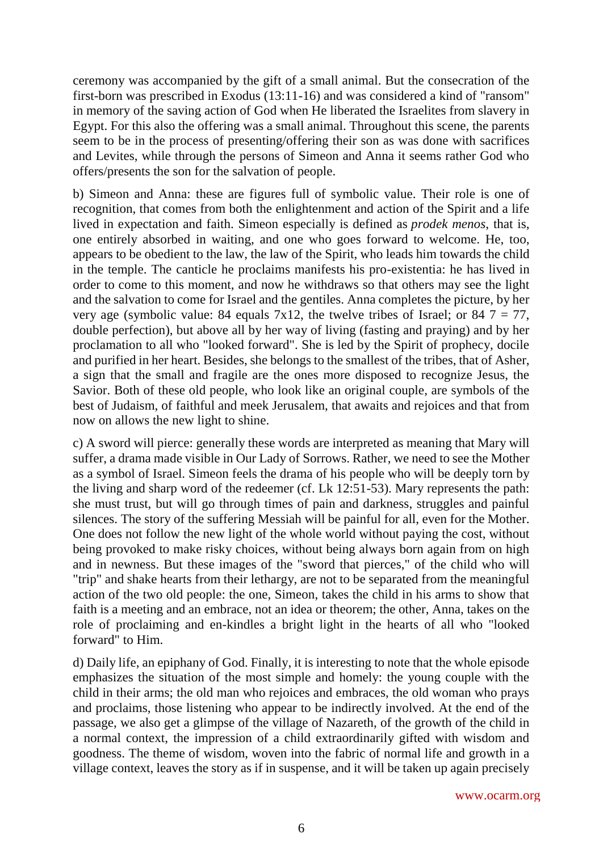ceremony was accompanied by the gift of a small animal. But the consecration of the first-born was prescribed in Exodus (13:11-16) and was considered a kind of "ransom" in memory of the saving action of God when He liberated the Israelites from slavery in Egypt. For this also the offering was a small animal. Throughout this scene, the parents seem to be in the process of presenting/offering their son as was done with sacrifices and Levites, while through the persons of Simeon and Anna it seems rather God who offers/presents the son for the salvation of people.

b) Simeon and Anna: these are figures full of symbolic value. Their role is one of recognition, that comes from both the enlightenment and action of the Spirit and a life lived in expectation and faith. Simeon especially is defined as *prodek menos*, that is, one entirely absorbed in waiting, and one who goes forward to welcome. He, too, appears to be obedient to the law, the law of the Spirit, who leads him towards the child in the temple. The canticle he proclaims manifests his pro-existentia: he has lived in order to come to this moment, and now he withdraws so that others may see the light and the salvation to come for Israel and the gentiles. Anna completes the picture, by her very age (symbolic value: 84 equals 7x12, the twelve tribes of Israel; or 84 7 = 77, double perfection), but above all by her way of living (fasting and praying) and by her proclamation to all who "looked forward". She is led by the Spirit of prophecy, docile and purified in her heart. Besides, she belongs to the smallest of the tribes, that of Asher, a sign that the small and fragile are the ones more disposed to recognize Jesus, the Savior. Both of these old people, who look like an original couple, are symbols of the best of Judaism, of faithful and meek Jerusalem, that awaits and rejoices and that from now on allows the new light to shine.

c) A sword will pierce: generally these words are interpreted as meaning that Mary will suffer, a drama made visible in Our Lady of Sorrows. Rather, we need to see the Mother as a symbol of Israel. Simeon feels the drama of his people who will be deeply torn by the living and sharp word of the redeemer (cf. Lk 12:51-53). Mary represents the path: she must trust, but will go through times of pain and darkness, struggles and painful silences. The story of the suffering Messiah will be painful for all, even for the Mother. One does not follow the new light of the whole world without paying the cost, without being provoked to make risky choices, without being always born again from on high and in newness. But these images of the "sword that pierces," of the child who will "trip" and shake hearts from their lethargy, are not to be separated from the meaningful action of the two old people: the one, Simeon, takes the child in his arms to show that faith is a meeting and an embrace, not an idea or theorem; the other, Anna, takes on the role of proclaiming and en-kindles a bright light in the hearts of all who "looked forward" to Him.

d) Daily life, an epiphany of God. Finally, it is interesting to note that the whole episode emphasizes the situation of the most simple and homely: the young couple with the child in their arms; the old man who rejoices and embraces, the old woman who prays and proclaims, those listening who appear to be indirectly involved. At the end of the passage, we also get a glimpse of the village of Nazareth, of the growth of the child in a normal context, the impression of a child extraordinarily gifted with wisdom and goodness. The theme of wisdom, woven into the fabric of normal life and growth in a village context, leaves the story as if in suspense, and it will be taken up again precisely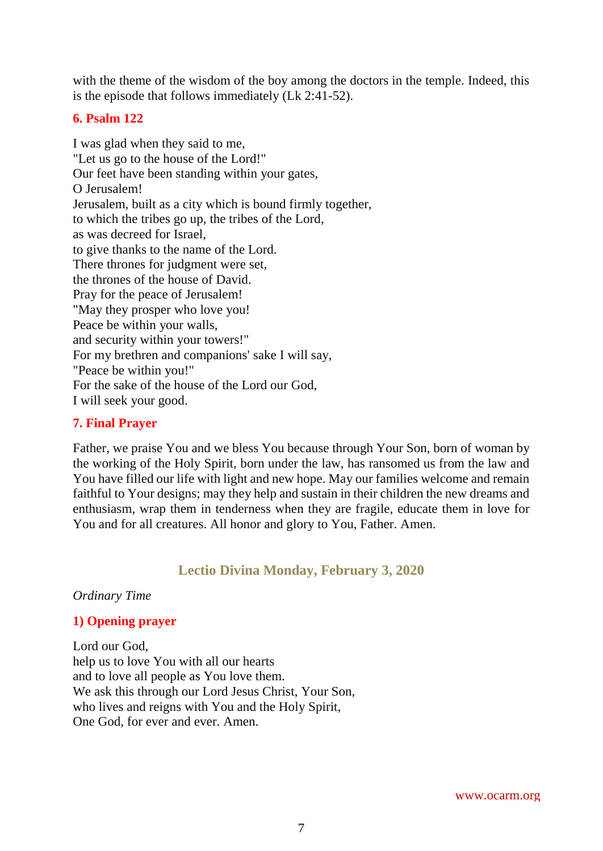with the theme of the wisdom of the boy among the doctors in the temple. Indeed, this is the episode that follows immediately (Lk 2:41-52).

#### **6. Psalm 122**

I was glad when they said to me, "Let us go to the house of the Lord!" Our feet have been standing within your gates, O Jerusalem! Jerusalem, built as a city which is bound firmly together, to which the tribes go up, the tribes of the Lord, as was decreed for Israel, to give thanks to the name of the Lord. There thrones for judgment were set, the thrones of the house of David. Pray for the peace of Jerusalem! "May they prosper who love you! Peace be within your walls, and security within your towers!" For my brethren and companions' sake I will say, "Peace be within you!" For the sake of the house of the Lord our God, I will seek your good.

#### **7. Final Prayer**

Father, we praise You and we bless You because through Your Son, born of woman by the working of the Holy Spirit, born under the law, has ransomed us from the law and You have filled our life with light and new hope. May our families welcome and remain faithful to Your designs; may they help and sustain in their children the new dreams and enthusiasm, wrap them in tenderness when they are fragile, educate them in love for You and for all creatures. All honor and glory to You, Father. Amen.

# **Lectio Divina Monday, February 3, 2020**

<span id="page-6-0"></span>*Ordinary Time*

### **1) Opening prayer**

Lord our God, help us to love You with all our hearts and to love all people as You love them. We ask this through our Lord Jesus Christ, Your Son, who lives and reigns with You and the Holy Spirit, One God, for ever and ever. Amen.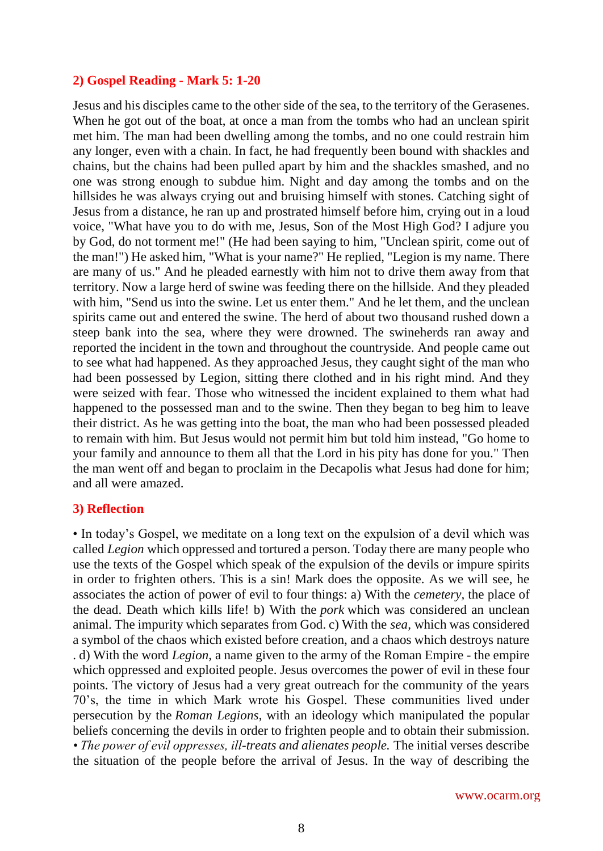### **2) Gospel Reading - Mark 5: 1-20**

Jesus and his disciples came to the other side of the sea, to the territory of the Gerasenes. When he got out of the boat, at once a man from the tombs who had an unclean spirit met him. The man had been dwelling among the tombs, and no one could restrain him any longer, even with a chain. In fact, he had frequently been bound with shackles and chains, but the chains had been pulled apart by him and the shackles smashed, and no one was strong enough to subdue him. Night and day among the tombs and on the hillsides he was always crying out and bruising himself with stones. Catching sight of Jesus from a distance, he ran up and prostrated himself before him, crying out in a loud voice, "What have you to do with me, Jesus, Son of the Most High God? I adjure you by God, do not torment me!" (He had been saying to him, "Unclean spirit, come out of the man!") He asked him, "What is your name?" He replied, "Legion is my name. There are many of us." And he pleaded earnestly with him not to drive them away from that territory. Now a large herd of swine was feeding there on the hillside. And they pleaded with him, "Send us into the swine. Let us enter them." And he let them, and the unclean spirits came out and entered the swine. The herd of about two thousand rushed down a steep bank into the sea, where they were drowned. The swineherds ran away and reported the incident in the town and throughout the countryside. And people came out to see what had happened. As they approached Jesus, they caught sight of the man who had been possessed by Legion, sitting there clothed and in his right mind. And they were seized with fear. Those who witnessed the incident explained to them what had happened to the possessed man and to the swine. Then they began to beg him to leave their district. As he was getting into the boat, the man who had been possessed pleaded to remain with him. But Jesus would not permit him but told him instead, "Go home to your family and announce to them all that the Lord in his pity has done for you." Then the man went off and began to proclaim in the Decapolis what Jesus had done for him; and all were amazed.

### **3) Reflection**

• In today's Gospel, we meditate on a long text on the expulsion of a devil which was called *Legion* which oppressed and tortured a person. Today there are many people who use the texts of the Gospel which speak of the expulsion of the devils or impure spirits in order to frighten others. This is a sin! Mark does the opposite. As we will see, he associates the action of power of evil to four things: a) With the *cemetery,* the place of the dead. Death which kills life! b) With the *pork* which was considered an unclean animal. The impurity which separates from God. c) With the *sea,* which was considered a symbol of the chaos which existed before creation, and a chaos which destroys nature . d) With the word *Legion,* a name given to the army of the Roman Empire - the empire which oppressed and exploited people. Jesus overcomes the power of evil in these four points. The victory of Jesus had a very great outreach for the community of the years 70's, the time in which Mark wrote his Gospel. These communities lived under persecution by the *Roman Legions*, with an ideology which manipulated the popular beliefs concerning the devils in order to frighten people and to obtain their submission. *• The power of evil oppresses, ill-treats and alienates people.* The initial verses describe the situation of the people before the arrival of Jesus. In the way of describing the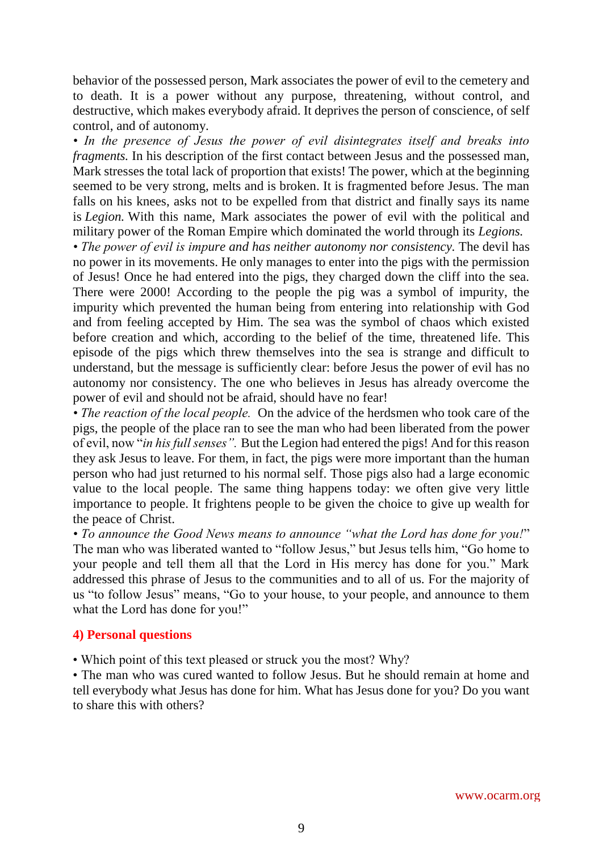behavior of the possessed person, Mark associates the power of evil to the cemetery and to death. It is a power without any purpose, threatening, without control, and destructive, which makes everybody afraid. It deprives the person of conscience, of self control, and of autonomy.

• In the presence of Jesus the power of evil disintegrates itself and breaks into *fragments.* In his description of the first contact between Jesus and the possessed man, Mark stresses the total lack of proportion that exists! The power, which at the beginning seemed to be very strong, melts and is broken. It is fragmented before Jesus. The man falls on his knees, asks not to be expelled from that district and finally says its name is *Legion.* With this name, Mark associates the power of evil with the political and military power of the Roman Empire which dominated the world through its *Legions.*

*• The power of evil is impure and has neither autonomy nor consistency.* The devil has no power in its movements. He only manages to enter into the pigs with the permission of Jesus! Once he had entered into the pigs, they charged down the cliff into the sea. There were 2000! According to the people the pig was a symbol of impurity, the impurity which prevented the human being from entering into relationship with God and from feeling accepted by Him. The sea was the symbol of chaos which existed before creation and which, according to the belief of the time, threatened life. This episode of the pigs which threw themselves into the sea is strange and difficult to understand, but the message is sufficiently clear: before Jesus the power of evil has no autonomy nor consistency. The one who believes in Jesus has already overcome the power of evil and should not be afraid, should have no fear!

*• The reaction of the local people.* On the advice of the herdsmen who took care of the pigs, the people of the place ran to see the man who had been liberated from the power of evil, now "*in his full senses".* But the Legion had entered the pigs! And for this reason they ask Jesus to leave. For them, in fact, the pigs were more important than the human person who had just returned to his normal self. Those pigs also had a large economic value to the local people. The same thing happens today: we often give very little importance to people. It frightens people to be given the choice to give up wealth for the peace of Christ.

*• To announce the Good News means to announce "what the Lord has done for you!*" The man who was liberated wanted to "follow Jesus," but Jesus tells him, "Go home to your people and tell them all that the Lord in His mercy has done for you." Mark addressed this phrase of Jesus to the communities and to all of us. For the majority of us "to follow Jesus" means, "Go to your house, to your people, and announce to them what the Lord has done for you!"

### **4) Personal questions**

• Which point of this text pleased or struck you the most? Why?

• The man who was cured wanted to follow Jesus. But he should remain at home and tell everybody what Jesus has done for him. What has Jesus done for you? Do you want to share this with others?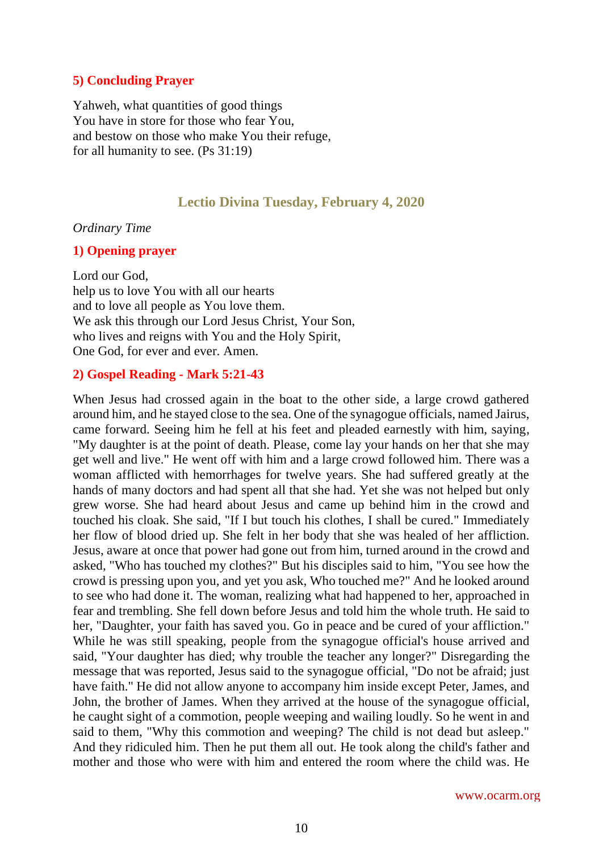### **5) Concluding Prayer**

Yahweh, what quantities of good things You have in store for those who fear You, and bestow on those who make You their refuge, for all humanity to see. (Ps 31:19)

### **Lectio Divina Tuesday, February 4, 2020**

#### <span id="page-9-0"></span>*Ordinary Time*

#### **1) Opening prayer**

Lord our God, help us to love You with all our hearts and to love all people as You love them. We ask this through our Lord Jesus Christ, Your Son, who lives and reigns with You and the Holy Spirit, One God, for ever and ever. Amen.

### **2) Gospel Reading - Mark 5:21-43**

When Jesus had crossed again in the boat to the other side, a large crowd gathered around him, and he stayed close to the sea. One of the synagogue officials, named Jairus, came forward. Seeing him he fell at his feet and pleaded earnestly with him, saying, "My daughter is at the point of death. Please, come lay your hands on her that she may get well and live." He went off with him and a large crowd followed him. There was a woman afflicted with hemorrhages for twelve years. She had suffered greatly at the hands of many doctors and had spent all that she had. Yet she was not helped but only grew worse. She had heard about Jesus and came up behind him in the crowd and touched his cloak. She said, "If I but touch his clothes, I shall be cured." Immediately her flow of blood dried up. She felt in her body that she was healed of her affliction. Jesus, aware at once that power had gone out from him, turned around in the crowd and asked, "Who has touched my clothes?" But his disciples said to him, "You see how the crowd is pressing upon you, and yet you ask, Who touched me?" And he looked around to see who had done it. The woman, realizing what had happened to her, approached in fear and trembling. She fell down before Jesus and told him the whole truth. He said to her, "Daughter, your faith has saved you. Go in peace and be cured of your affliction." While he was still speaking, people from the synagogue official's house arrived and said, "Your daughter has died; why trouble the teacher any longer?" Disregarding the message that was reported, Jesus said to the synagogue official, "Do not be afraid; just have faith." He did not allow anyone to accompany him inside except Peter, James, and John, the brother of James. When they arrived at the house of the synagogue official, he caught sight of a commotion, people weeping and wailing loudly. So he went in and said to them, "Why this commotion and weeping? The child is not dead but asleep." And they ridiculed him. Then he put them all out. He took along the child's father and mother and those who were with him and entered the room where the child was. He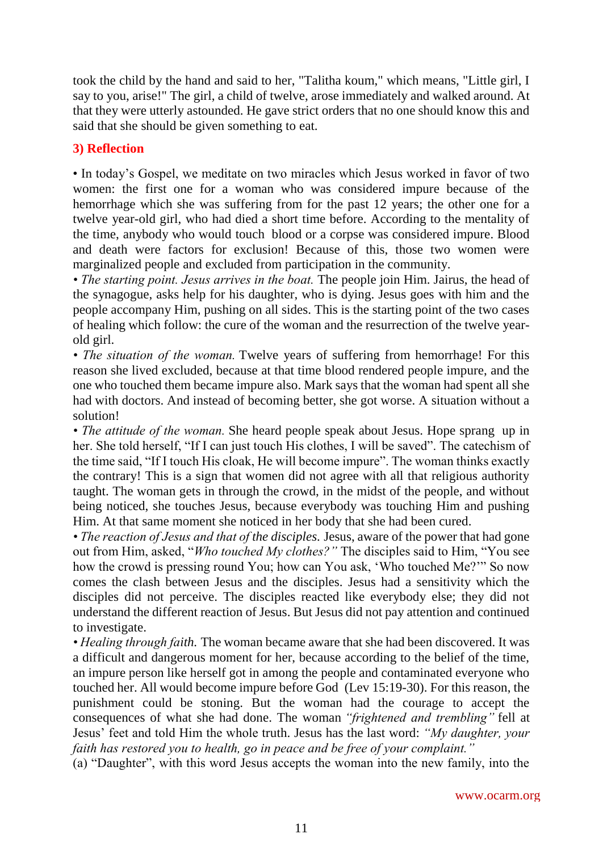took the child by the hand and said to her, "Talitha koum," which means, "Little girl, I say to you, arise!" The girl, a child of twelve, arose immediately and walked around. At that they were utterly astounded. He gave strict orders that no one should know this and said that she should be given something to eat.

# **3) Reflection**

• In today's Gospel, we meditate on two miracles which Jesus worked in favor of two women: the first one for a woman who was considered impure because of the hemorrhage which she was suffering from for the past 12 years; the other one for a twelve year-old girl, who had died a short time before. According to the mentality of the time, anybody who would touch blood or a corpse was considered impure. Blood and death were factors for exclusion! Because of this, those two women were marginalized people and excluded from participation in the community.

*• The starting point. Jesus arrives in the boat.* The people join Him. Jairus, the head of the synagogue, asks help for his daughter, who is dying. Jesus goes with him and the people accompany Him, pushing on all sides. This is the starting point of the two cases of healing which follow: the cure of the woman and the resurrection of the twelve yearold girl.

*• The situation of the woman.* Twelve years of suffering from hemorrhage! For this reason she lived excluded, because at that time blood rendered people impure, and the one who touched them became impure also. Mark says that the woman had spent all she had with doctors. And instead of becoming better, she got worse. A situation without a solution!

*• The attitude of the woman.* She heard people speak about Jesus. Hope sprang up in her. She told herself, "If I can just touch His clothes, I will be saved". The catechism of the time said, "If I touch His cloak, He will become impure". The woman thinks exactly the contrary! This is a sign that women did not agree with all that religious authority taught. The woman gets in through the crowd, in the midst of the people, and without being noticed, she touches Jesus, because everybody was touching Him and pushing Him. At that same moment she noticed in her body that she had been cured.

*• The reaction of Jesus and that of the disciples.* Jesus, aware of the power that had gone out from Him, asked, "*Who touched My clothes?"* The disciples said to Him, "You see how the crowd is pressing round You; how can You ask, 'Who touched Me?'" So now comes the clash between Jesus and the disciples. Jesus had a sensitivity which the disciples did not perceive. The disciples reacted like everybody else; they did not understand the different reaction of Jesus. But Jesus did not pay attention and continued to investigate.

• *Healing through faith*. The woman became aware that she had been discovered. It was a difficult and dangerous moment for her, because according to the belief of the time, an impure person like herself got in among the people and contaminated everyone who touched her. All would become impure before God (Lev 15:19-30). For this reason, the punishment could be stoning. But the woman had the courage to accept the consequences of what she had done. The woman *"frightened and trembling"* fell at Jesus' feet and told Him the whole truth. Jesus has the last word: *"My daughter, your faith has restored you to health, go in peace and be free of your complaint."*

(a) "Daughter", with this word Jesus accepts the woman into the new family, into the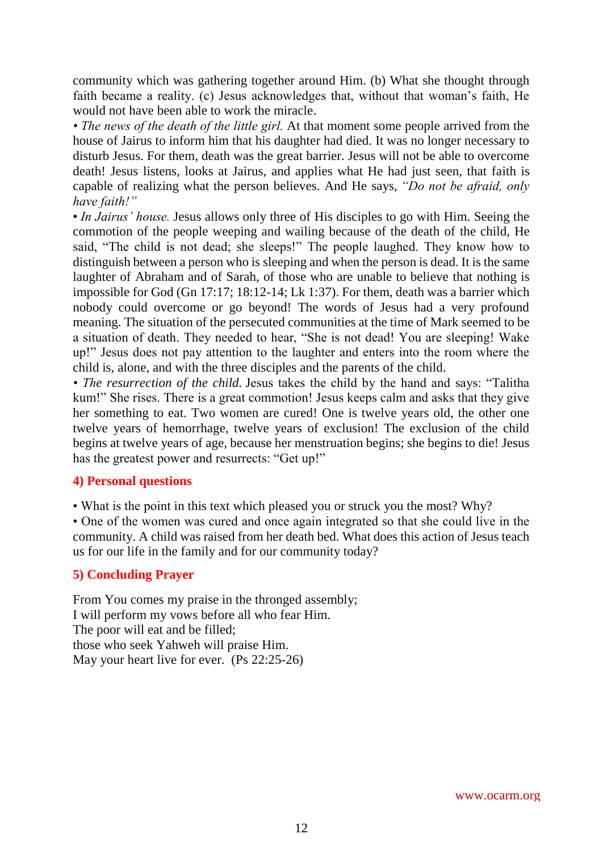community which was gathering together around Him. (b) What she thought through faith became a reality. (c) Jesus acknowledges that, without that woman's faith, He would not have been able to work the miracle.

*• The news of the death of the little girl.* At that moment some people arrived from the house of Jairus to inform him that his daughter had died. It was no longer necessary to disturb Jesus. For them, death was the great barrier. Jesus will not be able to overcome death! Jesus listens, looks at Jairus, and applies what He had just seen, that faith is capable of realizing what the person believes. And He says, *"Do not be afraid, only have faith!"*

• *In Jairus' house*. Jesus allows only three of His disciples to go with Him. Seeing the commotion of the people weeping and wailing because of the death of the child, He said, "The child is not dead; she sleeps!" The people laughed. They know how to distinguish between a person who is sleeping and when the person is dead. It is the same laughter of Abraham and of Sarah, of those who are unable to believe that nothing is impossible for God (Gn 17:17; 18:12-14; Lk 1:37). For them, death was a barrier which nobody could overcome or go beyond! The words of Jesus had a very profound meaning. The situation of the persecuted communities at the time of Mark seemed to be a situation of death. They needed to hear, "She is not dead! You are sleeping! Wake up!" Jesus does not pay attention to the laughter and enters into the room where the child is, alone, and with the three disciples and the parents of the child.

*• The resurrection of the child.* Jesus takes the child by the hand and says: "Talitha kum!" She rises. There is a great commotion! Jesus keeps calm and asks that they give her something to eat. Two women are cured! One is twelve years old, the other one twelve years of hemorrhage, twelve years of exclusion! The exclusion of the child begins at twelve years of age, because her menstruation begins; she begins to die! Jesus has the greatest power and resurrects: "Get up!"

# **4) Personal questions**

• What is the point in this text which pleased you or struck you the most? Why?

• One of the women was cured and once again integrated so that she could live in the community. A child was raised from her death bed. What does this action of Jesus teach us for our life in the family and for our community today?

# **5) Concluding Prayer**

From You comes my praise in the thronged assembly; I will perform my vows before all who fear Him. The poor will eat and be filled; those who seek Yahweh will praise Him. May your heart live for ever. (Ps 22:25-26)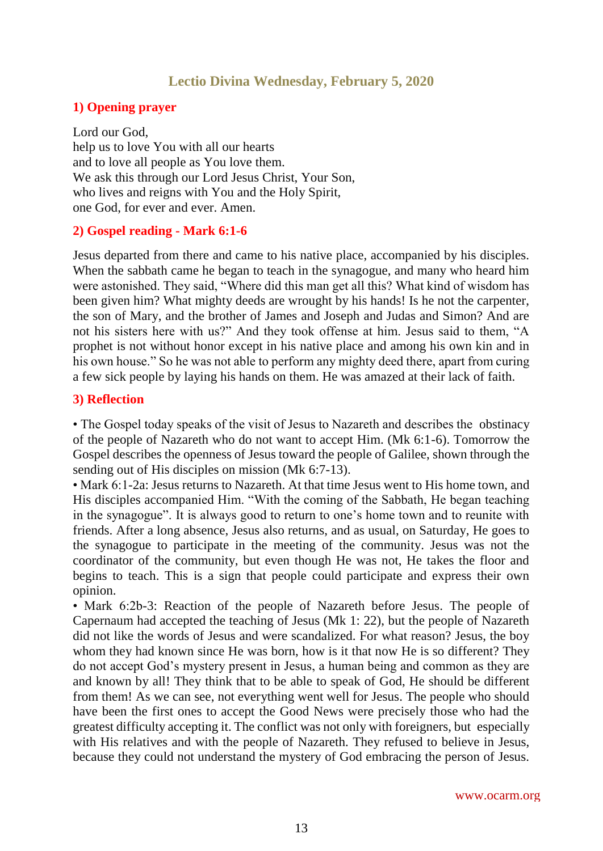# **Lectio Divina Wednesday, February 5, 2020**

### <span id="page-12-0"></span>**1) Opening prayer**

Lord our God, help us to love You with all our hearts and to love all people as You love them. We ask this through our Lord Jesus Christ, Your Son, who lives and reigns with You and the Holy Spirit, one God, for ever and ever. Amen.

### **2) Gospel reading - Mark 6:1-6**

Jesus departed from there and came to his native place, accompanied by his disciples. When the sabbath came he began to teach in the synagogue, and many who heard him were astonished. They said, "Where did this man get all this? What kind of wisdom has been given him? What mighty deeds are wrought by his hands! Is he not the carpenter, the son of Mary, and the brother of James and Joseph and Judas and Simon? And are not his sisters here with us?" And they took offense at him. Jesus said to them, "A prophet is not without honor except in his native place and among his own kin and in his own house." So he was not able to perform any mighty deed there, apart from curing a few sick people by laying his hands on them. He was amazed at their lack of faith.

#### **3) Reflection**

• The Gospel today speaks of the visit of Jesus to Nazareth and describes the obstinacy of the people of Nazareth who do not want to accept Him. (Mk 6:1-6). Tomorrow the Gospel describes the openness of Jesus toward the people of Galilee, shown through the sending out of His disciples on mission (Mk 6:7-13).

• Mark 6:1-2a: Jesus returns to Nazareth. At that time Jesus went to His home town, and His disciples accompanied Him. "With the coming of the Sabbath, He began teaching in the synagogue". It is always good to return to one's home town and to reunite with friends. After a long absence, Jesus also returns, and as usual, on Saturday, He goes to the synagogue to participate in the meeting of the community. Jesus was not the coordinator of the community, but even though He was not, He takes the floor and begins to teach. This is a sign that people could participate and express their own opinion.

• Mark 6:2b-3: Reaction of the people of Nazareth before Jesus. The people of Capernaum had accepted the teaching of Jesus (Mk 1: 22), but the people of Nazareth did not like the words of Jesus and were scandalized. For what reason? Jesus, the boy whom they had known since He was born, how is it that now He is so different? They do not accept God's mystery present in Jesus, a human being and common as they are and known by all! They think that to be able to speak of God, He should be different from them! As we can see, not everything went well for Jesus. The people who should have been the first ones to accept the Good News were precisely those who had the greatest difficulty accepting it. The conflict was not only with foreigners, but especially with His relatives and with the people of Nazareth. They refused to believe in Jesus, because they could not understand the mystery of God embracing the person of Jesus.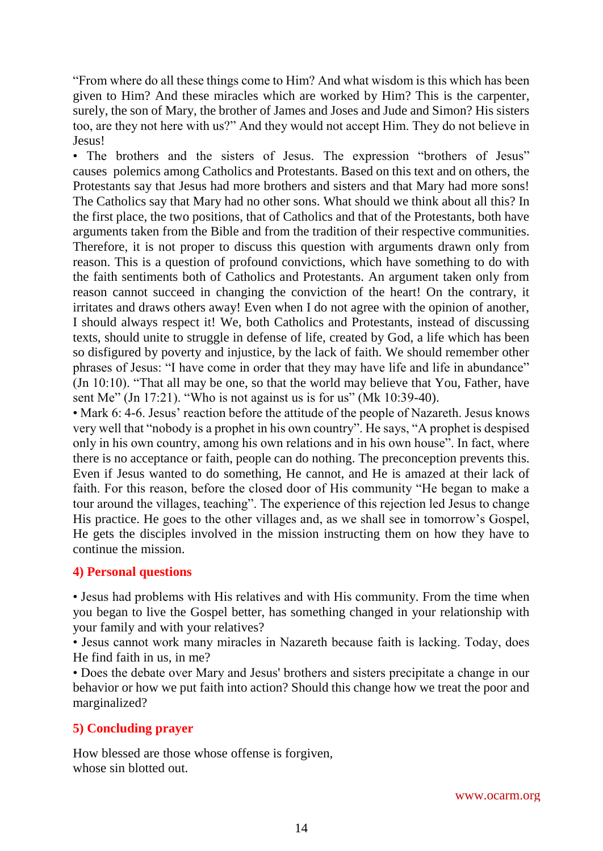"From where do all these things come to Him? And what wisdom is this which has been given to Him? And these miracles which are worked by Him? This is the carpenter, surely, the son of Mary, the brother of James and Joses and Jude and Simon? His sisters too, are they not here with us?" And they would not accept Him. They do not believe in Jesus!

• The brothers and the sisters of Jesus. The expression "brothers of Jesus" causes polemics among Catholics and Protestants. Based on this text and on others, the Protestants say that Jesus had more brothers and sisters and that Mary had more sons! The Catholics say that Mary had no other sons. What should we think about all this? In the first place, the two positions, that of Catholics and that of the Protestants, both have arguments taken from the Bible and from the tradition of their respective communities. Therefore, it is not proper to discuss this question with arguments drawn only from reason. This is a question of profound convictions, which have something to do with the faith sentiments both of Catholics and Protestants. An argument taken only from reason cannot succeed in changing the conviction of the heart! On the contrary, it irritates and draws others away! Even when I do not agree with the opinion of another, I should always respect it! We, both Catholics and Protestants, instead of discussing texts, should unite to struggle in defense of life, created by God, a life which has been so disfigured by poverty and injustice, by the lack of faith. We should remember other phrases of Jesus: "I have come in order that they may have life and life in abundance" (Jn 10:10). "That all may be one, so that the world may believe that You, Father, have sent Me" (Jn 17:21). "Who is not against us is for us" (Mk 10:39-40).

• Mark 6: 4-6. Jesus' reaction before the attitude of the people of Nazareth. Jesus knows very well that "nobody is a prophet in his own country". He says, "A prophet is despised only in his own country, among his own relations and in his own house". In fact, where there is no acceptance or faith, people can do nothing. The preconception prevents this. Even if Jesus wanted to do something, He cannot, and He is amazed at their lack of faith. For this reason, before the closed door of His community "He began to make a tour around the villages, teaching". The experience of this rejection led Jesus to change His practice. He goes to the other villages and, as we shall see in tomorrow's Gospel, He gets the disciples involved in the mission instructing them on how they have to continue the mission.

# **4) Personal questions**

• Jesus had problems with His relatives and with His community. From the time when you began to live the Gospel better, has something changed in your relationship with your family and with your relatives?

• Jesus cannot work many miracles in Nazareth because faith is lacking. Today, does He find faith in us, in me?

• Does the debate over Mary and Jesus' brothers and sisters precipitate a change in our behavior or how we put faith into action? Should this change how we treat the poor and marginalized?

# **5) Concluding prayer**

How blessed are those whose offense is forgiven, whose sin blotted out.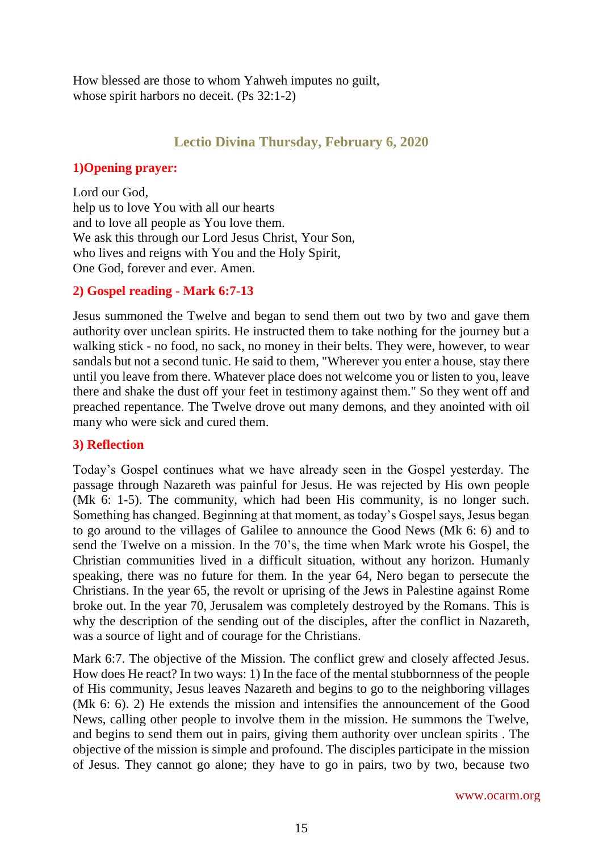How blessed are those to whom Yahweh imputes no guilt, whose spirit harbors no deceit. (Ps 32:1-2)

# **Lectio Divina Thursday, February 6, 2020**

### <span id="page-14-0"></span>**1)Opening prayer:**

Lord our God, help us to love You with all our hearts and to love all people as You love them. We ask this through our Lord Jesus Christ, Your Son, who lives and reigns with You and the Holy Spirit, One God, forever and ever. Amen.

# **2) Gospel reading - Mark 6:7-13**

Jesus summoned the Twelve and began to send them out two by two and gave them authority over unclean spirits. He instructed them to take nothing for the journey but a walking stick - no food, no sack, no money in their belts. They were, however, to wear sandals but not a second tunic. He said to them, "Wherever you enter a house, stay there until you leave from there. Whatever place does not welcome you or listen to you, leave there and shake the dust off your feet in testimony against them." So they went off and preached repentance. The Twelve drove out many demons, and they anointed with oil many who were sick and cured them.

# **3) Reflection**

Today's Gospel continues what we have already seen in the Gospel yesterday. The passage through Nazareth was painful for Jesus. He was rejected by His own people (Mk 6: 1-5). The community, which had been His community, is no longer such. Something has changed. Beginning at that moment, as today's Gospel says, Jesus began to go around to the villages of Galilee to announce the Good News (Mk 6: 6) and to send the Twelve on a mission. In the 70's, the time when Mark wrote his Gospel, the Christian communities lived in a difficult situation, without any horizon. Humanly speaking, there was no future for them. In the year 64, Nero began to persecute the Christians. In the year 65, the revolt or uprising of the Jews in Palestine against Rome broke out. In the year 70, Jerusalem was completely destroyed by the Romans. This is why the description of the sending out of the disciples, after the conflict in Nazareth, was a source of light and of courage for the Christians.

Mark 6:7. The objective of the Mission. The conflict grew and closely affected Jesus. How does He react? In two ways: 1) In the face of the mental stubbornness of the people of His community, Jesus leaves Nazareth and begins to go to the neighboring villages (Mk 6: 6). 2) He extends the mission and intensifies the announcement of the Good News, calling other people to involve them in the mission. He summons the Twelve, and begins to send them out in pairs, giving them authority over unclean spirits . The objective of the mission is simple and profound. The disciples participate in the mission of Jesus. They cannot go alone; they have to go in pairs, two by two, because two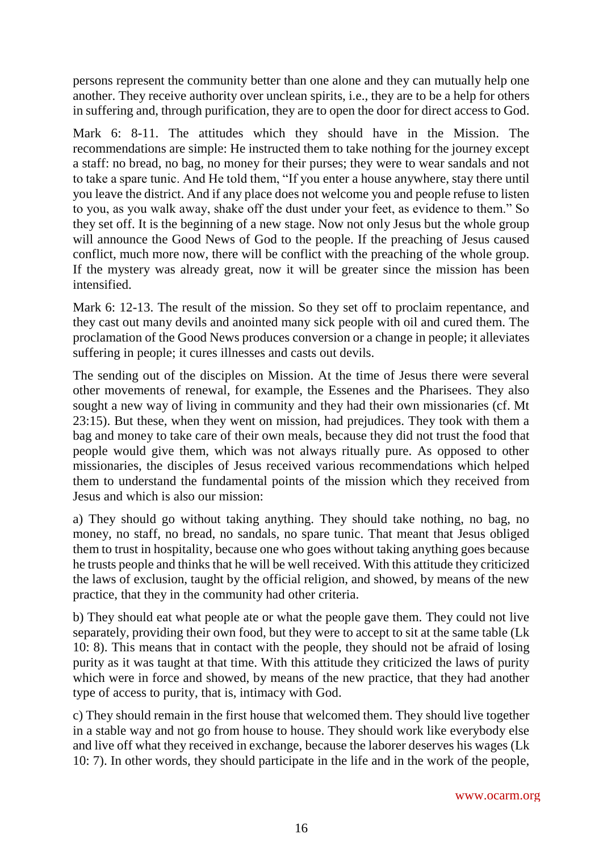persons represent the community better than one alone and they can mutually help one another. They receive authority over unclean spirits, i.e., they are to be a help for others in suffering and, through purification, they are to open the door for direct access to God.

Mark 6: 8-11. The attitudes which they should have in the Mission. The recommendations are simple: He instructed them to take nothing for the journey except a staff: no bread, no bag, no money for their purses; they were to wear sandals and not to take a spare tunic. And He told them, "If you enter a house anywhere, stay there until you leave the district. And if any place does not welcome you and people refuse to listen to you, as you walk away, shake off the dust under your feet, as evidence to them." So they set off. It is the beginning of a new stage. Now not only Jesus but the whole group will announce the Good News of God to the people. If the preaching of Jesus caused conflict, much more now, there will be conflict with the preaching of the whole group. If the mystery was already great, now it will be greater since the mission has been intensified.

Mark 6: 12-13. The result of the mission. So they set off to proclaim repentance, and they cast out many devils and anointed many sick people with oil and cured them. The proclamation of the Good News produces conversion or a change in people; it alleviates suffering in people; it cures illnesses and casts out devils.

The sending out of the disciples on Mission. At the time of Jesus there were several other movements of renewal, for example, the Essenes and the Pharisees. They also sought a new way of living in community and they had their own missionaries (cf. Mt 23:15). But these, when they went on mission, had prejudices. They took with them a bag and money to take care of their own meals, because they did not trust the food that people would give them, which was not always ritually pure. As opposed to other missionaries, the disciples of Jesus received various recommendations which helped them to understand the fundamental points of the mission which they received from Jesus and which is also our mission:

a) They should go without taking anything. They should take nothing, no bag, no money, no staff, no bread, no sandals, no spare tunic. That meant that Jesus obliged them to trust in hospitality, because one who goes without taking anything goes because he trusts people and thinks that he will be well received. With this attitude they criticized the laws of exclusion, taught by the official religion, and showed, by means of the new practice, that they in the community had other criteria.

b) They should eat what people ate or what the people gave them. They could not live separately, providing their own food, but they were to accept to sit at the same table (Lk 10: 8). This means that in contact with the people, they should not be afraid of losing purity as it was taught at that time. With this attitude they criticized the laws of purity which were in force and showed, by means of the new practice, that they had another type of access to purity, that is, intimacy with God.

c) They should remain in the first house that welcomed them. They should live together in a stable way and not go from house to house. They should work like everybody else and live off what they received in exchange, because the laborer deserves his wages (Lk 10: 7). In other words, they should participate in the life and in the work of the people,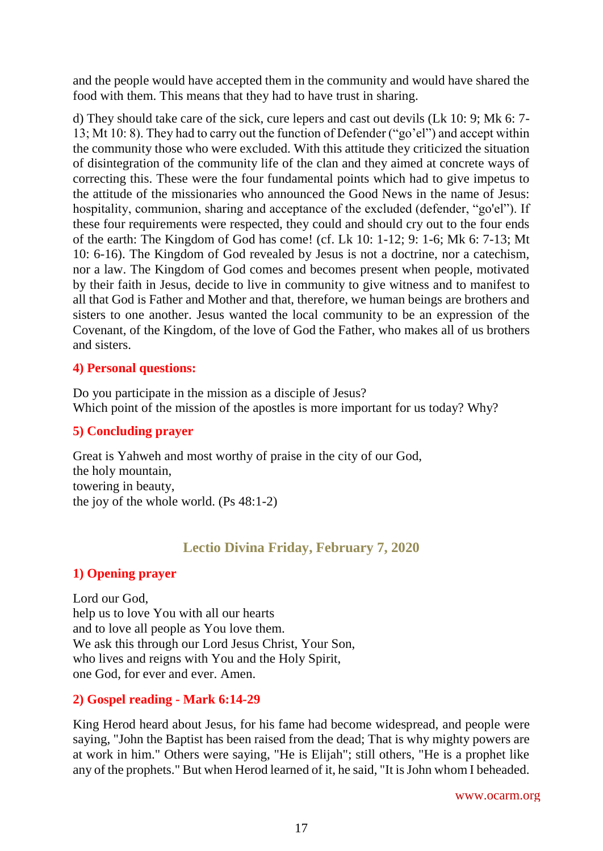and the people would have accepted them in the community and would have shared the food with them. This means that they had to have trust in sharing.

d) They should take care of the sick, cure lepers and cast out devils (Lk 10: 9; Mk 6: 7- 13; Mt 10: 8). They had to carry out the function of Defender ("go'el") and accept within the community those who were excluded. With this attitude they criticized the situation of disintegration of the community life of the clan and they aimed at concrete ways of correcting this. These were the four fundamental points which had to give impetus to the attitude of the missionaries who announced the Good News in the name of Jesus: hospitality, communion, sharing and acceptance of the excluded (defender, "go'el"). If these four requirements were respected, they could and should cry out to the four ends of the earth: The Kingdom of God has come! (cf. Lk 10: 1-12; 9: 1-6; Mk 6: 7-13; Mt 10: 6-16). The Kingdom of God revealed by Jesus is not a doctrine, nor a catechism, nor a law. The Kingdom of God comes and becomes present when people, motivated by their faith in Jesus, decide to live in community to give witness and to manifest to all that God is Father and Mother and that, therefore, we human beings are brothers and sisters to one another. Jesus wanted the local community to be an expression of the Covenant, of the Kingdom, of the love of God the Father, who makes all of us brothers and sisters.

# **4) Personal questions:**

Do you participate in the mission as a disciple of Jesus? Which point of the mission of the apostles is more important for us today? Why?

# **5) Concluding prayer**

Great is Yahweh and most worthy of praise in the city of our God, the holy mountain, towering in beauty, the joy of the whole world. (Ps 48:1-2)

# **Lectio Divina Friday, February 7, 2020**

# <span id="page-16-0"></span>**1) Opening prayer**

Lord our God, help us to love You with all our hearts and to love all people as You love them. We ask this through our Lord Jesus Christ, Your Son, who lives and reigns with You and the Holy Spirit, one God, for ever and ever. Amen.

# **2) Gospel reading - Mark 6:14-29**

King Herod heard about Jesus, for his fame had become widespread, and people were saying, "John the Baptist has been raised from the dead; That is why mighty powers are at work in him." Others were saying, "He is Elijah"; still others, "He is a prophet like any of the prophets." But when Herod learned of it, he said, "It is John whom I beheaded.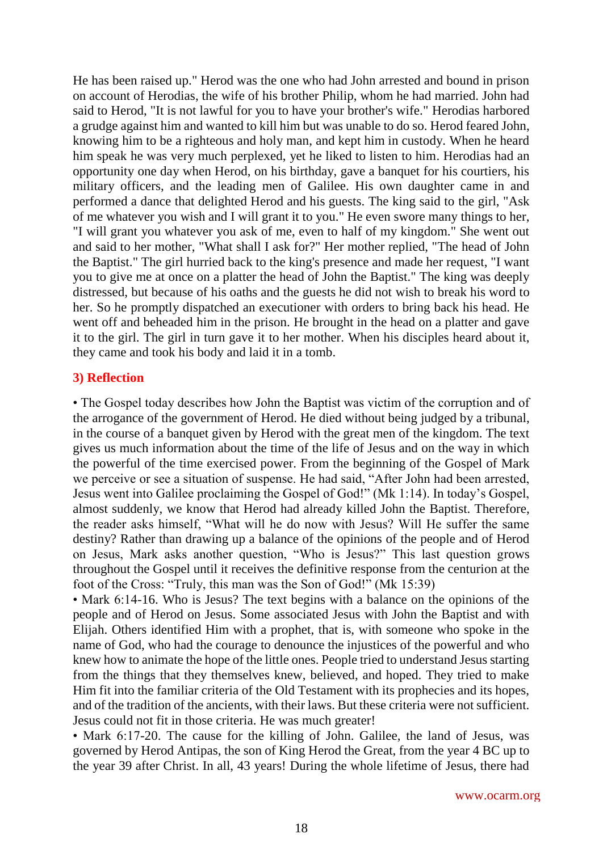He has been raised up." Herod was the one who had John arrested and bound in prison on account of Herodias, the wife of his brother Philip, whom he had married. John had said to Herod, "It is not lawful for you to have your brother's wife." Herodias harbored a grudge against him and wanted to kill him but was unable to do so. Herod feared John, knowing him to be a righteous and holy man, and kept him in custody. When he heard him speak he was very much perplexed, yet he liked to listen to him. Herodias had an opportunity one day when Herod, on his birthday, gave a banquet for his courtiers, his military officers, and the leading men of Galilee. His own daughter came in and performed a dance that delighted Herod and his guests. The king said to the girl, "Ask of me whatever you wish and I will grant it to you." He even swore many things to her, "I will grant you whatever you ask of me, even to half of my kingdom." She went out and said to her mother, "What shall I ask for?" Her mother replied, "The head of John the Baptist." The girl hurried back to the king's presence and made her request, "I want you to give me at once on a platter the head of John the Baptist." The king was deeply distressed, but because of his oaths and the guests he did not wish to break his word to her. So he promptly dispatched an executioner with orders to bring back his head. He went off and beheaded him in the prison. He brought in the head on a platter and gave it to the girl. The girl in turn gave it to her mother. When his disciples heard about it, they came and took his body and laid it in a tomb.

### **3) Reflection**

• The Gospel today describes how John the Baptist was victim of the corruption and of the arrogance of the government of Herod. He died without being judged by a tribunal, in the course of a banquet given by Herod with the great men of the kingdom. The text gives us much information about the time of the life of Jesus and on the way in which the powerful of the time exercised power. From the beginning of the Gospel of Mark we perceive or see a situation of suspense. He had said, "After John had been arrested, Jesus went into Galilee proclaiming the Gospel of God!" (Mk 1:14). In today's Gospel, almost suddenly, we know that Herod had already killed John the Baptist. Therefore, the reader asks himself, "What will he do now with Jesus? Will He suffer the same destiny? Rather than drawing up a balance of the opinions of the people and of Herod on Jesus, Mark asks another question, "Who is Jesus?" This last question grows throughout the Gospel until it receives the definitive response from the centurion at the foot of the Cross: "Truly, this man was the Son of God!" (Mk 15:39)

• Mark 6:14-16. Who is Jesus? The text begins with a balance on the opinions of the people and of Herod on Jesus. Some associated Jesus with John the Baptist and with Elijah. Others identified Him with a prophet, that is, with someone who spoke in the name of God, who had the courage to denounce the injustices of the powerful and who knew how to animate the hope of the little ones. People tried to understand Jesus starting from the things that they themselves knew, believed, and hoped. They tried to make Him fit into the familiar criteria of the Old Testament with its prophecies and its hopes, and of the tradition of the ancients, with their laws. But these criteria were not sufficient. Jesus could not fit in those criteria. He was much greater!

• Mark 6:17-20. The cause for the killing of John. Galilee, the land of Jesus, was governed by Herod Antipas, the son of King Herod the Great, from the year 4 BC up to the year 39 after Christ. In all, 43 years! During the whole lifetime of Jesus, there had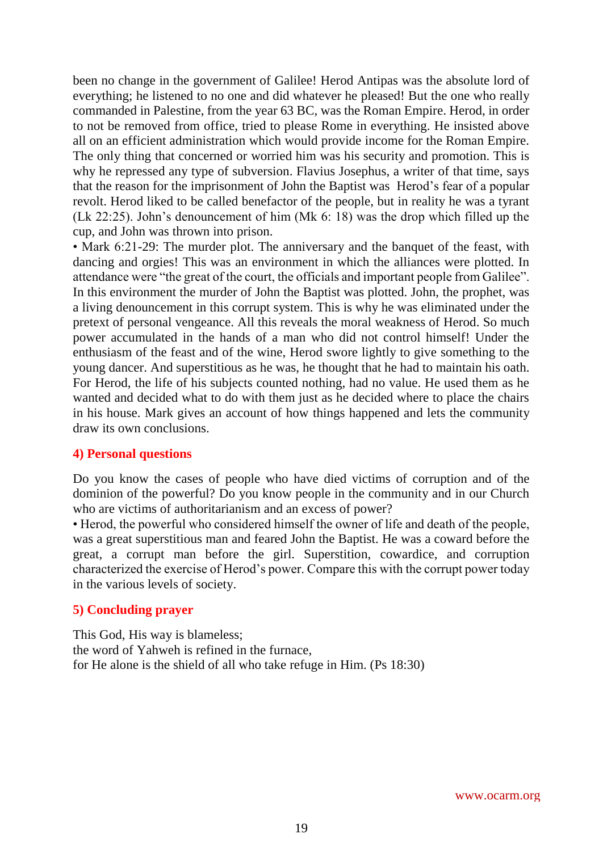been no change in the government of Galilee! Herod Antipas was the absolute lord of everything; he listened to no one and did whatever he pleased! But the one who really commanded in Palestine, from the year 63 BC, was the Roman Empire. Herod, in order to not be removed from office, tried to please Rome in everything. He insisted above all on an efficient administration which would provide income for the Roman Empire. The only thing that concerned or worried him was his security and promotion. This is why he repressed any type of subversion. Flavius Josephus, a writer of that time, says that the reason for the imprisonment of John the Baptist was Herod's fear of a popular revolt. Herod liked to be called benefactor of the people, but in reality he was a tyrant (Lk 22:25). John's denouncement of him (Mk 6: 18) was the drop which filled up the cup, and John was thrown into prison.

• Mark 6:21-29: The murder plot. The anniversary and the banquet of the feast, with dancing and orgies! This was an environment in which the alliances were plotted. In attendance were "the great of the court, the officials and important people from Galilee". In this environment the murder of John the Baptist was plotted. John, the prophet, was a living denouncement in this corrupt system. This is why he was eliminated under the pretext of personal vengeance. All this reveals the moral weakness of Herod. So much power accumulated in the hands of a man who did not control himself! Under the enthusiasm of the feast and of the wine, Herod swore lightly to give something to the young dancer. And superstitious as he was, he thought that he had to maintain his oath. For Herod, the life of his subjects counted nothing, had no value. He used them as he wanted and decided what to do with them just as he decided where to place the chairs in his house. Mark gives an account of how things happened and lets the community draw its own conclusions.

### **4) Personal questions**

Do you know the cases of people who have died victims of corruption and of the dominion of the powerful? Do you know people in the community and in our Church who are victims of authoritarianism and an excess of power?

• Herod, the powerful who considered himself the owner of life and death of the people, was a great superstitious man and feared John the Baptist. He was a coward before the great, a corrupt man before the girl. Superstition, cowardice, and corruption characterized the exercise of Herod's power. Compare this with the corrupt power today in the various levels of society.

# **5) Concluding prayer**

This God, His way is blameless; the word of Yahweh is refined in the furnace, for He alone is the shield of all who take refuge in Him. (Ps 18:30)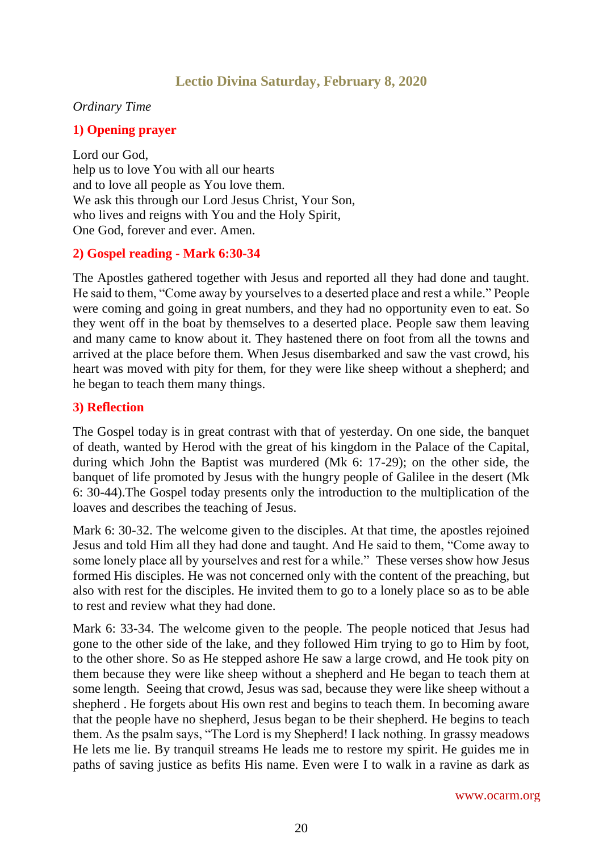# **Lectio Divina Saturday, February 8, 2020**

#### <span id="page-19-0"></span>*Ordinary Time*

### **1) Opening prayer**

Lord our God, help us to love You with all our hearts and to love all people as You love them. We ask this through our Lord Jesus Christ, Your Son, who lives and reigns with You and the Holy Spirit, One God, forever and ever. Amen.

### **2) Gospel reading - Mark 6:30-34**

The Apostles gathered together with Jesus and reported all they had done and taught. He said to them, "Come away by yourselves to a deserted place and rest a while." People were coming and going in great numbers, and they had no opportunity even to eat. So they went off in the boat by themselves to a deserted place. People saw them leaving and many came to know about it. They hastened there on foot from all the towns and arrived at the place before them. When Jesus disembarked and saw the vast crowd, his heart was moved with pity for them, for they were like sheep without a shepherd; and he began to teach them many things.

# **3) Reflection**

The Gospel today is in great contrast with that of yesterday. On one side, the banquet of death, wanted by Herod with the great of his kingdom in the Palace of the Capital, during which John the Baptist was murdered (Mk 6: 17-29); on the other side, the banquet of life promoted by Jesus with the hungry people of Galilee in the desert (Mk 6: 30-44).The Gospel today presents only the introduction to the multiplication of the loaves and describes the teaching of Jesus.

Mark 6: 30-32. The welcome given to the disciples. At that time, the apostles rejoined Jesus and told Him all they had done and taught. And He said to them, "Come away to some lonely place all by yourselves and rest for a while." These verses show how Jesus formed His disciples. He was not concerned only with the content of the preaching, but also with rest for the disciples. He invited them to go to a lonely place so as to be able to rest and review what they had done.

Mark 6: 33-34. The welcome given to the people. The people noticed that Jesus had gone to the other side of the lake, and they followed Him trying to go to Him by foot, to the other shore. So as He stepped ashore He saw a large crowd, and He took pity on them because they were like sheep without a shepherd and He began to teach them at some length. Seeing that crowd, Jesus was sad, because they were like sheep without a shepherd . He forgets about His own rest and begins to teach them. In becoming aware that the people have no shepherd, Jesus began to be their shepherd. He begins to teach them. As the psalm says, "The Lord is my Shepherd! I lack nothing. In grassy meadows He lets me lie. By tranquil streams He leads me to restore my spirit. He guides me in paths of saving justice as befits His name. Even were I to walk in a ravine as dark as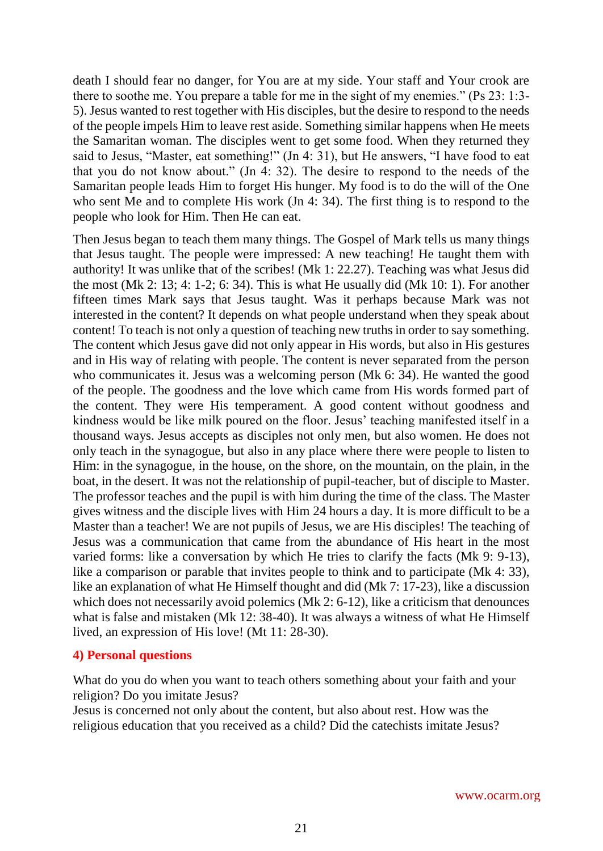death I should fear no danger, for You are at my side. Your staff and Your crook are there to soothe me. You prepare a table for me in the sight of my enemies." (Ps 23: 1:3- 5). Jesus wanted to rest together with His disciples, but the desire to respond to the needs of the people impels Him to leave rest aside. Something similar happens when He meets the Samaritan woman. The disciples went to get some food. When they returned they said to Jesus, "Master, eat something!" (Jn 4: 31), but He answers, "I have food to eat that you do not know about." (Jn 4: 32). The desire to respond to the needs of the Samaritan people leads Him to forget His hunger. My food is to do the will of the One who sent Me and to complete His work (Jn 4: 34). The first thing is to respond to the people who look for Him. Then He can eat.

Then Jesus began to teach them many things. The Gospel of Mark tells us many things that Jesus taught. The people were impressed: A new teaching! He taught them with authority! It was unlike that of the scribes! (Mk 1: 22.27). Teaching was what Jesus did the most (Mk 2: 13; 4: 1-2; 6: 34). This is what He usually did (Mk 10: 1). For another fifteen times Mark says that Jesus taught. Was it perhaps because Mark was not interested in the content? It depends on what people understand when they speak about content! To teach is not only a question of teaching new truths in order to say something. The content which Jesus gave did not only appear in His words, but also in His gestures and in His way of relating with people. The content is never separated from the person who communicates it. Jesus was a welcoming person (Mk 6: 34). He wanted the good of the people. The goodness and the love which came from His words formed part of the content. They were His temperament. A good content without goodness and kindness would be like milk poured on the floor. Jesus' teaching manifested itself in a thousand ways. Jesus accepts as disciples not only men, but also women. He does not only teach in the synagogue, but also in any place where there were people to listen to Him: in the synagogue, in the house, on the shore, on the mountain, on the plain, in the boat, in the desert. It was not the relationship of pupil-teacher, but of disciple to Master. The professor teaches and the pupil is with him during the time of the class. The Master gives witness and the disciple lives with Him 24 hours a day. It is more difficult to be a Master than a teacher! We are not pupils of Jesus, we are His disciples! The teaching of Jesus was a communication that came from the abundance of His heart in the most varied forms: like a conversation by which He tries to clarify the facts (Mk 9: 9-13), like a comparison or parable that invites people to think and to participate (Mk 4: 33), like an explanation of what He Himself thought and did (Mk 7: 17-23), like a discussion which does not necessarily avoid polemics (Mk 2: 6-12), like a criticism that denounces what is false and mistaken (Mk 12: 38-40). It was always a witness of what He Himself lived, an expression of His love! (Mt 11: 28-30).

### **4) Personal questions**

What do you do when you want to teach others something about your faith and your religion? Do you imitate Jesus?

Jesus is concerned not only about the content, but also about rest. How was the religious education that you received as a child? Did the catechists imitate Jesus?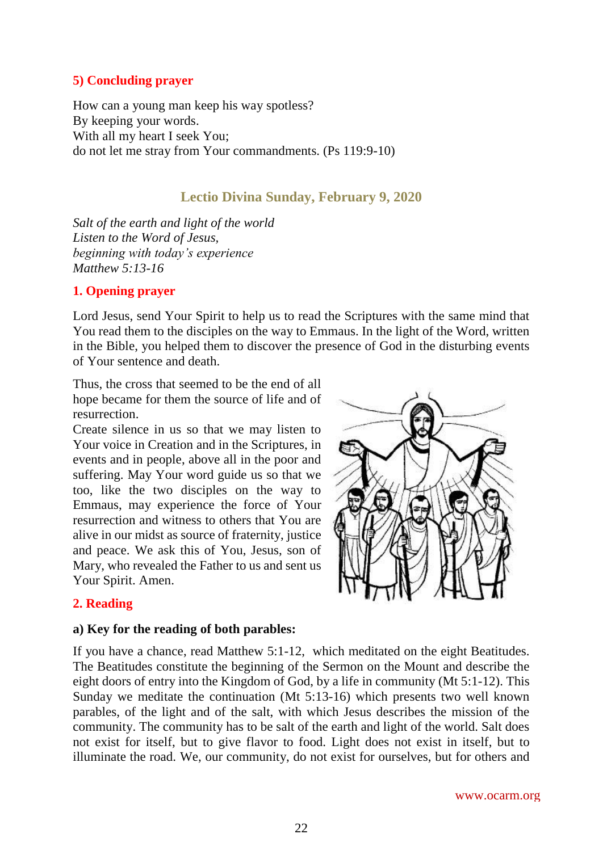# **5) Concluding prayer**

How can a young man keep his way spotless? By keeping your words. With all my heart I seek You; do not let me stray from Your commandments. (Ps 119:9-10)

# **Lectio Divina Sunday, February 9, 2020**

<span id="page-21-0"></span>*Salt of the earth and light of the world Listen to the Word of Jesus, beginning with today's experience Matthew 5:13-16*

### **1. Opening prayer**

Lord Jesus, send Your Spirit to help us to read the Scriptures with the same mind that You read them to the disciples on the way to Emmaus. In the light of the Word, written in the Bible, you helped them to discover the presence of God in the disturbing events of Your sentence and death.

Thus, the cross that seemed to be the end of all hope became for them the source of life and of resurrection.

Create silence in us so that we may listen to Your voice in Creation and in the Scriptures, in events and in people, above all in the poor and suffering. May Your word guide us so that we too, like the two disciples on the way to Emmaus, may experience the force of Your resurrection and witness to others that You are alive in our midst as source of fraternity, justice and peace. We ask this of You, Jesus, son of Mary, who revealed the Father to us and sent us Your Spirit. Amen.

# **2. Reading**

### **a) Key for the reading of both parables:**

If you have a chance, read Matthew 5:1-12, which meditated on the eight Beatitudes. The Beatitudes constitute the beginning of the Sermon on the Mount and describe the eight doors of entry into the Kingdom of God, by a life in community (Mt 5:1-12). This Sunday we meditate the continuation (Mt 5:13-16) which presents two well known parables, of the light and of the salt, with which Jesus describes the mission of the community. The community has to be salt of the earth and light of the world. Salt does not exist for itself, but to give flavor to food. Light does not exist in itself, but to illuminate the road. We, our community, do not exist for ourselves, but for others and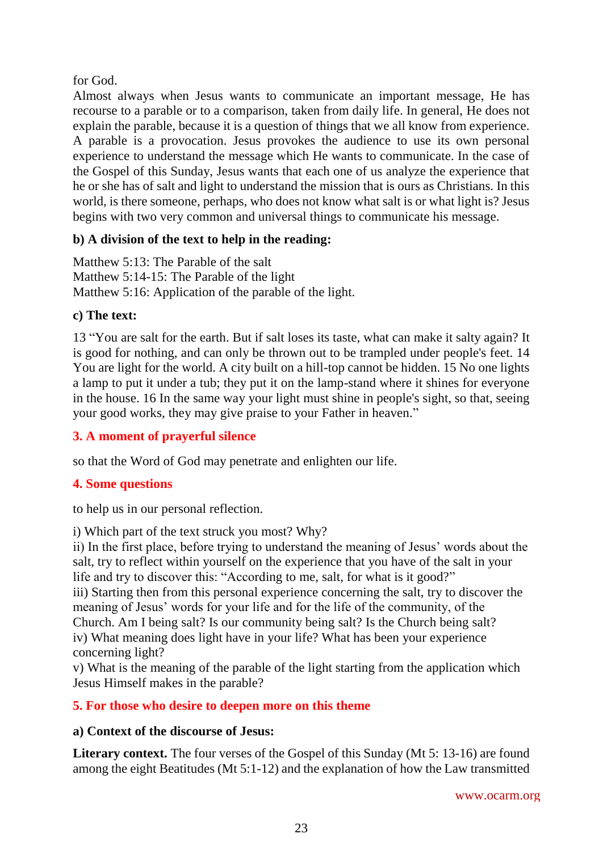for God.

Almost always when Jesus wants to communicate an important message, He has recourse to a parable or to a comparison, taken from daily life. In general, He does not explain the parable, because it is a question of things that we all know from experience. A parable is a provocation. Jesus provokes the audience to use its own personal experience to understand the message which He wants to communicate. In the case of the Gospel of this Sunday, Jesus wants that each one of us analyze the experience that he or she has of salt and light to understand the mission that is ours as Christians. In this world, is there someone, perhaps, who does not know what salt is or what light is? Jesus begins with two very common and universal things to communicate his message.

# **b) A division of the text to help in the reading:**

Matthew 5:13: The Parable of the salt Matthew 5:14-15: The Parable of the light Matthew 5:16: Application of the parable of the light.

# **c) The text:**

13 "You are salt for the earth. But if salt loses its taste, what can make it salty again? It is good for nothing, and can only be thrown out to be trampled under people's feet. 14 You are light for the world. A city built on a hill-top cannot be hidden. 15 No one lights a lamp to put it under a tub; they put it on the lamp-stand where it shines for everyone in the house. 16 In the same way your light must shine in people's sight, so that, seeing your good works, they may give praise to your Father in heaven."

# **3. A moment of prayerful silence**

so that the Word of God may penetrate and enlighten our life.

# **4. Some questions**

to help us in our personal reflection.

i) Which part of the text struck you most? Why?

ii) In the first place, before trying to understand the meaning of Jesus' words about the salt, try to reflect within yourself on the experience that you have of the salt in your life and try to discover this: "According to me, salt, for what is it good?" iii) Starting then from this personal experience concerning the salt, try to discover the meaning of Jesus' words for your life and for the life of the community, of the Church. Am I being salt? Is our community being salt? Is the Church being salt? iv) What meaning does light have in your life? What has been your experience concerning light?

v) What is the meaning of the parable of the light starting from the application which Jesus Himself makes in the parable?

# **5. For those who desire to deepen more on this theme**

# **a) Context of the discourse of Jesus:**

Literary context. The four verses of the Gospel of this Sunday (Mt 5: 13-16) are found among the eight Beatitudes (Mt 5:1-12) and the explanation of how the Law transmitted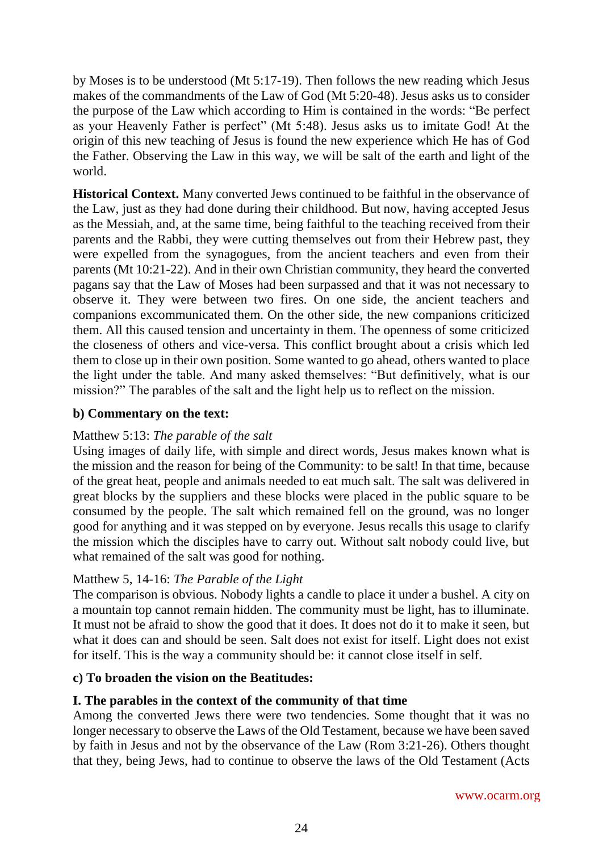by Moses is to be understood (Mt 5:17-19). Then follows the new reading which Jesus makes of the commandments of the Law of God (Mt 5:20-48). Jesus asks us to consider the purpose of the Law which according to Him is contained in the words: "Be perfect as your Heavenly Father is perfect" (Mt 5:48). Jesus asks us to imitate God! At the origin of this new teaching of Jesus is found the new experience which He has of God the Father. Observing the Law in this way, we will be salt of the earth and light of the world.

**Historical Context.** Many converted Jews continued to be faithful in the observance of the Law, just as they had done during their childhood. But now, having accepted Jesus as the Messiah, and, at the same time, being faithful to the teaching received from their parents and the Rabbi, they were cutting themselves out from their Hebrew past, they were expelled from the synagogues, from the ancient teachers and even from their parents (Mt 10:21-22). And in their own Christian community, they heard the converted pagans say that the Law of Moses had been surpassed and that it was not necessary to observe it. They were between two fires. On one side, the ancient teachers and companions excommunicated them. On the other side, the new companions criticized them. All this caused tension and uncertainty in them. The openness of some criticized the closeness of others and vice-versa. This conflict brought about a crisis which led them to close up in their own position. Some wanted to go ahead, others wanted to place the light under the table. And many asked themselves: "But definitively, what is our mission?" The parables of the salt and the light help us to reflect on the mission.

# **b) Commentary on the text:**

# Matthew 5:13: *The parable of the salt*

Using images of daily life, with simple and direct words, Jesus makes known what is the mission and the reason for being of the Community: to be salt! In that time, because of the great heat, people and animals needed to eat much salt. The salt was delivered in great blocks by the suppliers and these blocks were placed in the public square to be consumed by the people. The salt which remained fell on the ground, was no longer good for anything and it was stepped on by everyone. Jesus recalls this usage to clarify the mission which the disciples have to carry out. Without salt nobody could live, but what remained of the salt was good for nothing.

# Matthew 5, 14-16: *The Parable of the Light*

The comparison is obvious. Nobody lights a candle to place it under a bushel. A city on a mountain top cannot remain hidden. The community must be light, has to illuminate. It must not be afraid to show the good that it does. It does not do it to make it seen, but what it does can and should be seen. Salt does not exist for itself. Light does not exist for itself. This is the way a community should be: it cannot close itself in self.

# **c) To broaden the vision on the Beatitudes:**

# **I. The parables in the context of the community of that time**

Among the converted Jews there were two tendencies. Some thought that it was no longer necessary to observe the Laws of the Old Testament, because we have been saved by faith in Jesus and not by the observance of the Law (Rom 3:21-26). Others thought that they, being Jews, had to continue to observe the laws of the Old Testament (Acts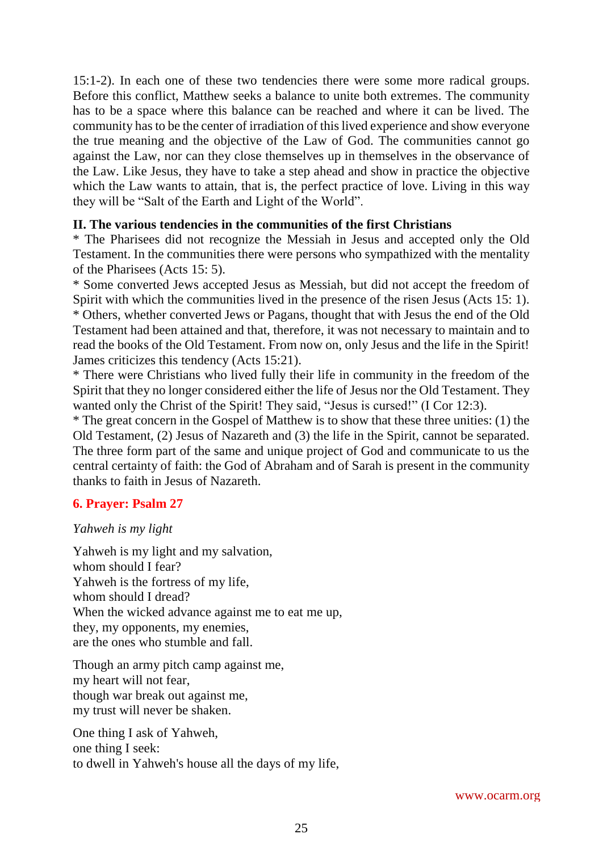15:1-2). In each one of these two tendencies there were some more radical groups. Before this conflict, Matthew seeks a balance to unite both extremes. The community has to be a space where this balance can be reached and where it can be lived. The community has to be the center of irradiation of this lived experience and show everyone the true meaning and the objective of the Law of God. The communities cannot go against the Law, nor can they close themselves up in themselves in the observance of the Law. Like Jesus, they have to take a step ahead and show in practice the objective which the Law wants to attain, that is, the perfect practice of love. Living in this way they will be "Salt of the Earth and Light of the World".

### **II. The various tendencies in the communities of the first Christians**

\* The Pharisees did not recognize the Messiah in Jesus and accepted only the Old Testament. In the communities there were persons who sympathized with the mentality of the Pharisees (Acts 15: 5).

\* Some converted Jews accepted Jesus as Messiah, but did not accept the freedom of Spirit with which the communities lived in the presence of the risen Jesus (Acts 15: 1). \* Others, whether converted Jews or Pagans, thought that with Jesus the end of the Old Testament had been attained and that, therefore, it was not necessary to maintain and to read the books of the Old Testament. From now on, only Jesus and the life in the Spirit! James criticizes this tendency (Acts 15:21).

\* There were Christians who lived fully their life in community in the freedom of the Spirit that they no longer considered either the life of Jesus nor the Old Testament. They wanted only the Christ of the Spirit! They said, "Jesus is cursed!" (I Cor 12:3).

\* The great concern in the Gospel of Matthew is to show that these three unities: (1) the Old Testament, (2) Jesus of Nazareth and (3) the life in the Spirit, cannot be separated. The three form part of the same and unique project of God and communicate to us the central certainty of faith: the God of Abraham and of Sarah is present in the community thanks to faith in Jesus of Nazareth.

# **6. Prayer: Psalm 27**

### *Yahweh is my light*

Yahweh is my light and my salvation, whom should I fear? Yahweh is the fortress of my life, whom should I dread? When the wicked advance against me to eat me up, they, my opponents, my enemies, are the ones who stumble and fall.

Though an army pitch camp against me, my heart will not fear, though war break out against me, my trust will never be shaken.

One thing I ask of Yahweh, one thing I seek: to dwell in Yahweh's house all the days of my life,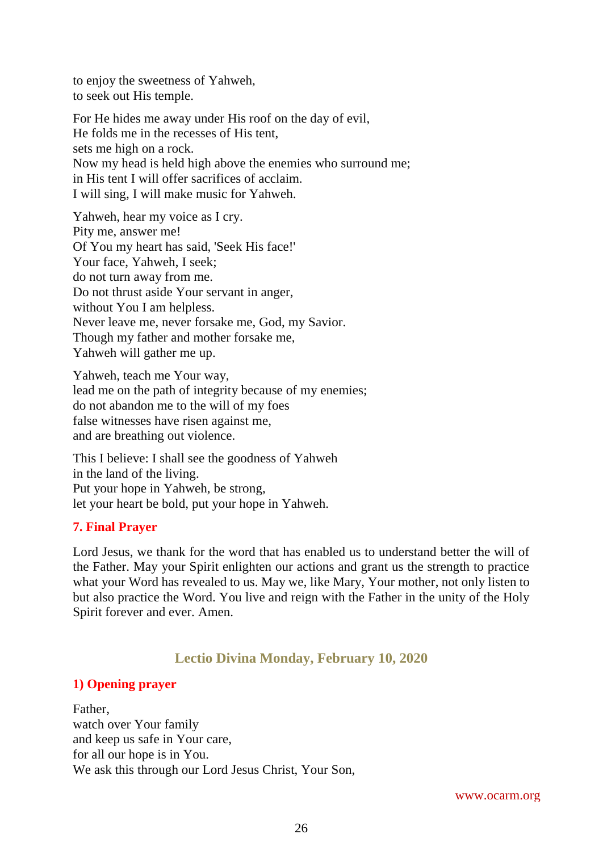to enjoy the sweetness of Yahweh, to seek out His temple.

For He hides me away under His roof on the day of evil, He folds me in the recesses of His tent, sets me high on a rock. Now my head is held high above the enemies who surround me; in His tent I will offer sacrifices of acclaim. I will sing, I will make music for Yahweh.

Yahweh, hear my voice as I cry. Pity me, answer me! Of You my heart has said, 'Seek His face!' Your face, Yahweh, I seek; do not turn away from me. Do not thrust aside Your servant in anger, without You I am helpless. Never leave me, never forsake me, God, my Savior. Though my father and mother forsake me, Yahweh will gather me up.

Yahweh, teach me Your way, lead me on the path of integrity because of my enemies; do not abandon me to the will of my foes false witnesses have risen against me, and are breathing out violence.

This I believe: I shall see the goodness of Yahweh in the land of the living. Put your hope in Yahweh, be strong, let your heart be bold, put your hope in Yahweh.

# **7. Final Prayer**

Lord Jesus, we thank for the word that has enabled us to understand better the will of the Father. May your Spirit enlighten our actions and grant us the strength to practice what your Word has revealed to us. May we, like Mary, Your mother, not only listen to but also practice the Word. You live and reign with the Father in the unity of the Holy Spirit forever and ever. Amen.

# **Lectio Divina Monday, February 10, 2020**

# <span id="page-25-0"></span>**1) Opening prayer**

Father, watch over Your family and keep us safe in Your care, for all our hope is in You. We ask this through our Lord Jesus Christ, Your Son,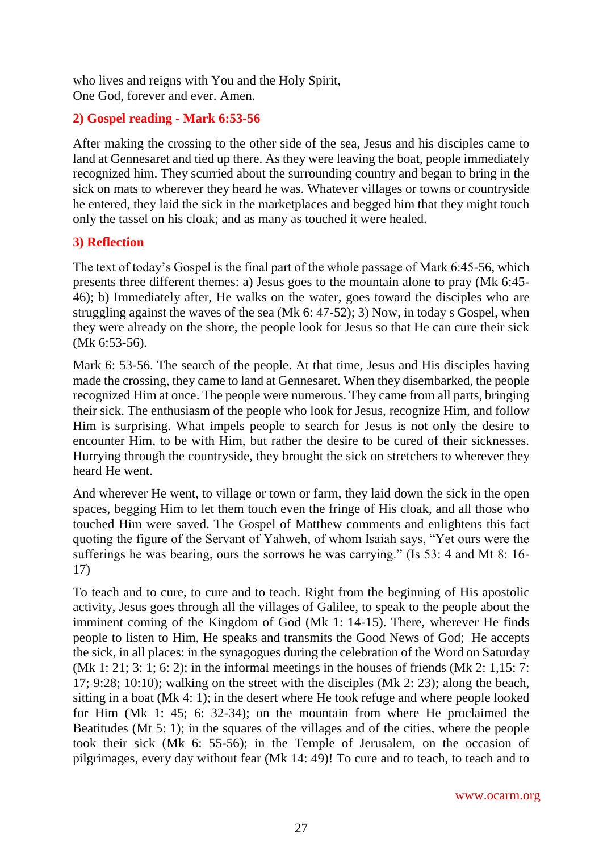who lives and reigns with You and the Holy Spirit, One God, forever and ever. Amen.

# **2) Gospel reading - Mark 6:53-56**

After making the crossing to the other side of the sea, Jesus and his disciples came to land at Gennesaret and tied up there. As they were leaving the boat, people immediately recognized him. They scurried about the surrounding country and began to bring in the sick on mats to wherever they heard he was. Whatever villages or towns or countryside he entered, they laid the sick in the marketplaces and begged him that they might touch only the tassel on his cloak; and as many as touched it were healed.

# **3) Reflection**

The text of today's Gospel is the final part of the whole passage of Mark 6:45-56, which presents three different themes: a) Jesus goes to the mountain alone to pray (Mk 6:45- 46); b) Immediately after, He walks on the water, goes toward the disciples who are struggling against the waves of the sea (Mk 6: 47-52); 3) Now, in today s Gospel, when they were already on the shore, the people look for Jesus so that He can cure their sick (Mk 6:53-56).

Mark 6: 53-56. The search of the people. At that time, Jesus and His disciples having made the crossing, they came to land at Gennesaret. When they disembarked, the people recognized Him at once. The people were numerous. They came from all parts, bringing their sick. The enthusiasm of the people who look for Jesus, recognize Him, and follow Him is surprising. What impels people to search for Jesus is not only the desire to encounter Him, to be with Him, but rather the desire to be cured of their sicknesses. Hurrying through the countryside, they brought the sick on stretchers to wherever they heard He went.

And wherever He went, to village or town or farm, they laid down the sick in the open spaces, begging Him to let them touch even the fringe of His cloak, and all those who touched Him were saved. The Gospel of Matthew comments and enlightens this fact quoting the figure of the Servant of Yahweh, of whom Isaiah says, "Yet ours were the sufferings he was bearing, ours the sorrows he was carrying." (Is 53: 4 and Mt 8: 16- 17)

To teach and to cure, to cure and to teach. Right from the beginning of His apostolic activity, Jesus goes through all the villages of Galilee, to speak to the people about the imminent coming of the Kingdom of God (Mk 1: 14-15). There, wherever He finds people to listen to Him, He speaks and transmits the Good News of God; He accepts the sick, in all places: in the synagogues during the celebration of the Word on Saturday (Mk 1: 21; 3: 1; 6: 2); in the informal meetings in the houses of friends (Mk 2: 1,15; 7: 17; 9:28; 10:10); walking on the street with the disciples (Mk 2: 23); along the beach, sitting in a boat (Mk 4: 1); in the desert where He took refuge and where people looked for Him (Mk 1: 45; 6: 32-34); on the mountain from where He proclaimed the Beatitudes (Mt 5: 1); in the squares of the villages and of the cities, where the people took their sick (Mk 6: 55-56); in the Temple of Jerusalem, on the occasion of pilgrimages, every day without fear (Mk 14: 49)! To cure and to teach, to teach and to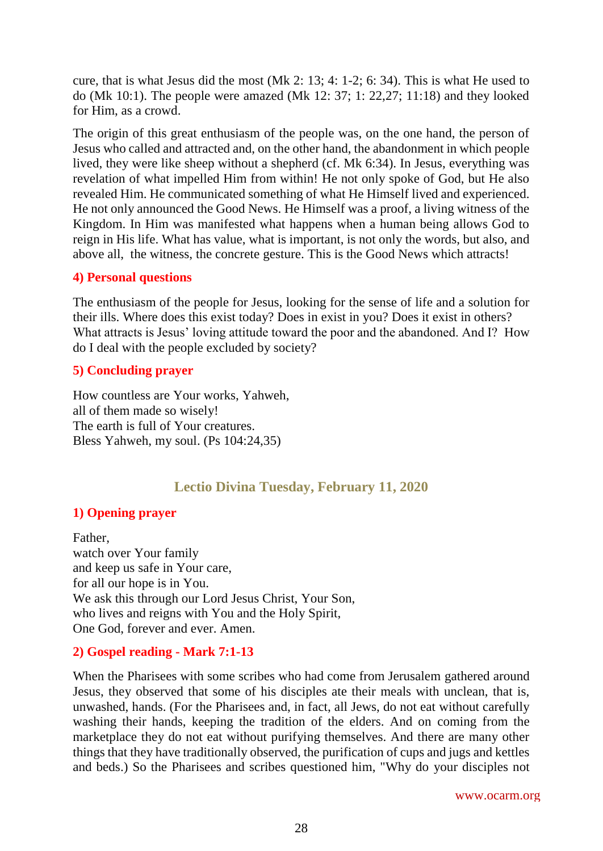cure, that is what Jesus did the most (Mk 2: 13; 4: 1-2; 6: 34). This is what He used to do (Mk 10:1). The people were amazed (Mk 12: 37; 1: 22,27; 11:18) and they looked for Him, as a crowd.

The origin of this great enthusiasm of the people was, on the one hand, the person of Jesus who called and attracted and, on the other hand, the abandonment in which people lived, they were like sheep without a shepherd (cf. Mk 6:34). In Jesus, everything was revelation of what impelled Him from within! He not only spoke of God, but He also revealed Him. He communicated something of what He Himself lived and experienced. He not only announced the Good News. He Himself was a proof, a living witness of the Kingdom. In Him was manifested what happens when a human being allows God to reign in His life. What has value, what is important, is not only the words, but also, and above all, the witness, the concrete gesture. This is the Good News which attracts!

### **4) Personal questions**

The enthusiasm of the people for Jesus, looking for the sense of life and a solution for their ills. Where does this exist today? Does in exist in you? Does it exist in others? What attracts is Jesus' loving attitude toward the poor and the abandoned. And I? How do I deal with the people excluded by society?

# **5) Concluding prayer**

How countless are Your works, Yahweh, all of them made so wisely! The earth is full of Your creatures. Bless Yahweh, my soul. (Ps 104:24,35)

# **Lectio Divina Tuesday, February 11, 2020**

# <span id="page-27-0"></span>**1) Opening prayer**

Father, watch over Your family and keep us safe in Your care, for all our hope is in You. We ask this through our Lord Jesus Christ, Your Son, who lives and reigns with You and the Holy Spirit, One God, forever and ever. Amen.

# **2) Gospel reading - Mark 7:1-13**

When the Pharisees with some scribes who had come from Jerusalem gathered around Jesus, they observed that some of his disciples ate their meals with unclean, that is, unwashed, hands. (For the Pharisees and, in fact, all Jews, do not eat without carefully washing their hands, keeping the tradition of the elders. And on coming from the marketplace they do not eat without purifying themselves. And there are many other things that they have traditionally observed, the purification of cups and jugs and kettles and beds.) So the Pharisees and scribes questioned him, "Why do your disciples not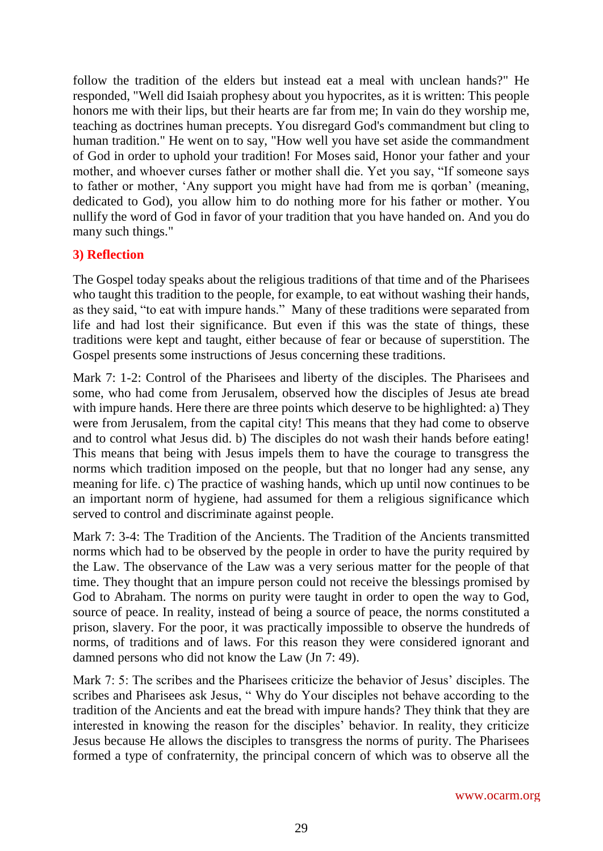follow the tradition of the elders but instead eat a meal with unclean hands?" He responded, "Well did Isaiah prophesy about you hypocrites, as it is written: This people honors me with their lips, but their hearts are far from me; In vain do they worship me, teaching as doctrines human precepts. You disregard God's commandment but cling to human tradition." He went on to say, "How well you have set aside the commandment of God in order to uphold your tradition! For Moses said, Honor your father and your mother, and whoever curses father or mother shall die. Yet you say, "If someone says to father or mother, 'Any support you might have had from me is qorban' (meaning, dedicated to God), you allow him to do nothing more for his father or mother. You nullify the word of God in favor of your tradition that you have handed on. And you do many such things."

# **3) Reflection**

The Gospel today speaks about the religious traditions of that time and of the Pharisees who taught this tradition to the people, for example, to eat without washing their hands, as they said, "to eat with impure hands." Many of these traditions were separated from life and had lost their significance. But even if this was the state of things, these traditions were kept and taught, either because of fear or because of superstition. The Gospel presents some instructions of Jesus concerning these traditions.

Mark 7: 1-2: Control of the Pharisees and liberty of the disciples. The Pharisees and some, who had come from Jerusalem, observed how the disciples of Jesus ate bread with impure hands. Here there are three points which deserve to be highlighted: a) They were from Jerusalem, from the capital city! This means that they had come to observe and to control what Jesus did. b) The disciples do not wash their hands before eating! This means that being with Jesus impels them to have the courage to transgress the norms which tradition imposed on the people, but that no longer had any sense, any meaning for life. c) The practice of washing hands, which up until now continues to be an important norm of hygiene, had assumed for them a religious significance which served to control and discriminate against people.

Mark 7: 3-4: The Tradition of the Ancients. The Tradition of the Ancients transmitted norms which had to be observed by the people in order to have the purity required by the Law. The observance of the Law was a very serious matter for the people of that time. They thought that an impure person could not receive the blessings promised by God to Abraham. The norms on purity were taught in order to open the way to God, source of peace. In reality, instead of being a source of peace, the norms constituted a prison, slavery. For the poor, it was practically impossible to observe the hundreds of norms, of traditions and of laws. For this reason they were considered ignorant and damned persons who did not know the Law (Jn 7: 49).

Mark 7: 5: The scribes and the Pharisees criticize the behavior of Jesus' disciples. The scribes and Pharisees ask Jesus, " Why do Your disciples not behave according to the tradition of the Ancients and eat the bread with impure hands? They think that they are interested in knowing the reason for the disciples' behavior. In reality, they criticize Jesus because He allows the disciples to transgress the norms of purity. The Pharisees formed a type of confraternity, the principal concern of which was to observe all the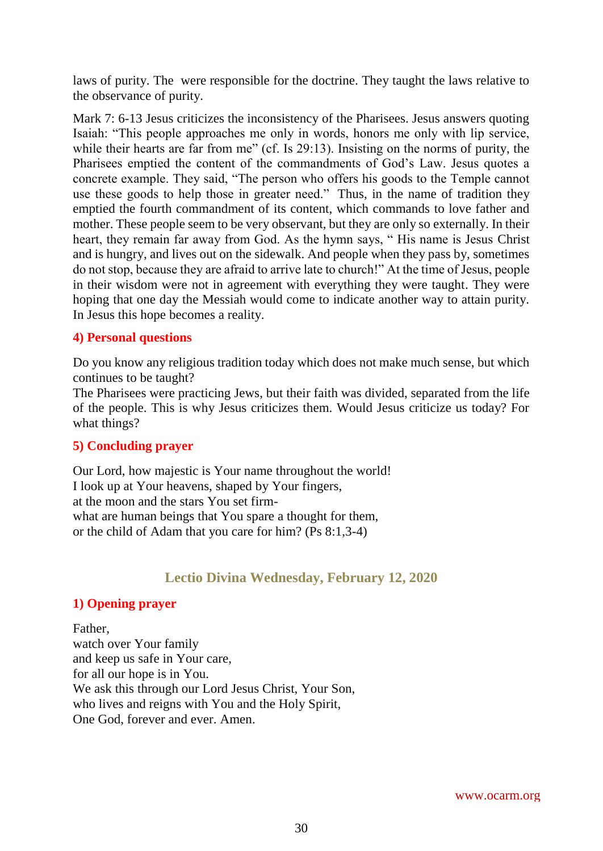laws of purity. The were responsible for the doctrine. They taught the laws relative to the observance of purity.

Mark 7: 6-13 Jesus criticizes the inconsistency of the Pharisees. Jesus answers quoting Isaiah: "This people approaches me only in words, honors me only with lip service, while their hearts are far from me" (cf. Is 29:13). Insisting on the norms of purity, the Pharisees emptied the content of the commandments of God's Law. Jesus quotes a concrete example. They said, "The person who offers his goods to the Temple cannot use these goods to help those in greater need." Thus, in the name of tradition they emptied the fourth commandment of its content, which commands to love father and mother. These people seem to be very observant, but they are only so externally. In their heart, they remain far away from God. As the hymn says, " His name is Jesus Christ and is hungry, and lives out on the sidewalk. And people when they pass by, sometimes do not stop, because they are afraid to arrive late to church!" At the time of Jesus, people in their wisdom were not in agreement with everything they were taught. They were hoping that one day the Messiah would come to indicate another way to attain purity. In Jesus this hope becomes a reality.

# **4) Personal questions**

Do you know any religious tradition today which does not make much sense, but which continues to be taught?

The Pharisees were practicing Jews, but their faith was divided, separated from the life of the people. This is why Jesus criticizes them. Would Jesus criticize us today? For what things?

### **5) Concluding prayer**

Our Lord, how majestic is Your name throughout the world! I look up at Your heavens, shaped by Your fingers, at the moon and the stars You set firmwhat are human beings that You spare a thought for them, or the child of Adam that you care for him? (Ps 8:1,3-4)

# **Lectio Divina Wednesday, February 12, 2020**

# <span id="page-29-0"></span>**1) Opening prayer**

Father, watch over Your family and keep us safe in Your care, for all our hope is in You. We ask this through our Lord Jesus Christ, Your Son, who lives and reigns with You and the Holy Spirit, One God, forever and ever. Amen.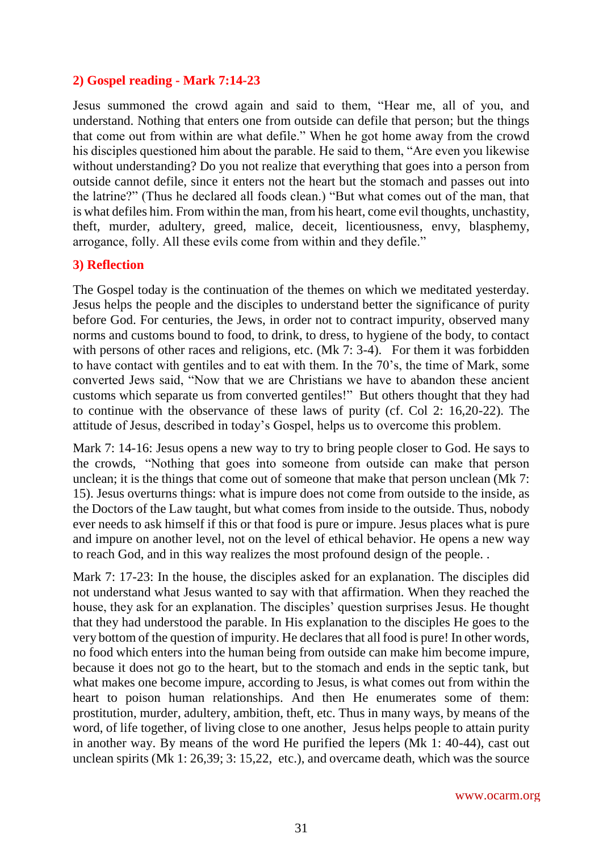# **2) Gospel reading - Mark 7:14-23**

Jesus summoned the crowd again and said to them, "Hear me, all of you, and understand. Nothing that enters one from outside can defile that person; but the things that come out from within are what defile." When he got home away from the crowd his disciples questioned him about the parable. He said to them, "Are even you likewise without understanding? Do you not realize that everything that goes into a person from outside cannot defile, since it enters not the heart but the stomach and passes out into the latrine?" (Thus he declared all foods clean.) "But what comes out of the man, that is what defiles him. From within the man, from his heart, come evil thoughts, unchastity, theft, murder, adultery, greed, malice, deceit, licentiousness, envy, blasphemy, arrogance, folly. All these evils come from within and they defile."

# **3) Reflection**

The Gospel today is the continuation of the themes on which we meditated yesterday. Jesus helps the people and the disciples to understand better the significance of purity before God. For centuries, the Jews, in order not to contract impurity, observed many norms and customs bound to food, to drink, to dress, to hygiene of the body, to contact with persons of other races and religions, etc. (Mk 7: 3-4). For them it was forbidden to have contact with gentiles and to eat with them. In the 70's, the time of Mark, some converted Jews said, "Now that we are Christians we have to abandon these ancient customs which separate us from converted gentiles!" But others thought that they had to continue with the observance of these laws of purity (cf. Col 2: 16,20-22). The attitude of Jesus, described in today's Gospel, helps us to overcome this problem.

Mark 7: 14-16: Jesus opens a new way to try to bring people closer to God. He says to the crowds, "Nothing that goes into someone from outside can make that person unclean; it is the things that come out of someone that make that person unclean (Mk 7: 15). Jesus overturns things: what is impure does not come from outside to the inside, as the Doctors of the Law taught, but what comes from inside to the outside. Thus, nobody ever needs to ask himself if this or that food is pure or impure. Jesus places what is pure and impure on another level, not on the level of ethical behavior. He opens a new way to reach God, and in this way realizes the most profound design of the people. .

Mark 7: 17-23: In the house, the disciples asked for an explanation. The disciples did not understand what Jesus wanted to say with that affirmation. When they reached the house, they ask for an explanation. The disciples' question surprises Jesus. He thought that they had understood the parable. In His explanation to the disciples He goes to the very bottom of the question of impurity. He declares that all food is pure! In other words, no food which enters into the human being from outside can make him become impure, because it does not go to the heart, but to the stomach and ends in the septic tank, but what makes one become impure, according to Jesus, is what comes out from within the heart to poison human relationships. And then He enumerates some of them: prostitution, murder, adultery, ambition, theft, etc. Thus in many ways, by means of the word, of life together, of living close to one another, Jesus helps people to attain purity in another way. By means of the word He purified the lepers (Mk 1: 40-44), cast out unclean spirits (Mk 1: 26,39; 3: 15,22, etc.), and overcame death, which was the source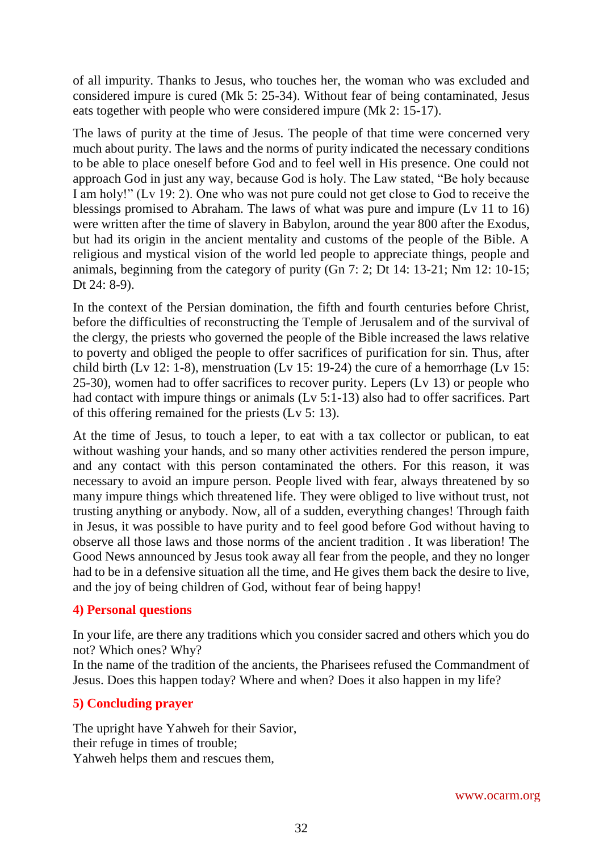of all impurity. Thanks to Jesus, who touches her, the woman who was excluded and considered impure is cured (Mk 5: 25-34). Without fear of being contaminated, Jesus eats together with people who were considered impure (Mk 2: 15-17).

The laws of purity at the time of Jesus. The people of that time were concerned very much about purity. The laws and the norms of purity indicated the necessary conditions to be able to place oneself before God and to feel well in His presence. One could not approach God in just any way, because God is holy. The Law stated, "Be holy because I am holy!" (Lv 19: 2). One who was not pure could not get close to God to receive the blessings promised to Abraham. The laws of what was pure and impure (Lv 11 to 16) were written after the time of slavery in Babylon, around the year 800 after the Exodus, but had its origin in the ancient mentality and customs of the people of the Bible. A religious and mystical vision of the world led people to appreciate things, people and animals, beginning from the category of purity (Gn 7: 2; Dt 14: 13-21; Nm 12: 10-15; Dt 24: 8-9).

In the context of the Persian domination, the fifth and fourth centuries before Christ, before the difficulties of reconstructing the Temple of Jerusalem and of the survival of the clergy, the priests who governed the people of the Bible increased the laws relative to poverty and obliged the people to offer sacrifices of purification for sin. Thus, after child birth (Lv 12: 1-8), menstruation (Lv 15: 19-24) the cure of a hemorrhage (Lv 15: 25-30), women had to offer sacrifices to recover purity. Lepers (Lv 13) or people who had contact with impure things or animals (Lv 5:1-13) also had to offer sacrifices. Part of this offering remained for the priests (Lv 5: 13).

At the time of Jesus, to touch a leper, to eat with a tax collector or publican, to eat without washing your hands, and so many other activities rendered the person impure, and any contact with this person contaminated the others. For this reason, it was necessary to avoid an impure person. People lived with fear, always threatened by so many impure things which threatened life. They were obliged to live without trust, not trusting anything or anybody. Now, all of a sudden, everything changes! Through faith in Jesus, it was possible to have purity and to feel good before God without having to observe all those laws and those norms of the ancient tradition . It was liberation! The Good News announced by Jesus took away all fear from the people, and they no longer had to be in a defensive situation all the time, and He gives them back the desire to live, and the joy of being children of God, without fear of being happy!

# **4) Personal questions**

In your life, are there any traditions which you consider sacred and others which you do not? Which ones? Why?

In the name of the tradition of the ancients, the Pharisees refused the Commandment of Jesus. Does this happen today? Where and when? Does it also happen in my life?

# **5) Concluding prayer**

The upright have Yahweh for their Savior, their refuge in times of trouble; Yahweh helps them and rescues them,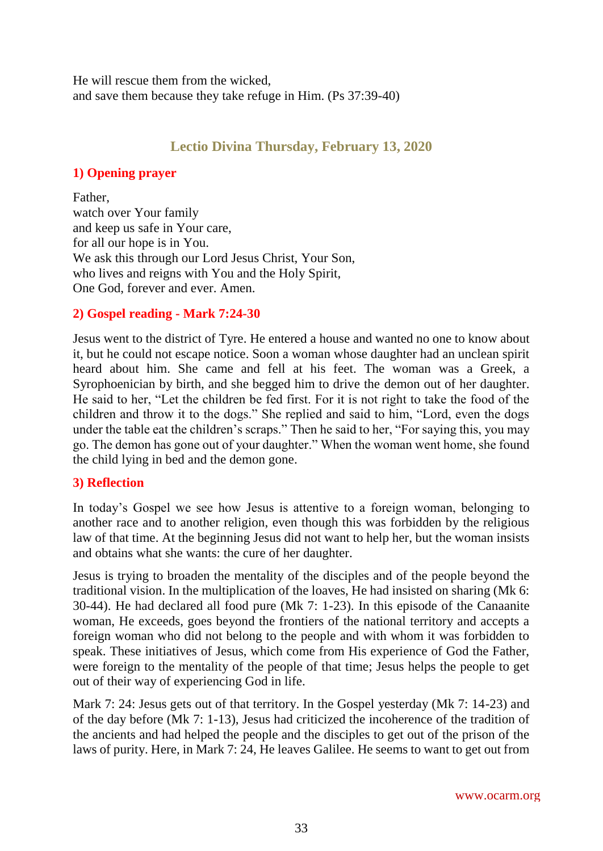He will rescue them from the wicked, and save them because they take refuge in Him. (Ps 37:39-40)

# **Lectio Divina Thursday, February 13, 2020**

# <span id="page-32-0"></span>**1) Opening prayer**

Father, watch over Your family and keep us safe in Your care, for all our hope is in You. We ask this through our Lord Jesus Christ, Your Son, who lives and reigns with You and the Holy Spirit, One God, forever and ever. Amen.

# **2) Gospel reading - Mark 7:24-30**

Jesus went to the district of Tyre. He entered a house and wanted no one to know about it, but he could not escape notice. Soon a woman whose daughter had an unclean spirit heard about him. She came and fell at his feet. The woman was a Greek, a Syrophoenician by birth, and she begged him to drive the demon out of her daughter. He said to her, "Let the children be fed first. For it is not right to take the food of the children and throw it to the dogs." She replied and said to him, "Lord, even the dogs under the table eat the children's scraps." Then he said to her, "For saying this, you may go. The demon has gone out of your daughter." When the woman went home, she found the child lying in bed and the demon gone.

# **3) Reflection**

In today's Gospel we see how Jesus is attentive to a foreign woman, belonging to another race and to another religion, even though this was forbidden by the religious law of that time. At the beginning Jesus did not want to help her, but the woman insists and obtains what she wants: the cure of her daughter.

Jesus is trying to broaden the mentality of the disciples and of the people beyond the traditional vision. In the multiplication of the loaves, He had insisted on sharing (Mk 6: 30-44). He had declared all food pure (Mk 7: 1-23). In this episode of the Canaanite woman, He exceeds, goes beyond the frontiers of the national territory and accepts a foreign woman who did not belong to the people and with whom it was forbidden to speak. These initiatives of Jesus, which come from His experience of God the Father, were foreign to the mentality of the people of that time; Jesus helps the people to get out of their way of experiencing God in life.

Mark 7: 24: Jesus gets out of that territory. In the Gospel yesterday (Mk 7: 14-23) and of the day before (Mk 7: 1-13), Jesus had criticized the incoherence of the tradition of the ancients and had helped the people and the disciples to get out of the prison of the laws of purity. Here, in Mark 7: 24, He leaves Galilee. He seems to want to get out from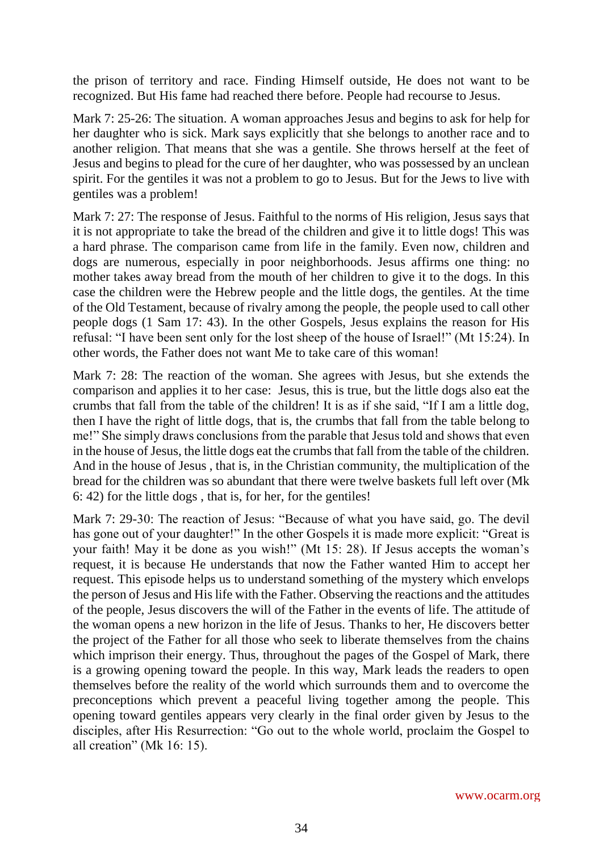the prison of territory and race. Finding Himself outside, He does not want to be recognized. But His fame had reached there before. People had recourse to Jesus.

Mark 7: 25-26: The situation. A woman approaches Jesus and begins to ask for help for her daughter who is sick. Mark says explicitly that she belongs to another race and to another religion. That means that she was a gentile. She throws herself at the feet of Jesus and begins to plead for the cure of her daughter, who was possessed by an unclean spirit. For the gentiles it was not a problem to go to Jesus. But for the Jews to live with gentiles was a problem!

Mark 7: 27: The response of Jesus. Faithful to the norms of His religion, Jesus says that it is not appropriate to take the bread of the children and give it to little dogs! This was a hard phrase. The comparison came from life in the family. Even now, children and dogs are numerous, especially in poor neighborhoods. Jesus affirms one thing: no mother takes away bread from the mouth of her children to give it to the dogs. In this case the children were the Hebrew people and the little dogs, the gentiles. At the time of the Old Testament, because of rivalry among the people, the people used to call other people dogs (1 Sam 17: 43). In the other Gospels, Jesus explains the reason for His refusal: "I have been sent only for the lost sheep of the house of Israel!" (Mt 15:24). In other words, the Father does not want Me to take care of this woman!

Mark 7: 28: The reaction of the woman. She agrees with Jesus, but she extends the comparison and applies it to her case: Jesus, this is true, but the little dogs also eat the crumbs that fall from the table of the children! It is as if she said, "If I am a little dog, then I have the right of little dogs, that is, the crumbs that fall from the table belong to me!" She simply draws conclusions from the parable that Jesus told and shows that even in the house of Jesus, the little dogs eat the crumbs that fall from the table of the children. And in the house of Jesus , that is, in the Christian community, the multiplication of the bread for the children was so abundant that there were twelve baskets full left over (Mk 6: 42) for the little dogs , that is, for her, for the gentiles!

Mark 7: 29-30: The reaction of Jesus: "Because of what you have said, go. The devil has gone out of your daughter!" In the other Gospels it is made more explicit: "Great is your faith! May it be done as you wish!" (Mt 15: 28). If Jesus accepts the woman's request, it is because He understands that now the Father wanted Him to accept her request. This episode helps us to understand something of the mystery which envelops the person of Jesus and His life with the Father. Observing the reactions and the attitudes of the people, Jesus discovers the will of the Father in the events of life. The attitude of the woman opens a new horizon in the life of Jesus. Thanks to her, He discovers better the project of the Father for all those who seek to liberate themselves from the chains which imprison their energy. Thus, throughout the pages of the Gospel of Mark, there is a growing opening toward the people. In this way, Mark leads the readers to open themselves before the reality of the world which surrounds them and to overcome the preconceptions which prevent a peaceful living together among the people. This opening toward gentiles appears very clearly in the final order given by Jesus to the disciples, after His Resurrection: "Go out to the whole world, proclaim the Gospel to all creation" (Mk 16: 15).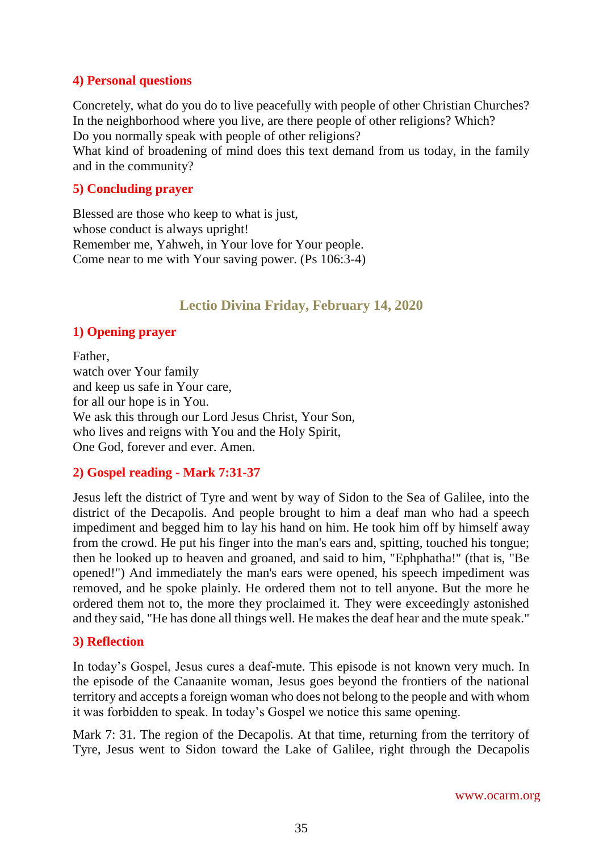# **4) Personal questions**

Concretely, what do you do to live peacefully with people of other Christian Churches? In the neighborhood where you live, are there people of other religions? Which? Do you normally speak with people of other religions?

What kind of broadening of mind does this text demand from us today, in the family and in the community?

### **5) Concluding prayer**

Blessed are those who keep to what is just, whose conduct is always upright! Remember me, Yahweh, in Your love for Your people. Come near to me with Your saving power. (Ps 106:3-4)

# **Lectio Divina Friday, February 14, 2020**

### <span id="page-34-0"></span>**1) Opening prayer**

Father, watch over Your family and keep us safe in Your care, for all our hope is in You. We ask this through our Lord Jesus Christ, Your Son, who lives and reigns with You and the Holy Spirit, One God, forever and ever. Amen.

### **2) Gospel reading - Mark 7:31-37**

Jesus left the district of Tyre and went by way of Sidon to the Sea of Galilee, into the district of the Decapolis. And people brought to him a deaf man who had a speech impediment and begged him to lay his hand on him. He took him off by himself away from the crowd. He put his finger into the man's ears and, spitting, touched his tongue; then he looked up to heaven and groaned, and said to him, "Ephphatha!" (that is, "Be opened!") And immediately the man's ears were opened, his speech impediment was removed, and he spoke plainly. He ordered them not to tell anyone. But the more he ordered them not to, the more they proclaimed it. They were exceedingly astonished and they said, "He has done all things well. He makes the deaf hear and the mute speak."

# **3) Reflection**

In today's Gospel, Jesus cures a deaf-mute. This episode is not known very much. In the episode of the Canaanite woman, Jesus goes beyond the frontiers of the national territory and accepts a foreign woman who does not belong to the people and with whom it was forbidden to speak. In today's Gospel we notice this same opening.

Mark 7: 31. The region of the Decapolis. At that time, returning from the territory of Tyre, Jesus went to Sidon toward the Lake of Galilee, right through the Decapolis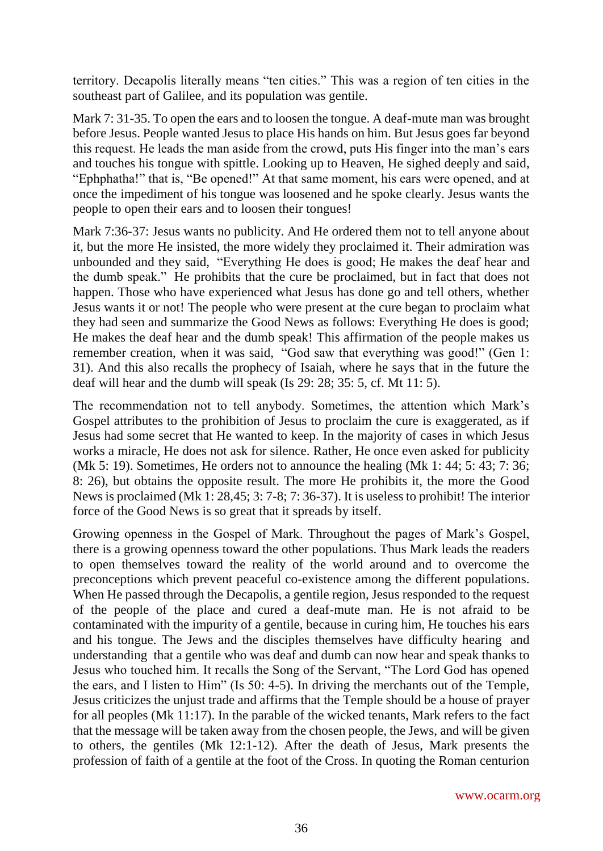territory. Decapolis literally means "ten cities." This was a region of ten cities in the southeast part of Galilee, and its population was gentile.

Mark 7: 31-35. To open the ears and to loosen the tongue. A deaf-mute man was brought before Jesus. People wanted Jesus to place His hands on him. But Jesus goes far beyond this request. He leads the man aside from the crowd, puts His finger into the man's ears and touches his tongue with spittle. Looking up to Heaven, He sighed deeply and said, "Ephphatha!" that is, "Be opened!" At that same moment, his ears were opened, and at once the impediment of his tongue was loosened and he spoke clearly. Jesus wants the people to open their ears and to loosen their tongues!

Mark 7:36-37: Jesus wants no publicity. And He ordered them not to tell anyone about it, but the more He insisted, the more widely they proclaimed it. Their admiration was unbounded and they said, "Everything He does is good; He makes the deaf hear and the dumb speak." He prohibits that the cure be proclaimed, but in fact that does not happen. Those who have experienced what Jesus has done go and tell others, whether Jesus wants it or not! The people who were present at the cure began to proclaim what they had seen and summarize the Good News as follows: Everything He does is good; He makes the deaf hear and the dumb speak! This affirmation of the people makes us remember creation, when it was said, "God saw that everything was good!" (Gen 1: 31). And this also recalls the prophecy of Isaiah, where he says that in the future the deaf will hear and the dumb will speak (Is 29: 28; 35: 5, cf. Mt 11: 5).

The recommendation not to tell anybody. Sometimes, the attention which Mark's Gospel attributes to the prohibition of Jesus to proclaim the cure is exaggerated, as if Jesus had some secret that He wanted to keep. In the majority of cases in which Jesus works a miracle, He does not ask for silence. Rather, He once even asked for publicity (Mk 5: 19). Sometimes, He orders not to announce the healing (Mk 1: 44; 5: 43; 7: 36; 8: 26), but obtains the opposite result. The more He prohibits it, the more the Good News is proclaimed (Mk 1: 28,45; 3: 7-8; 7: 36-37). It is useless to prohibit! The interior force of the Good News is so great that it spreads by itself.

Growing openness in the Gospel of Mark. Throughout the pages of Mark's Gospel, there is a growing openness toward the other populations. Thus Mark leads the readers to open themselves toward the reality of the world around and to overcome the preconceptions which prevent peaceful co-existence among the different populations. When He passed through the Decapolis, a gentile region, Jesus responded to the request of the people of the place and cured a deaf-mute man. He is not afraid to be contaminated with the impurity of a gentile, because in curing him, He touches his ears and his tongue. The Jews and the disciples themselves have difficulty hearing and understanding that a gentile who was deaf and dumb can now hear and speak thanks to Jesus who touched him. It recalls the Song of the Servant, "The Lord God has opened the ears, and I listen to Him" (Is 50: 4-5). In driving the merchants out of the Temple, Jesus criticizes the unjust trade and affirms that the Temple should be a house of prayer for all peoples (Mk 11:17). In the parable of the wicked tenants, Mark refers to the fact that the message will be taken away from the chosen people, the Jews, and will be given to others, the gentiles (Mk 12:1-12). After the death of Jesus, Mark presents the profession of faith of a gentile at the foot of the Cross. In quoting the Roman centurion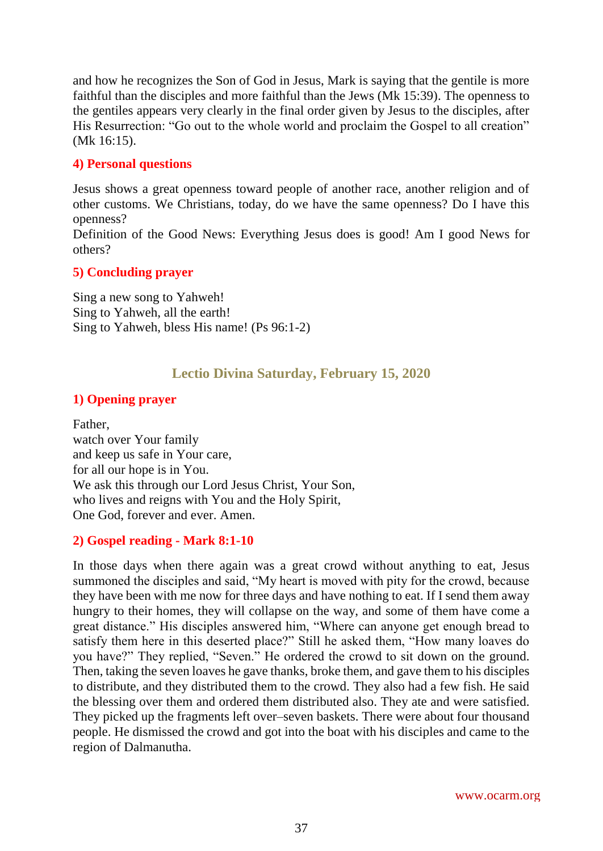and how he recognizes the Son of God in Jesus, Mark is saying that the gentile is more faithful than the disciples and more faithful than the Jews (Mk 15:39). The openness to the gentiles appears very clearly in the final order given by Jesus to the disciples, after His Resurrection: "Go out to the whole world and proclaim the Gospel to all creation" (Mk 16:15).

### **4) Personal questions**

Jesus shows a great openness toward people of another race, another religion and of other customs. We Christians, today, do we have the same openness? Do I have this openness?

Definition of the Good News: Everything Jesus does is good! Am I good News for others?

## **5) Concluding prayer**

Sing a new song to Yahweh! Sing to Yahweh, all the earth! Sing to Yahweh, bless His name! (Ps 96:1-2)

# **Lectio Divina Saturday, February 15, 2020**

### **1) Opening prayer**

Father, watch over Your family and keep us safe in Your care, for all our hope is in You. We ask this through our Lord Jesus Christ, Your Son, who lives and reigns with You and the Holy Spirit, One God, forever and ever. Amen.

# **2) Gospel reading - Mark 8:1-10**

In those days when there again was a great crowd without anything to eat, Jesus summoned the disciples and said, "My heart is moved with pity for the crowd, because they have been with me now for three days and have nothing to eat. If I send them away hungry to their homes, they will collapse on the way, and some of them have come a great distance." His disciples answered him, "Where can anyone get enough bread to satisfy them here in this deserted place?" Still he asked them, "How many loaves do you have?" They replied, "Seven." He ordered the crowd to sit down on the ground. Then, taking the seven loaves he gave thanks, broke them, and gave them to his disciples to distribute, and they distributed them to the crowd. They also had a few fish. He said the blessing over them and ordered them distributed also. They ate and were satisfied. They picked up the fragments left over–seven baskets. There were about four thousand people. He dismissed the crowd and got into the boat with his disciples and came to the region of Dalmanutha.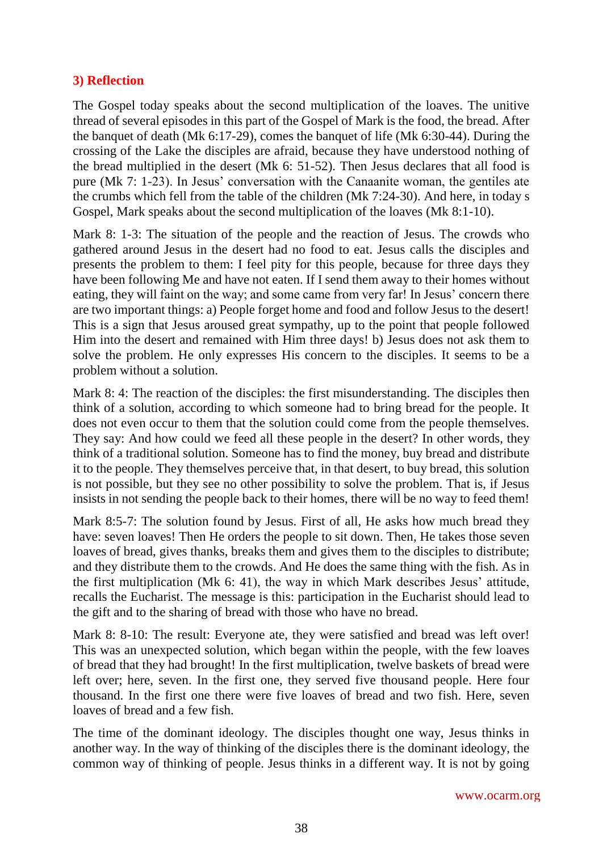### **3) Reflection**

The Gospel today speaks about the second multiplication of the loaves. The unitive thread of several episodes in this part of the Gospel of Mark is the food, the bread. After the banquet of death (Mk 6:17-29), comes the banquet of life (Mk 6:30-44). During the crossing of the Lake the disciples are afraid, because they have understood nothing of the bread multiplied in the desert (Mk 6: 51-52). Then Jesus declares that all food is pure (Mk 7: 1-23). In Jesus' conversation with the Canaanite woman, the gentiles ate the crumbs which fell from the table of the children (Mk 7:24-30). And here, in today s Gospel, Mark speaks about the second multiplication of the loaves (Mk 8:1-10).

Mark 8: 1-3: The situation of the people and the reaction of Jesus. The crowds who gathered around Jesus in the desert had no food to eat. Jesus calls the disciples and presents the problem to them: I feel pity for this people, because for three days they have been following Me and have not eaten. If I send them away to their homes without eating, they will faint on the way; and some came from very far! In Jesus' concern there are two important things: a) People forget home and food and follow Jesus to the desert! This is a sign that Jesus aroused great sympathy, up to the point that people followed Him into the desert and remained with Him three days! b) Jesus does not ask them to solve the problem. He only expresses His concern to the disciples. It seems to be a problem without a solution.

Mark 8: 4: The reaction of the disciples: the first misunderstanding. The disciples then think of a solution, according to which someone had to bring bread for the people. It does not even occur to them that the solution could come from the people themselves. They say: And how could we feed all these people in the desert? In other words, they think of a traditional solution. Someone has to find the money, buy bread and distribute it to the people. They themselves perceive that, in that desert, to buy bread, this solution is not possible, but they see no other possibility to solve the problem. That is, if Jesus insists in not sending the people back to their homes, there will be no way to feed them!

Mark 8:5-7: The solution found by Jesus. First of all, He asks how much bread they have: seven loaves! Then He orders the people to sit down. Then, He takes those seven loaves of bread, gives thanks, breaks them and gives them to the disciples to distribute; and they distribute them to the crowds. And He does the same thing with the fish. As in the first multiplication (Mk 6: 41), the way in which Mark describes Jesus' attitude, recalls the Eucharist. The message is this: participation in the Eucharist should lead to the gift and to the sharing of bread with those who have no bread.

Mark 8: 8-10: The result: Everyone ate, they were satisfied and bread was left over! This was an unexpected solution, which began within the people, with the few loaves of bread that they had brought! In the first multiplication, twelve baskets of bread were left over; here, seven. In the first one, they served five thousand people. Here four thousand. In the first one there were five loaves of bread and two fish. Here, seven loaves of bread and a few fish.

The time of the dominant ideology. The disciples thought one way, Jesus thinks in another way. In the way of thinking of the disciples there is the dominant ideology, the common way of thinking of people. Jesus thinks in a different way. It is not by going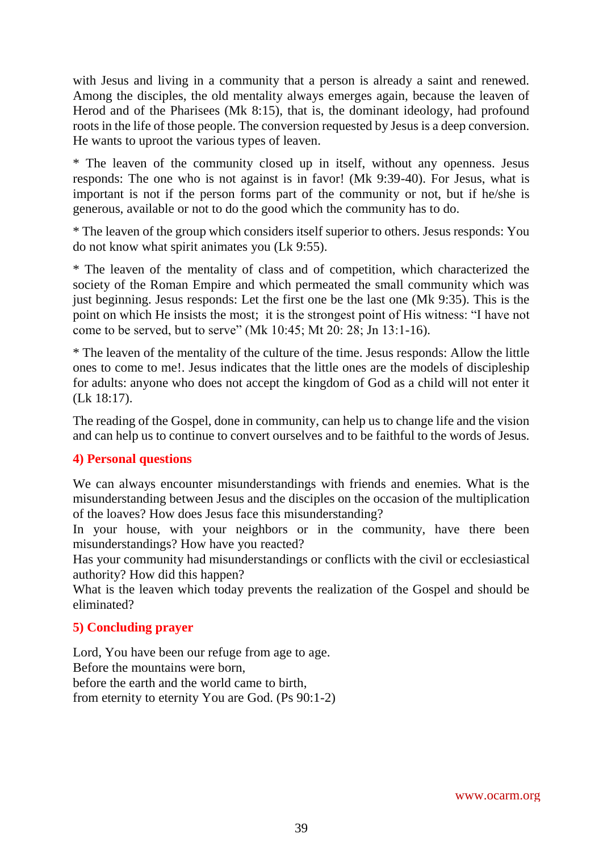with Jesus and living in a community that a person is already a saint and renewed. Among the disciples, the old mentality always emerges again, because the leaven of Herod and of the Pharisees (Mk 8:15), that is, the dominant ideology, had profound roots in the life of those people. The conversion requested by Jesus is a deep conversion. He wants to uproot the various types of leaven.

\* The leaven of the community closed up in itself, without any openness. Jesus responds: The one who is not against is in favor! (Mk 9:39-40). For Jesus, what is important is not if the person forms part of the community or not, but if he/she is generous, available or not to do the good which the community has to do.

\* The leaven of the group which considers itself superior to others. Jesus responds: You do not know what spirit animates you (Lk 9:55).

\* The leaven of the mentality of class and of competition, which characterized the society of the Roman Empire and which permeated the small community which was just beginning. Jesus responds: Let the first one be the last one (Mk 9:35). This is the point on which He insists the most; it is the strongest point of His witness: "I have not come to be served, but to serve" (Mk 10:45; Mt 20: 28; Jn 13:1-16).

\* The leaven of the mentality of the culture of the time. Jesus responds: Allow the little ones to come to me!. Jesus indicates that the little ones are the models of discipleship for adults: anyone who does not accept the kingdom of God as a child will not enter it (Lk 18:17).

The reading of the Gospel, done in community, can help us to change life and the vision and can help us to continue to convert ourselves and to be faithful to the words of Jesus.

# **4) Personal questions**

We can always encounter misunderstandings with friends and enemies. What is the misunderstanding between Jesus and the disciples on the occasion of the multiplication of the loaves? How does Jesus face this misunderstanding?

In your house, with your neighbors or in the community, have there been misunderstandings? How have you reacted?

Has your community had misunderstandings or conflicts with the civil or ecclesiastical authority? How did this happen?

What is the leaven which today prevents the realization of the Gospel and should be eliminated?

# **5) Concluding prayer**

Lord, You have been our refuge from age to age. Before the mountains were born, before the earth and the world came to birth, from eternity to eternity You are God. (Ps 90:1-2)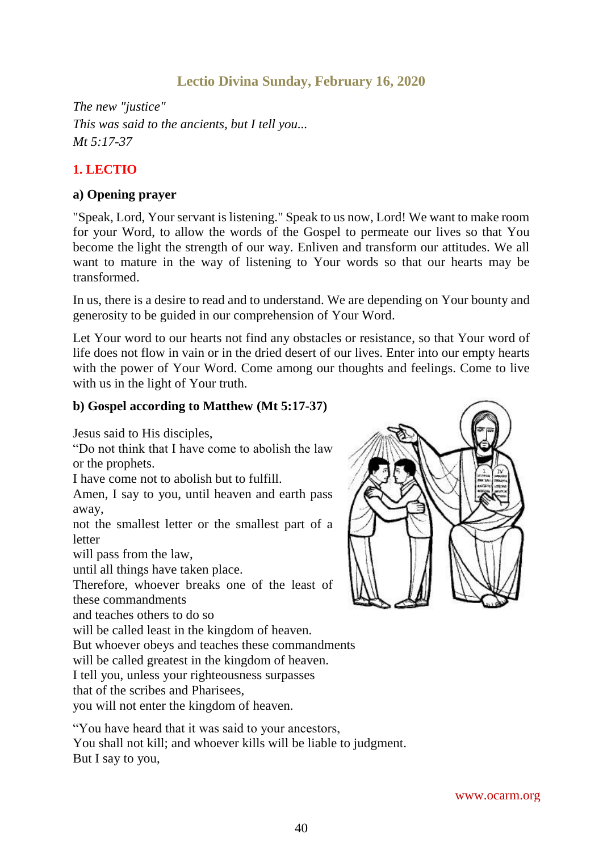# **Lectio Divina Sunday, February 16, 2020**

*The new "justice" This was said to the ancients, but I tell you... Mt 5:17-37*

# **1. LECTIO**

#### **a) Opening prayer**

"Speak, Lord, Your servant is listening." Speak to us now, Lord! We want to make room for your Word, to allow the words of the Gospel to permeate our lives so that You become the light the strength of our way. Enliven and transform our attitudes. We all want to mature in the way of listening to Your words so that our hearts may be transformed.

In us, there is a desire to read and to understand. We are depending on Your bounty and generosity to be guided in our comprehension of Your Word.

Let Your word to our hearts not find any obstacles or resistance, so that Your word of life does not flow in vain or in the dried desert of our lives. Enter into our empty hearts with the power of Your Word. Come among our thoughts and feelings. Come to live with us in the light of Your truth.

### **b) Gospel according to Matthew (Mt 5:17-37)**

Jesus said to His disciples,

"Do not think that I have come to abolish the law or the prophets.

I have come not to abolish but to fulfill.

Amen, I say to you, until heaven and earth pass away,

not the smallest letter or the smallest part of a **letter** 

will pass from the law,

until all things have taken place.

Therefore, whoever breaks one of the least of these commandments

and teaches others to do so

will be called least in the kingdom of heaven.

But whoever obeys and teaches these commandments

will be called greatest in the kingdom of heaven.

I tell you, unless your righteousness surpasses

that of the scribes and Pharisees,

you will not enter the kingdom of heaven.

"You have heard that it was said to your ancestors,

You shall not kill; and whoever kills will be liable to judgment. But I say to you,

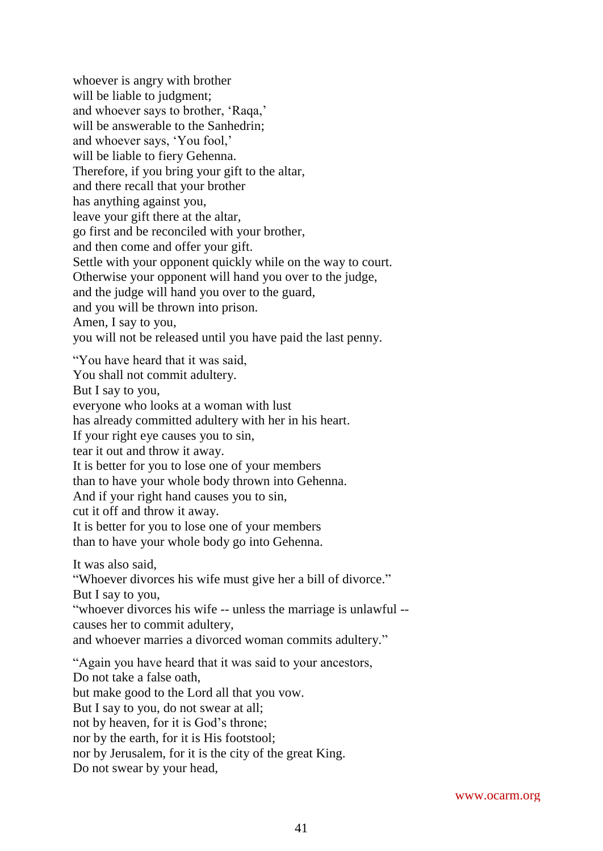whoever is angry with brother will be liable to judgment; and whoever says to brother, 'Raqa,' will be answerable to the Sanhedrin; and whoever says, 'You fool,' will be liable to fiery Gehenna. Therefore, if you bring your gift to the altar, and there recall that your brother has anything against you, leave your gift there at the altar, go first and be reconciled with your brother, and then come and offer your gift. Settle with your opponent quickly while on the way to court. Otherwise your opponent will hand you over to the judge, and the judge will hand you over to the guard, and you will be thrown into prison. Amen, I say to you, you will not be released until you have paid the last penny. "You have heard that it was said, You shall not commit adultery. But I say to you, everyone who looks at a woman with lust has already committed adultery with her in his heart. If your right eye causes you to sin, tear it out and throw it away. It is better for you to lose one of your members than to have your whole body thrown into Gehenna. And if your right hand causes you to sin, cut it off and throw it away. It is better for you to lose one of your members than to have your whole body go into Gehenna. It was also said, "Whoever divorces his wife must give her a bill of divorce." But I say to you, "whoever divorces his wife -- unless the marriage is unlawful - causes her to commit adultery, and whoever marries a divorced woman commits adultery." "Again you have heard that it was said to your ancestors, Do not take a false oath, but make good to the Lord all that you vow. But I say to you, do not swear at all; not by heaven, for it is God's throne; nor by the earth, for it is His footstool; nor by Jerusalem, for it is the city of the great King. Do not swear by your head,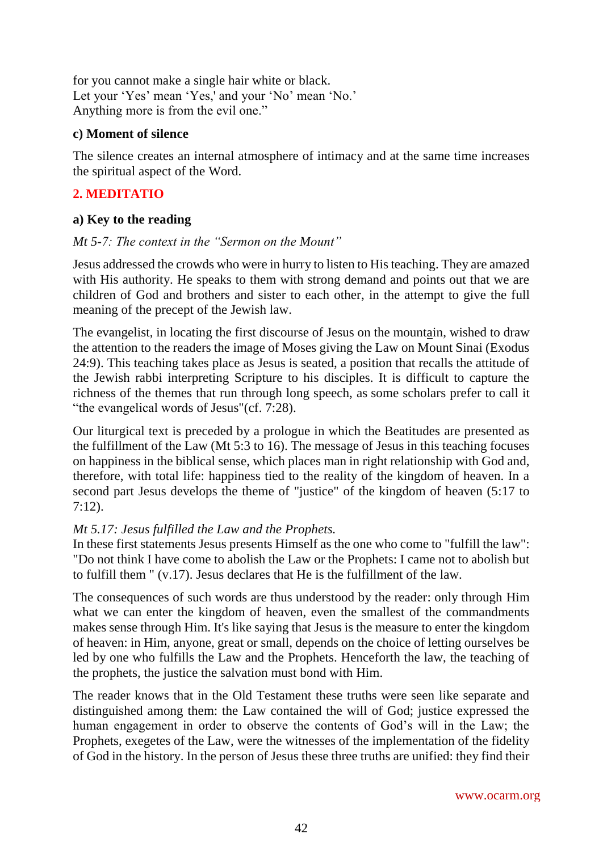for you cannot make a single hair white or black. Let your 'Yes' mean 'Yes,' and your 'No' mean 'No.' Anything more is from the evil one."

#### **c) Moment of silence**

The silence creates an internal atmosphere of intimacy and at the same time increases the spiritual aspect of the Word.

## **2. MEDITATIO**

## **a) Key to the reading**

### *Mt 5-7: The context in the "Sermon on the Mount"*

Jesus addressed the crowds who were in hurry to listen to His teaching. They are amazed with His authority. He speaks to them with strong demand and points out that we are children of God and brothers and sister to each other, in the attempt to give the full meaning of the precept of the Jewish law.

The evangelist, in locating the first discourse of Jesus on the mountain, wished to draw the attention to the readers the image of Moses giving the Law on Mount Sinai (Exodus 24:9). This teaching takes place as Jesus is seated, a position that recalls the attitude of the Jewish rabbi interpreting Scripture to his disciples. It is difficult to capture the richness of the themes that run through long speech, as some scholars prefer to call it "the evangelical words of Jesus"(cf. 7:28).

Our liturgical text is preceded by a prologue in which the Beatitudes are presented as the fulfillment of the Law (Mt 5:3 to 16). The message of Jesus in this teaching focuses on happiness in the biblical sense, which places man in right relationship with God and, therefore, with total life: happiness tied to the reality of the kingdom of heaven. In a second part Jesus develops the theme of "justice" of the kingdom of heaven (5:17 to 7:12).

### *Mt 5.17: Jesus fulfilled the Law and the Prophets.*

In these first statements Jesus presents Himself as the one who come to "fulfill the law": "Do not think I have come to abolish the Law or the Prophets: I came not to abolish but to fulfill them " (v.17). Jesus declares that He is the fulfillment of the law.

The consequences of such words are thus understood by the reader: only through Him what we can enter the kingdom of heaven, even the smallest of the commandments makes sense through Him. It's like saying that Jesus is the measure to enter the kingdom of heaven: in Him, anyone, great or small, depends on the choice of letting ourselves be led by one who fulfills the Law and the Prophets. Henceforth the law, the teaching of the prophets, the justice the salvation must bond with Him.

The reader knows that in the Old Testament these truths were seen like separate and distinguished among them: the Law contained the will of God; justice expressed the human engagement in order to observe the contents of God's will in the Law; the Prophets, exegetes of the Law, were the witnesses of the implementation of the fidelity of God in the history. In the person of Jesus these three truths are unified: they find their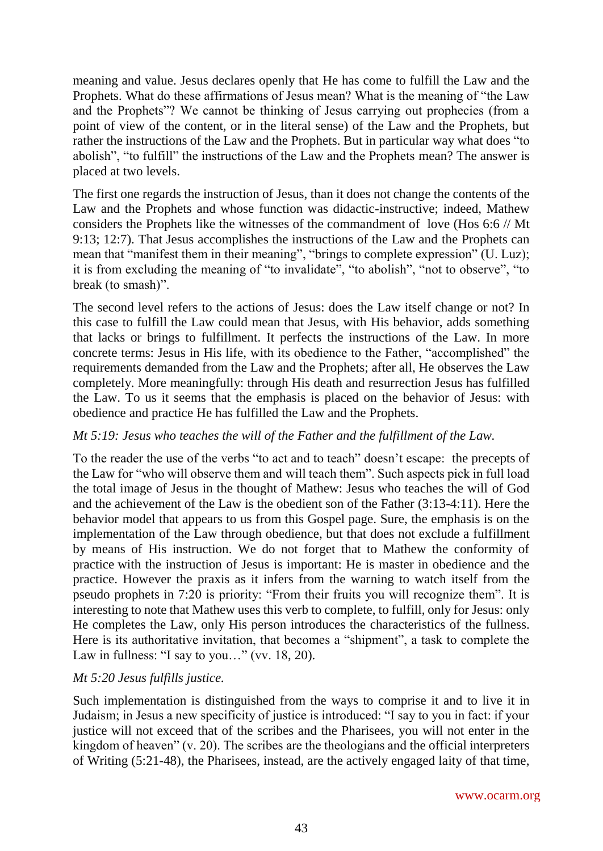meaning and value. Jesus declares openly that He has come to fulfill the Law and the Prophets. What do these affirmations of Jesus mean? What is the meaning of "the Law and the Prophets"? We cannot be thinking of Jesus carrying out prophecies (from a point of view of the content, or in the literal sense) of the Law and the Prophets, but rather the instructions of the Law and the Prophets. But in particular way what does "to abolish", "to fulfill" the instructions of the Law and the Prophets mean? The answer is placed at two levels.

The first one regards the instruction of Jesus, than it does not change the contents of the Law and the Prophets and whose function was didactic-instructive; indeed, Mathew considers the Prophets like the witnesses of the commandment of love (Hos 6:6 // Mt 9:13; 12:7). That Jesus accomplishes the instructions of the Law and the Prophets can mean that "manifest them in their meaning", "brings to complete expression" (U. Luz); it is from excluding the meaning of "to invalidate", "to abolish", "not to observe", "to break (to smash)".

The second level refers to the actions of Jesus: does the Law itself change or not? In this case to fulfill the Law could mean that Jesus, with His behavior, adds something that lacks or brings to fulfillment. It perfects the instructions of the Law. In more concrete terms: Jesus in His life, with its obedience to the Father, "accomplished" the requirements demanded from the Law and the Prophets; after all, He observes the Law completely. More meaningfully: through His death and resurrection Jesus has fulfilled the Law. To us it seems that the emphasis is placed on the behavior of Jesus: with obedience and practice He has fulfilled the Law and the Prophets.

### *Mt 5:19: Jesus who teaches the will of the Father and the fulfillment of the Law.*

To the reader the use of the verbs "to act and to teach" doesn't escape: the precepts of the Law for "who will observe them and will teach them". Such aspects pick in full load the total image of Jesus in the thought of Mathew: Jesus who teaches the will of God and the achievement of the Law is the obedient son of the Father (3:13-4:11). Here the behavior model that appears to us from this Gospel page. Sure, the emphasis is on the implementation of the Law through obedience, but that does not exclude a fulfillment by means of His instruction. We do not forget that to Mathew the conformity of practice with the instruction of Jesus is important: He is master in obedience and the practice. However the praxis as it infers from the warning to watch itself from the pseudo prophets in 7:20 is priority: "From their fruits you will recognize them". It is interesting to note that Mathew uses this verb to complete, to fulfill, only for Jesus: only He completes the Law, only His person introduces the characteristics of the fullness. Here is its authoritative invitation, that becomes a "shipment", a task to complete the Law in fullness: "I say to you..." (vv. 18, 20).

### *Mt 5:20 Jesus fulfills justice.*

Such implementation is distinguished from the ways to comprise it and to live it in Judaism; in Jesus a new specificity of justice is introduced: "I say to you in fact: if your justice will not exceed that of the scribes and the Pharisees, you will not enter in the kingdom of heaven" (v. 20). The scribes are the theologians and the official interpreters of Writing (5:21-48), the Pharisees, instead, are the actively engaged laity of that time,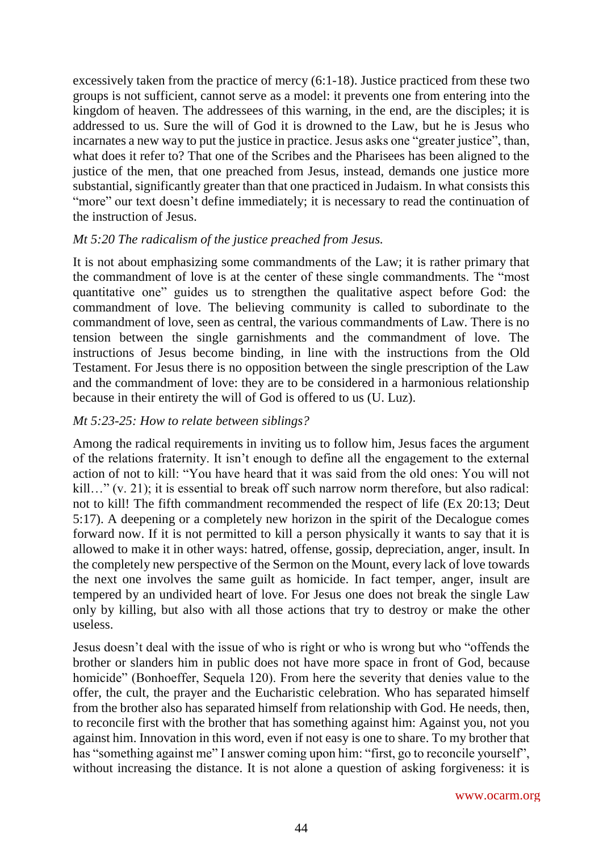excessively taken from the practice of mercy (6:1-18). Justice practiced from these two groups is not sufficient, cannot serve as a model: it prevents one from entering into the kingdom of heaven. The addressees of this warning, in the end, are the disciples; it is addressed to us. Sure the will of God it is drowned to the Law, but he is Jesus who incarnates a new way to put the justice in practice. Jesus asks one "greater justice", than, what does it refer to? That one of the Scribes and the Pharisees has been aligned to the justice of the men, that one preached from Jesus, instead, demands one justice more substantial, significantly greater than that one practiced in Judaism. In what consists this "more" our text doesn't define immediately; it is necessary to read the continuation of the instruction of Jesus.

#### *Mt 5:20 The radicalism of the justice preached from Jesus.*

It is not about emphasizing some commandments of the Law; it is rather primary that the commandment of love is at the center of these single commandments. The "most quantitative one" guides us to strengthen the qualitative aspect before God: the commandment of love. The believing community is called to subordinate to the commandment of love, seen as central, the various commandments of Law. There is no tension between the single garnishments and the commandment of love. The instructions of Jesus become binding, in line with the instructions from the Old Testament. For Jesus there is no opposition between the single prescription of the Law and the commandment of love: they are to be considered in a harmonious relationship because in their entirety the will of God is offered to us (U. Luz).

#### *Mt 5:23-25: How to relate between siblings?*

Among the radical requirements in inviting us to follow him, Jesus faces the argument of the relations fraternity. It isn't enough to define all the engagement to the external action of not to kill: "You have heard that it was said from the old ones: You will not kill…" (v. 21); it is essential to break off such narrow norm therefore, but also radical: not to kill! The fifth commandment recommended the respect of life (Ex 20:13; Deut 5:17). A deepening or a completely new horizon in the spirit of the Decalogue comes forward now. If it is not permitted to kill a person physically it wants to say that it is allowed to make it in other ways: hatred, offense, gossip, depreciation, anger, insult. In the completely new perspective of the Sermon on the Mount, every lack of love towards the next one involves the same guilt as homicide. In fact temper, anger, insult are tempered by an undivided heart of love. For Jesus one does not break the single Law only by killing, but also with all those actions that try to destroy or make the other useless.

Jesus doesn't deal with the issue of who is right or who is wrong but who "offends the brother or slanders him in public does not have more space in front of God, because homicide" (Bonhoeffer, Sequela 120). From here the severity that denies value to the offer, the cult, the prayer and the Eucharistic celebration. Who has separated himself from the brother also has separated himself from relationship with God. He needs, then, to reconcile first with the brother that has something against him: Against you, not you against him. Innovation in this word, even if not easy is one to share. To my brother that has "something against me" I answer coming upon him: "first, go to reconcile yourself", without increasing the distance. It is not alone a question of asking forgiveness: it is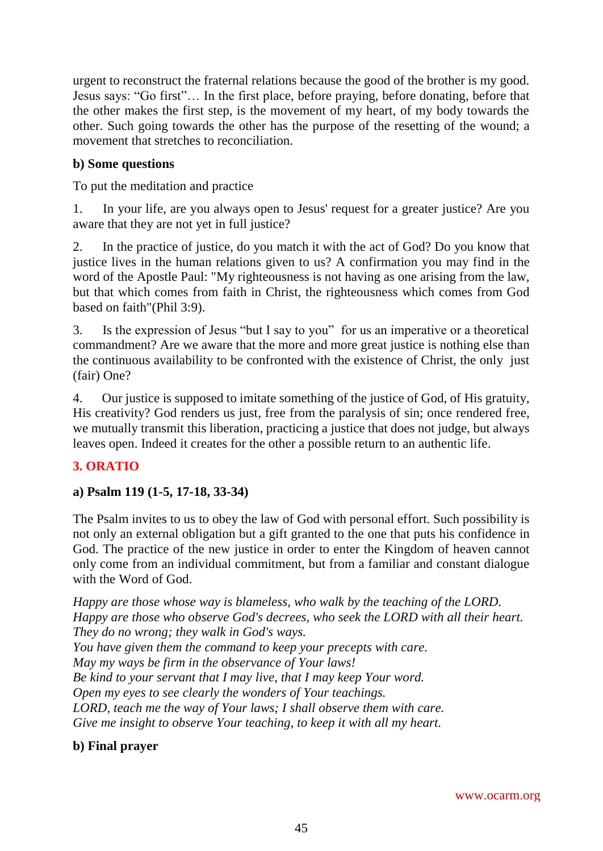urgent to reconstruct the fraternal relations because the good of the brother is my good. Jesus says: "Go first"… In the first place, before praying, before donating, before that the other makes the first step, is the movement of my heart, of my body towards the other. Such going towards the other has the purpose of the resetting of the wound; a movement that stretches to reconciliation.

## **b) Some questions**

To put the meditation and practice

1. In your life, are you always open to Jesus' request for a greater justice? Are you aware that they are not yet in full justice?

2. In the practice of justice, do you match it with the act of God? Do you know that justice lives in the human relations given to us? A confirmation you may find in the word of the Apostle Paul: "My righteousness is not having as one arising from the law, but that which comes from faith in Christ, the righteousness which comes from God based on faith"(Phil 3:9).

3. Is the expression of Jesus "but I say to you" for us an imperative or a theoretical commandment? Are we aware that the more and more great justice is nothing else than the continuous availability to be confronted with the existence of Christ, the only just (fair) One?

4. Our justice is supposed to imitate something of the justice of God, of His gratuity, His creativity? God renders us just, free from the paralysis of sin; once rendered free, we mutually transmit this liberation, practicing a justice that does not judge, but always leaves open. Indeed it creates for the other a possible return to an authentic life.

# **3. ORATIO**

# **a) Psalm 119 (1-5, 17-18, 33-34)**

The Psalm invites to us to obey the law of God with personal effort. Such possibility is not only an external obligation but a gift granted to the one that puts his confidence in God. The practice of the new justice in order to enter the Kingdom of heaven cannot only come from an individual commitment, but from a familiar and constant dialogue with the Word of God.

*Happy are those whose way is blameless, who walk by the teaching of the LORD. Happy are those who observe God's decrees, who seek the LORD with all their heart. They do no wrong; they walk in God's ways. You have given them the command to keep your precepts with care. May my ways be firm in the observance of Your laws! Be kind to your servant that I may live, that I may keep Your word. Open my eyes to see clearly the wonders of Your teachings. LORD, teach me the way of Your laws; I shall observe them with care. Give me insight to observe Your teaching, to keep it with all my heart.*

### **b) Final prayer**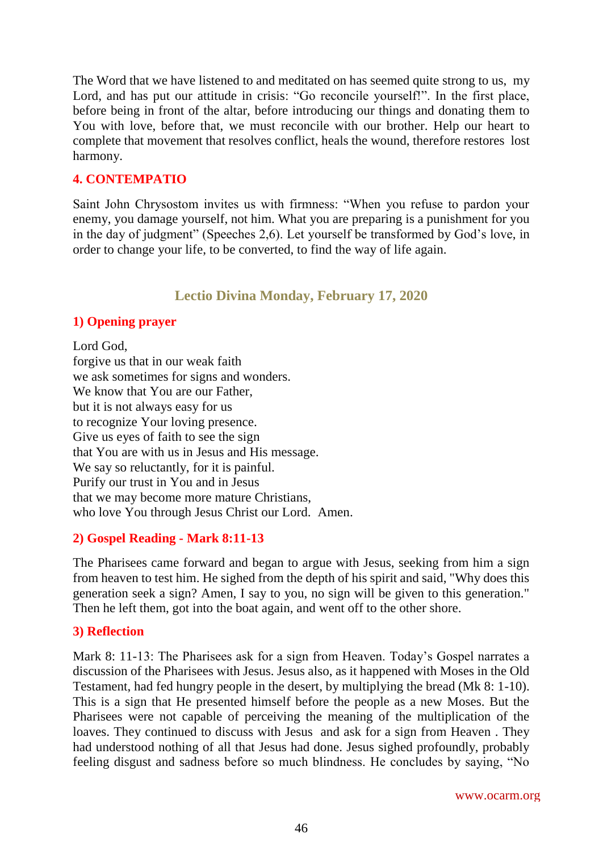The Word that we have listened to and meditated on has seemed quite strong to us, my Lord, and has put our attitude in crisis: "Go reconcile yourself!". In the first place, before being in front of the altar, before introducing our things and donating them to You with love, before that, we must reconcile with our brother. Help our heart to complete that movement that resolves conflict, heals the wound, therefore restores lost harmony.

## **4. CONTEMPATIO**

Saint John Chrysostom invites us with firmness: "When you refuse to pardon your enemy, you damage yourself, not him. What you are preparing is a punishment for you in the day of judgment" (Speeches 2,6). Let yourself be transformed by God's love, in order to change your life, to be converted, to find the way of life again.

# **Lectio Divina Monday, February 17, 2020**

## **1) Opening prayer**

Lord God, forgive us that in our weak faith we ask sometimes for signs and wonders. We know that You are our Father, but it is not always easy for us to recognize Your loving presence. Give us eyes of faith to see the sign that You are with us in Jesus and His message. We say so reluctantly, for it is painful. Purify our trust in You and in Jesus that we may become more mature Christians, who love You through Jesus Christ our Lord. Amen.

# **2) Gospel Reading - Mark 8:11-13**

The Pharisees came forward and began to argue with Jesus, seeking from him a sign from heaven to test him. He sighed from the depth of his spirit and said, "Why does this generation seek a sign? Amen, I say to you, no sign will be given to this generation." Then he left them, got into the boat again, and went off to the other shore.

### **3) Reflection**

Mark 8: 11-13: The Pharisees ask for a sign from Heaven. Today's Gospel narrates a discussion of the Pharisees with Jesus. Jesus also, as it happened with Moses in the Old Testament, had fed hungry people in the desert, by multiplying the bread (Mk 8: 1-10). This is a sign that He presented himself before the people as a new Moses. But the Pharisees were not capable of perceiving the meaning of the multiplication of the loaves. They continued to discuss with Jesus and ask for a sign from Heaven . They had understood nothing of all that Jesus had done. Jesus sighed profoundly, probably feeling disgust and sadness before so much blindness. He concludes by saying, "No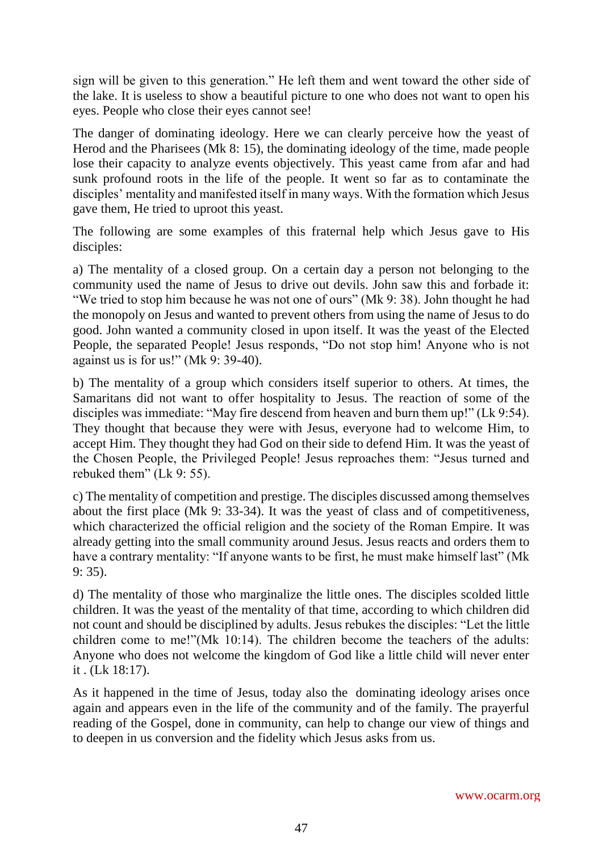sign will be given to this generation." He left them and went toward the other side of the lake. It is useless to show a beautiful picture to one who does not want to open his eyes. People who close their eyes cannot see!

The danger of dominating ideology. Here we can clearly perceive how the yeast of Herod and the Pharisees (Mk 8: 15), the dominating ideology of the time, made people lose their capacity to analyze events objectively. This yeast came from afar and had sunk profound roots in the life of the people. It went so far as to contaminate the disciples' mentality and manifested itself in many ways. With the formation which Jesus gave them, He tried to uproot this yeast.

The following are some examples of this fraternal help which Jesus gave to His disciples:

a) The mentality of a closed group. On a certain day a person not belonging to the community used the name of Jesus to drive out devils. John saw this and forbade it: "We tried to stop him because he was not one of ours" (Mk 9: 38). John thought he had the monopoly on Jesus and wanted to prevent others from using the name of Jesus to do good. John wanted a community closed in upon itself. It was the yeast of the Elected People, the separated People! Jesus responds, "Do not stop him! Anyone who is not against us is for us!" (Mk 9: 39-40).

b) The mentality of a group which considers itself superior to others. At times, the Samaritans did not want to offer hospitality to Jesus. The reaction of some of the disciples was immediate: "May fire descend from heaven and burn them up!" (Lk 9:54). They thought that because they were with Jesus, everyone had to welcome Him, to accept Him. They thought they had God on their side to defend Him. It was the yeast of the Chosen People, the Privileged People! Jesus reproaches them: "Jesus turned and rebuked them" (Lk 9: 55).

c) The mentality of competition and prestige. The disciples discussed among themselves about the first place (Mk 9: 33-34). It was the yeast of class and of competitiveness, which characterized the official religion and the society of the Roman Empire. It was already getting into the small community around Jesus. Jesus reacts and orders them to have a contrary mentality: "If anyone wants to be first, he must make himself last" (Mk 9: 35).

d) The mentality of those who marginalize the little ones. The disciples scolded little children. It was the yeast of the mentality of that time, according to which children did not count and should be disciplined by adults. Jesus rebukes the disciples: "Let the little children come to me!"(Mk 10:14). The children become the teachers of the adults: Anyone who does not welcome the kingdom of God like a little child will never enter it . (Lk 18:17).

As it happened in the time of Jesus, today also the dominating ideology arises once again and appears even in the life of the community and of the family. The prayerful reading of the Gospel, done in community, can help to change our view of things and to deepen in us conversion and the fidelity which Jesus asks from us.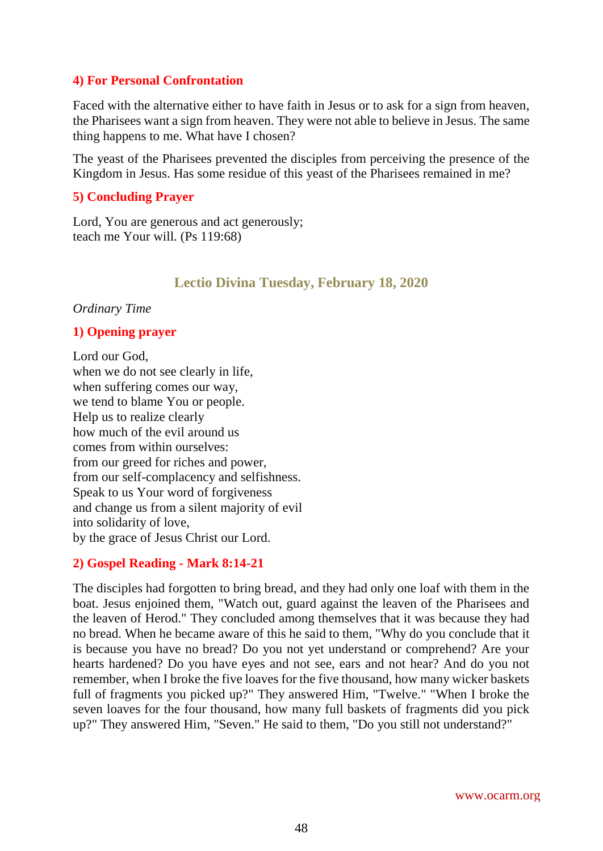### **4) For Personal Confrontation**

Faced with the alternative either to have faith in Jesus or to ask for a sign from heaven, the Pharisees want a sign from heaven. They were not able to believe in Jesus. The same thing happens to me. What have I chosen?

The yeast of the Pharisees prevented the disciples from perceiving the presence of the Kingdom in Jesus. Has some residue of this yeast of the Pharisees remained in me?

#### **5) Concluding Prayer**

Lord, You are generous and act generously; teach me Your will. (Ps 119:68)

#### **Lectio Divina Tuesday, February 18, 2020**

*Ordinary Time*

#### **1) Opening prayer**

Lord our God,

when we do not see clearly in life, when suffering comes our way, we tend to blame You or people. Help us to realize clearly how much of the evil around us comes from within ourselves: from our greed for riches and power, from our self-complacency and selfishness. Speak to us Your word of forgiveness and change us from a silent majority of evil into solidarity of love, by the grace of Jesus Christ our Lord.

### **2) Gospel Reading - Mark 8:14-21**

The disciples had forgotten to bring bread, and they had only one loaf with them in the boat. Jesus enjoined them, "Watch out, guard against the leaven of the Pharisees and the leaven of Herod." They concluded among themselves that it was because they had no bread. When he became aware of this he said to them, "Why do you conclude that it is because you have no bread? Do you not yet understand or comprehend? Are your hearts hardened? Do you have eyes and not see, ears and not hear? And do you not remember, when I broke the five loaves for the five thousand, how many wicker baskets full of fragments you picked up?" They answered Him, "Twelve." "When I broke the seven loaves for the four thousand, how many full baskets of fragments did you pick up?" They answered Him, "Seven." He said to them, "Do you still not understand?"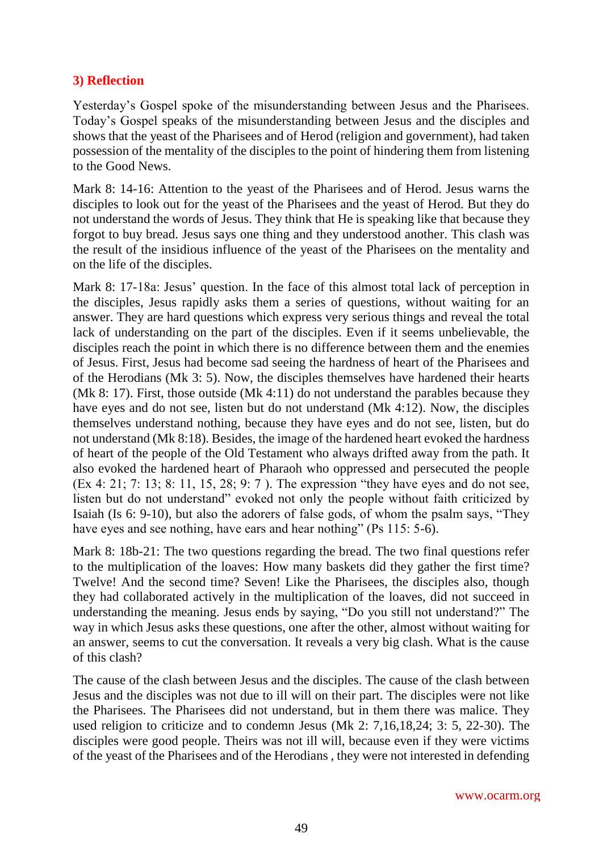# **3) Reflection**

Yesterday's Gospel spoke of the misunderstanding between Jesus and the Pharisees. Today's Gospel speaks of the misunderstanding between Jesus and the disciples and shows that the yeast of the Pharisees and of Herod (religion and government), had taken possession of the mentality of the disciples to the point of hindering them from listening to the Good News.

Mark 8: 14-16: Attention to the yeast of the Pharisees and of Herod. Jesus warns the disciples to look out for the yeast of the Pharisees and the yeast of Herod. But they do not understand the words of Jesus. They think that He is speaking like that because they forgot to buy bread. Jesus says one thing and they understood another. This clash was the result of the insidious influence of the yeast of the Pharisees on the mentality and on the life of the disciples.

Mark 8: 17-18a: Jesus' question. In the face of this almost total lack of perception in the disciples, Jesus rapidly asks them a series of questions, without waiting for an answer. They are hard questions which express very serious things and reveal the total lack of understanding on the part of the disciples. Even if it seems unbelievable, the disciples reach the point in which there is no difference between them and the enemies of Jesus. First, Jesus had become sad seeing the hardness of heart of the Pharisees and of the Herodians (Mk 3: 5). Now, the disciples themselves have hardened their hearts (Mk 8: 17). First, those outside (Mk 4:11) do not understand the parables because they have eyes and do not see, listen but do not understand (Mk 4:12). Now, the disciples themselves understand nothing, because they have eyes and do not see, listen, but do not understand (Mk 8:18). Besides, the image of the hardened heart evoked the hardness of heart of the people of the Old Testament who always drifted away from the path. It also evoked the hardened heart of Pharaoh who oppressed and persecuted the people (Ex 4: 21; 7: 13; 8: 11, 15, 28; 9: 7 ). The expression "they have eyes and do not see, listen but do not understand" evoked not only the people without faith criticized by Isaiah (Is 6: 9-10), but also the adorers of false gods, of whom the psalm says, "They have eyes and see nothing, have ears and hear nothing" (Ps 115: 5-6).

Mark 8: 18b-21: The two questions regarding the bread. The two final questions refer to the multiplication of the loaves: How many baskets did they gather the first time? Twelve! And the second time? Seven! Like the Pharisees, the disciples also, though they had collaborated actively in the multiplication of the loaves, did not succeed in understanding the meaning. Jesus ends by saying, "Do you still not understand?" The way in which Jesus asks these questions, one after the other, almost without waiting for an answer, seems to cut the conversation. It reveals a very big clash. What is the cause of this clash?

The cause of the clash between Jesus and the disciples. The cause of the clash between Jesus and the disciples was not due to ill will on their part. The disciples were not like the Pharisees. The Pharisees did not understand, but in them there was malice. They used religion to criticize and to condemn Jesus (Mk 2: 7,16,18,24; 3: 5, 22-30). The disciples were good people. Theirs was not ill will, because even if they were victims of the yeast of the Pharisees and of the Herodians , they were not interested in defending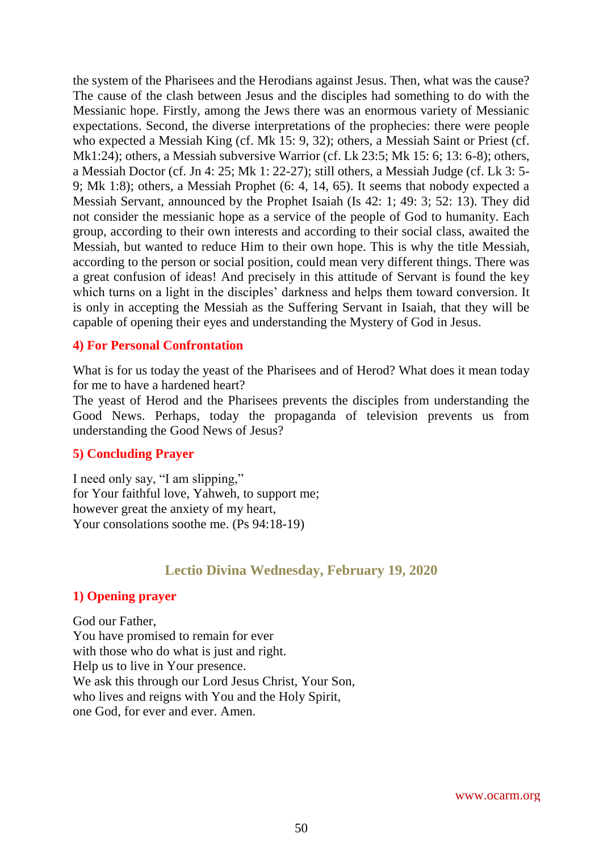the system of the Pharisees and the Herodians against Jesus. Then, what was the cause? The cause of the clash between Jesus and the disciples had something to do with the Messianic hope. Firstly, among the Jews there was an enormous variety of Messianic expectations. Second, the diverse interpretations of the prophecies: there were people who expected a Messiah King (cf. Mk 15: 9, 32); others, a Messiah Saint or Priest (cf. Mk1:24); others, a Messiah subversive Warrior (cf. Lk 23:5; Mk 15: 6; 13: 6-8); others, a Messiah Doctor (cf. Jn 4: 25; Mk 1: 22-27); still others, a Messiah Judge (cf. Lk 3: 5- 9; Mk 1:8); others, a Messiah Prophet (6: 4, 14, 65). It seems that nobody expected a Messiah Servant, announced by the Prophet Isaiah (Is 42: 1; 49: 3; 52: 13). They did not consider the messianic hope as a service of the people of God to humanity. Each group, according to their own interests and according to their social class, awaited the Messiah, but wanted to reduce Him to their own hope. This is why the title Messiah, according to the person or social position, could mean very different things. There was a great confusion of ideas! And precisely in this attitude of Servant is found the key which turns on a light in the disciples' darkness and helps them toward conversion. It is only in accepting the Messiah as the Suffering Servant in Isaiah, that they will be capable of opening their eyes and understanding the Mystery of God in Jesus.

#### **4) For Personal Confrontation**

What is for us today the yeast of the Pharisees and of Herod? What does it mean today for me to have a hardened heart?

The yeast of Herod and the Pharisees prevents the disciples from understanding the Good News. Perhaps, today the propaganda of television prevents us from understanding the Good News of Jesus?

#### **5) Concluding Prayer**

I need only say, "I am slipping," for Your faithful love, Yahweh, to support me; however great the anxiety of my heart, Your consolations soothe me. (Ps 94:18-19)

#### **Lectio Divina Wednesday, February 19, 2020**

#### **1) Opening prayer**

God our Father, You have promised to remain for ever with those who do what is just and right. Help us to live in Your presence. We ask this through our Lord Jesus Christ, Your Son, who lives and reigns with You and the Holy Spirit, one God, for ever and ever. Amen.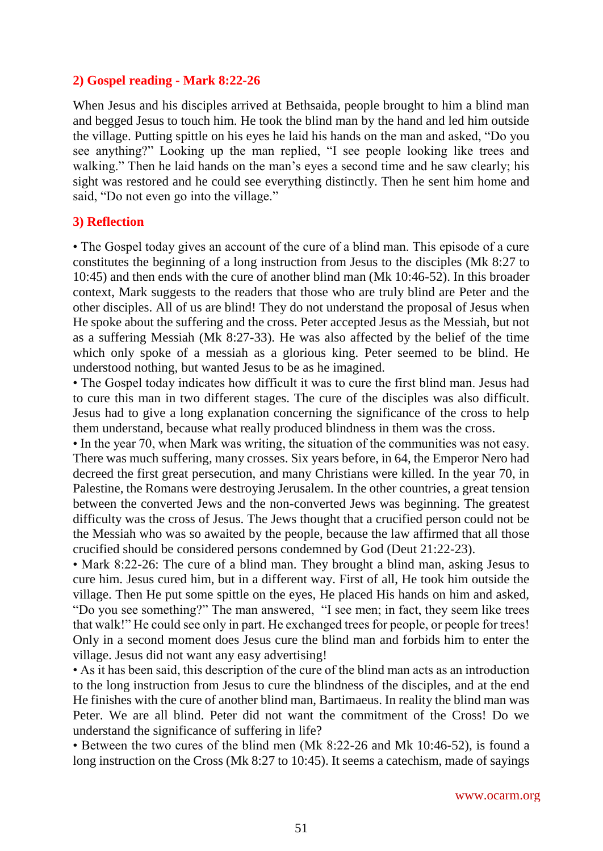#### **2) Gospel reading - Mark 8:22-26**

When Jesus and his disciples arrived at Bethsaida, people brought to him a blind man and begged Jesus to touch him. He took the blind man by the hand and led him outside the village. Putting spittle on his eyes he laid his hands on the man and asked, "Do you see anything?" Looking up the man replied, "I see people looking like trees and walking." Then he laid hands on the man's eyes a second time and he saw clearly; his sight was restored and he could see everything distinctly. Then he sent him home and said, "Do not even go into the village."

#### **3) Reflection**

• The Gospel today gives an account of the cure of a blind man. This episode of a cure constitutes the beginning of a long instruction from Jesus to the disciples (Mk 8:27 to 10:45) and then ends with the cure of another blind man (Mk 10:46-52). In this broader context, Mark suggests to the readers that those who are truly blind are Peter and the other disciples. All of us are blind! They do not understand the proposal of Jesus when He spoke about the suffering and the cross. Peter accepted Jesus as the Messiah, but not as a suffering Messiah (Mk 8:27-33). He was also affected by the belief of the time which only spoke of a messiah as a glorious king. Peter seemed to be blind. He understood nothing, but wanted Jesus to be as he imagined.

• The Gospel today indicates how difficult it was to cure the first blind man. Jesus had to cure this man in two different stages. The cure of the disciples was also difficult. Jesus had to give a long explanation concerning the significance of the cross to help them understand, because what really produced blindness in them was the cross.

• In the year 70, when Mark was writing, the situation of the communities was not easy. There was much suffering, many crosses. Six years before, in 64, the Emperor Nero had decreed the first great persecution, and many Christians were killed. In the year 70, in Palestine, the Romans were destroying Jerusalem. In the other countries, a great tension between the converted Jews and the non-converted Jews was beginning. The greatest difficulty was the cross of Jesus. The Jews thought that a crucified person could not be the Messiah who was so awaited by the people, because the law affirmed that all those crucified should be considered persons condemned by God (Deut 21:22-23).

• Mark 8:22-26: The cure of a blind man. They brought a blind man, asking Jesus to cure him. Jesus cured him, but in a different way. First of all, He took him outside the village. Then He put some spittle on the eyes, He placed His hands on him and asked, "Do you see something?" The man answered, "I see men; in fact, they seem like trees that walk!" He could see only in part. He exchanged trees for people, or people for trees! Only in a second moment does Jesus cure the blind man and forbids him to enter the village. Jesus did not want any easy advertising!

• As it has been said, this description of the cure of the blind man acts as an introduction to the long instruction from Jesus to cure the blindness of the disciples, and at the end He finishes with the cure of another blind man, Bartimaeus. In reality the blind man was Peter. We are all blind. Peter did not want the commitment of the Cross! Do we understand the significance of suffering in life?

• Between the two cures of the blind men (Mk 8:22-26 and Mk 10:46-52), is found a long instruction on the Cross (Mk 8:27 to 10:45). It seems a catechism, made of sayings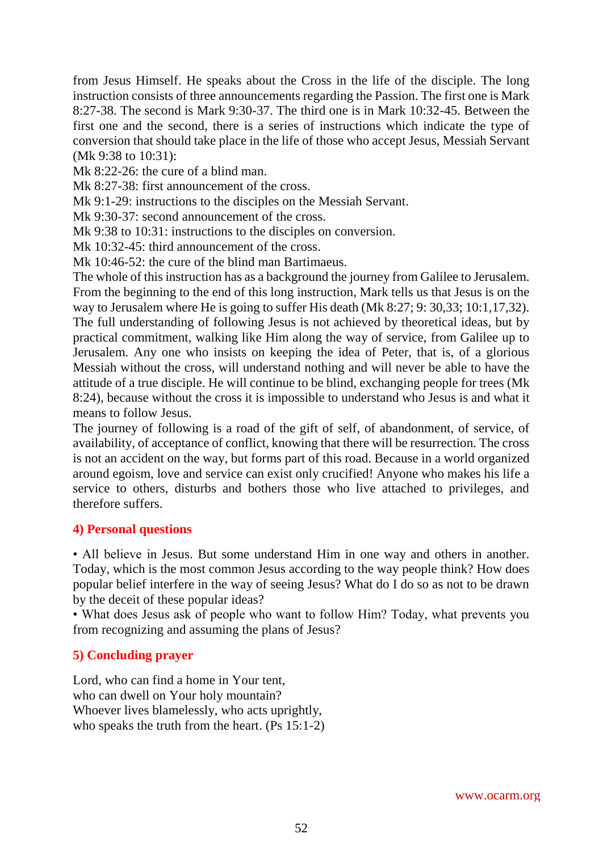from Jesus Himself. He speaks about the Cross in the life of the disciple. The long instruction consists of three announcements regarding the Passion. The first one is Mark 8:27-38. The second is Mark 9:30-37. The third one is in Mark 10:32-45. Between the first one and the second, there is a series of instructions which indicate the type of conversion that should take place in the life of those who accept Jesus, Messiah Servant (Mk 9:38 to 10:31):

Mk 8:22-26: the cure of a blind man.

Mk 8:27-38: first announcement of the cross.

Mk 9:1-29: instructions to the disciples on the Messiah Servant.

Mk 9:30-37: second announcement of the cross.

Mk 9:38 to 10:31: instructions to the disciples on conversion.

Mk 10:32-45: third announcement of the cross.

Mk 10:46-52: the cure of the blind man Bartimaeus.

The whole of this instruction has as a background the journey from Galilee to Jerusalem. From the beginning to the end of this long instruction, Mark tells us that Jesus is on the way to Jerusalem where He is going to suffer His death (Mk 8:27; 9: 30,33; 10:1,17,32). The full understanding of following Jesus is not achieved by theoretical ideas, but by practical commitment, walking like Him along the way of service, from Galilee up to Jerusalem. Any one who insists on keeping the idea of Peter, that is, of a glorious Messiah without the cross, will understand nothing and will never be able to have the attitude of a true disciple. He will continue to be blind, exchanging people for trees (Mk 8:24), because without the cross it is impossible to understand who Jesus is and what it means to follow Jesus.

The journey of following is a road of the gift of self, of abandonment, of service, of availability, of acceptance of conflict, knowing that there will be resurrection. The cross is not an accident on the way, but forms part of this road. Because in a world organized around egoism, love and service can exist only crucified! Anyone who makes his life a service to others, disturbs and bothers those who live attached to privileges, and therefore suffers.

#### **4) Personal questions**

• All believe in Jesus. But some understand Him in one way and others in another. Today, which is the most common Jesus according to the way people think? How does popular belief interfere in the way of seeing Jesus? What do I do so as not to be drawn by the deceit of these popular ideas?

• What does Jesus ask of people who want to follow Him? Today, what prevents you from recognizing and assuming the plans of Jesus?

#### **5) Concluding prayer**

Lord, who can find a home in Your tent, who can dwell on Your holy mountain? Whoever lives blamelessly, who acts uprightly, who speaks the truth from the heart. (Ps 15:1-2)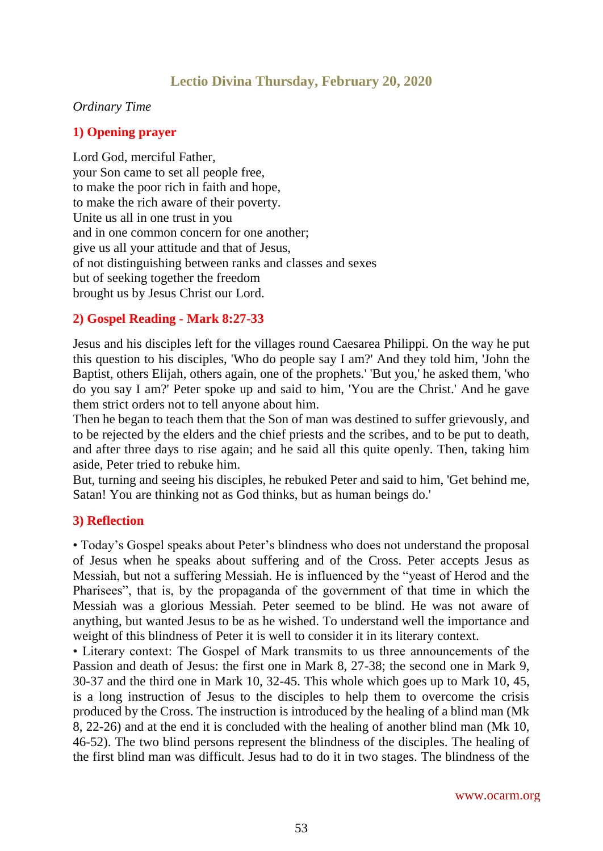## **Lectio Divina Thursday, February 20, 2020**

*Ordinary Time*

#### **1) Opening prayer**

Lord God, merciful Father, your Son came to set all people free, to make the poor rich in faith and hope, to make the rich aware of their poverty. Unite us all in one trust in you and in one common concern for one another; give us all your attitude and that of Jesus, of not distinguishing between ranks and classes and sexes but of seeking together the freedom brought us by Jesus Christ our Lord.

### **2) Gospel Reading - Mark 8:27-33**

Jesus and his disciples left for the villages round Caesarea Philippi. On the way he put this question to his disciples, 'Who do people say I am?' And they told him, 'John the Baptist, others Elijah, others again, one of the prophets.' 'But you,' he asked them, 'who do you say I am?' Peter spoke up and said to him, 'You are the Christ.' And he gave them strict orders not to tell anyone about him.

Then he began to teach them that the Son of man was destined to suffer grievously, and to be rejected by the elders and the chief priests and the scribes, and to be put to death, and after three days to rise again; and he said all this quite openly. Then, taking him aside, Peter tried to rebuke him.

But, turning and seeing his disciples, he rebuked Peter and said to him, 'Get behind me, Satan! You are thinking not as God thinks, but as human beings do.'

#### **3) Reflection**

• Today's Gospel speaks about Peter's blindness who does not understand the proposal of Jesus when he speaks about suffering and of the Cross. Peter accepts Jesus as Messiah, but not a suffering Messiah. He is influenced by the "yeast of Herod and the Pharisees", that is, by the propaganda of the government of that time in which the Messiah was a glorious Messiah. Peter seemed to be blind. He was not aware of anything, but wanted Jesus to be as he wished. To understand well the importance and weight of this blindness of Peter it is well to consider it in its literary context.

• Literary context: The Gospel of Mark transmits to us three announcements of the Passion and death of Jesus: the first one in Mark 8, 27-38; the second one in Mark 9, 30-37 and the third one in Mark 10, 32-45. This whole which goes up to Mark 10, 45, is a long instruction of Jesus to the disciples to help them to overcome the crisis produced by the Cross. The instruction is introduced by the healing of a blind man (Mk 8, 22-26) and at the end it is concluded with the healing of another blind man (Mk 10, 46-52). The two blind persons represent the blindness of the disciples. The healing of the first blind man was difficult. Jesus had to do it in two stages. The blindness of the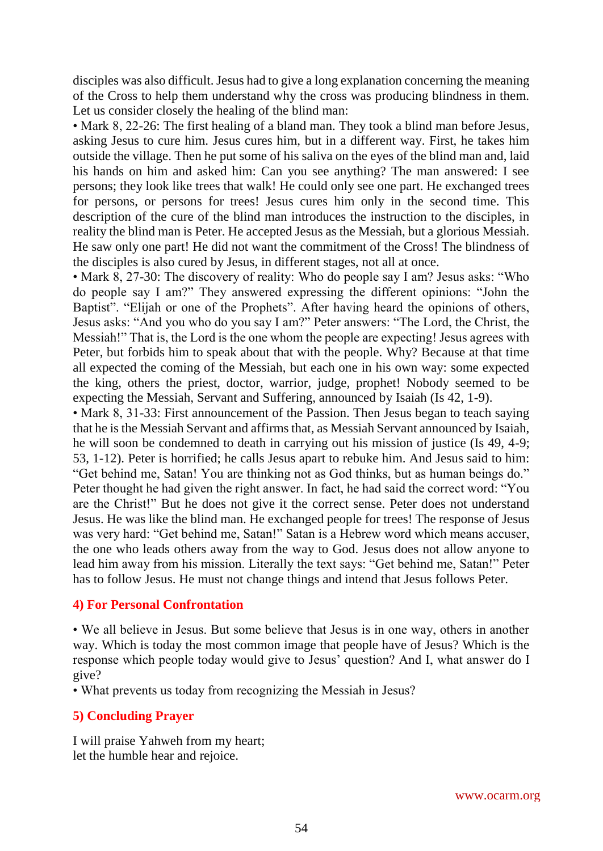disciples was also difficult. Jesus had to give a long explanation concerning the meaning of the Cross to help them understand why the cross was producing blindness in them. Let us consider closely the healing of the blind man:

• Mark 8, 22-26: The first healing of a bland man. They took a blind man before Jesus, asking Jesus to cure him. Jesus cures him, but in a different way. First, he takes him outside the village. Then he put some of his saliva on the eyes of the blind man and, laid his hands on him and asked him: Can you see anything? The man answered: I see persons; they look like trees that walk! He could only see one part. He exchanged trees for persons, or persons for trees! Jesus cures him only in the second time. This description of the cure of the blind man introduces the instruction to the disciples, in reality the blind man is Peter. He accepted Jesus as the Messiah, but a glorious Messiah. He saw only one part! He did not want the commitment of the Cross! The blindness of the disciples is also cured by Jesus, in different stages, not all at once.

• Mark 8, 27-30: The discovery of reality: Who do people say I am? Jesus asks: "Who do people say I am?" They answered expressing the different opinions: "John the Baptist". "Elijah or one of the Prophets". After having heard the opinions of others, Jesus asks: "And you who do you say I am?" Peter answers: "The Lord, the Christ, the Messiah!" That is, the Lord is the one whom the people are expecting! Jesus agrees with Peter, but forbids him to speak about that with the people. Why? Because at that time all expected the coming of the Messiah, but each one in his own way: some expected the king, others the priest, doctor, warrior, judge, prophet! Nobody seemed to be expecting the Messiah, Servant and Suffering, announced by Isaiah (Is 42, 1-9).

• Mark 8, 31-33: First announcement of the Passion. Then Jesus began to teach saying that he is the Messiah Servant and affirms that, as Messiah Servant announced by Isaiah, he will soon be condemned to death in carrying out his mission of justice (Is 49, 4-9; 53, 1-12). Peter is horrified; he calls Jesus apart to rebuke him. And Jesus said to him: "Get behind me, Satan! You are thinking not as God thinks, but as human beings do." Peter thought he had given the right answer. In fact, he had said the correct word: "You are the Christ!" But he does not give it the correct sense. Peter does not understand Jesus. He was like the blind man. He exchanged people for trees! The response of Jesus was very hard: "Get behind me, Satan!" Satan is a Hebrew word which means accuser, the one who leads others away from the way to God. Jesus does not allow anyone to lead him away from his mission. Literally the text says: "Get behind me, Satan!" Peter has to follow Jesus. He must not change things and intend that Jesus follows Peter.

#### **4) For Personal Confrontation**

• We all believe in Jesus. But some believe that Jesus is in one way, others in another way. Which is today the most common image that people have of Jesus? Which is the response which people today would give to Jesus' question? And I, what answer do I give?

• What prevents us today from recognizing the Messiah in Jesus?

### **5) Concluding Prayer**

I will praise Yahweh from my heart; let the humble hear and rejoice.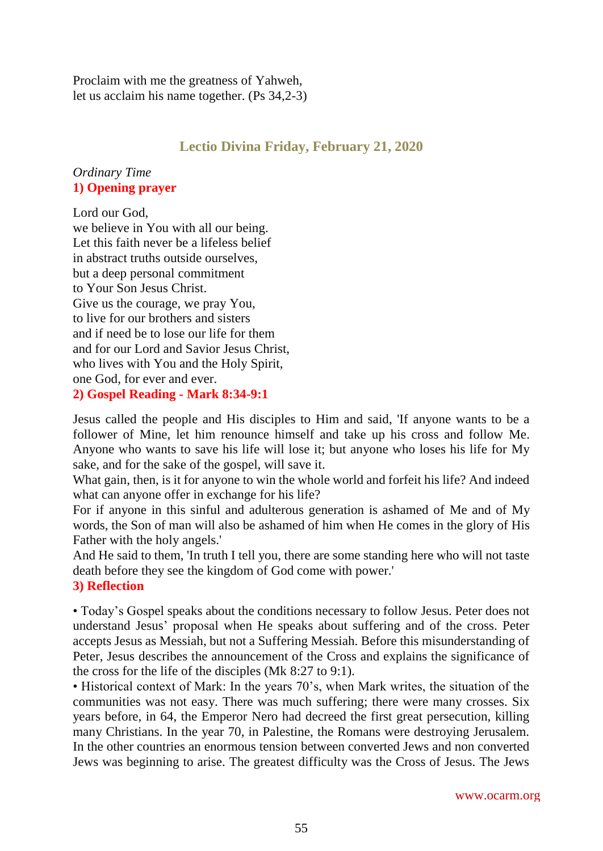Proclaim with me the greatness of Yahweh, let us acclaim his name together. (Ps 34,2-3)

## **Lectio Divina Friday, February 21, 2020**

## *Ordinary Time* **1) Opening prayer**

#### Lord our God,

we believe in You with all our being. Let this faith never be a lifeless belief in abstract truths outside ourselves, but a deep personal commitment to Your Son Jesus Christ. Give us the courage, we pray You, to live for our brothers and sisters and if need be to lose our life for them and for our Lord and Savior Jesus Christ, who lives with You and the Holy Spirit, one God, for ever and ever. **2) Gospel Reading - Mark 8:34-9:1**

Jesus called the people and His disciples to Him and said, 'If anyone wants to be a follower of Mine, let him renounce himself and take up his cross and follow Me. Anyone who wants to save his life will lose it; but anyone who loses his life for My sake, and for the sake of the gospel, will save it.

What gain, then, is it for anyone to win the whole world and forfeit his life? And indeed what can anyone offer in exchange for his life?

For if anyone in this sinful and adulterous generation is ashamed of Me and of My words, the Son of man will also be ashamed of him when He comes in the glory of His Father with the holy angels.'

And He said to them, 'In truth I tell you, there are some standing here who will not taste death before they see the kingdom of God come with power.'

#### **3) Reflection**

• Today's Gospel speaks about the conditions necessary to follow Jesus. Peter does not understand Jesus' proposal when He speaks about suffering and of the cross. Peter accepts Jesus as Messiah, but not a Suffering Messiah. Before this misunderstanding of Peter, Jesus describes the announcement of the Cross and explains the significance of the cross for the life of the disciples (Mk 8:27 to 9:1).

• Historical context of Mark: In the years 70's, when Mark writes, the situation of the communities was not easy. There was much suffering; there were many crosses. Six years before, in 64, the Emperor Nero had decreed the first great persecution, killing many Christians. In the year 70, in Palestine, the Romans were destroying Jerusalem. In the other countries an enormous tension between converted Jews and non converted Jews was beginning to arise. The greatest difficulty was the Cross of Jesus. The Jews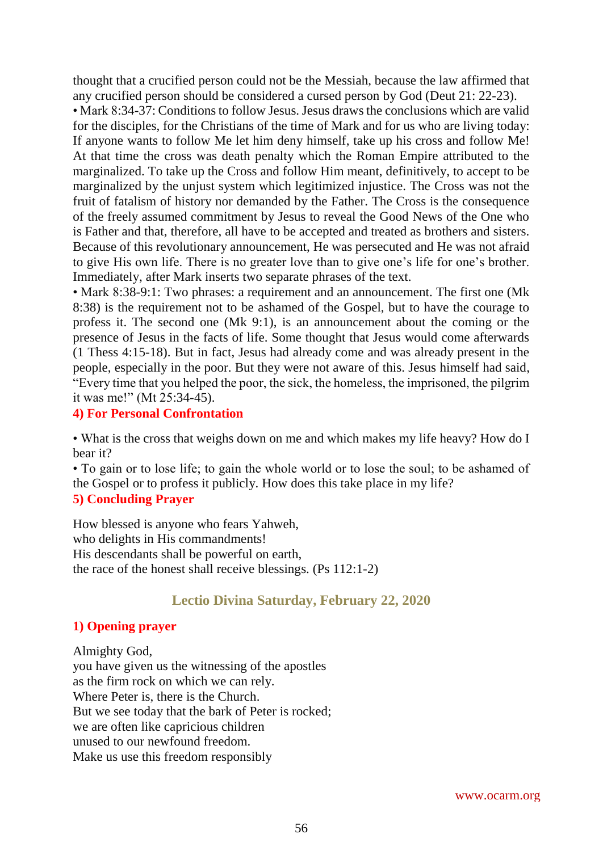thought that a crucified person could not be the Messiah, because the law affirmed that any crucified person should be considered a cursed person by God (Deut 21: 22-23).

• Mark 8:34-37: Conditions to follow Jesus. Jesus draws the conclusions which are valid for the disciples, for the Christians of the time of Mark and for us who are living today: If anyone wants to follow Me let him deny himself, take up his cross and follow Me! At that time the cross was death penalty which the Roman Empire attributed to the marginalized. To take up the Cross and follow Him meant, definitively, to accept to be marginalized by the unjust system which legitimized injustice. The Cross was not the fruit of fatalism of history nor demanded by the Father. The Cross is the consequence of the freely assumed commitment by Jesus to reveal the Good News of the One who is Father and that, therefore, all have to be accepted and treated as brothers and sisters. Because of this revolutionary announcement, He was persecuted and He was not afraid to give His own life. There is no greater love than to give one's life for one's brother. Immediately, after Mark inserts two separate phrases of the text.

• Mark 8:38-9:1: Two phrases: a requirement and an announcement. The first one (Mk 8:38) is the requirement not to be ashamed of the Gospel, but to have the courage to profess it. The second one (Mk 9:1), is an announcement about the coming or the presence of Jesus in the facts of life. Some thought that Jesus would come afterwards (1 Thess 4:15-18). But in fact, Jesus had already come and was already present in the people, especially in the poor. But they were not aware of this. Jesus himself had said, "Every time that you helped the poor, the sick, the homeless, the imprisoned, the pilgrim it was me!" (Mt 25:34-45).

#### **4) For Personal Confrontation**

• What is the cross that weighs down on me and which makes my life heavy? How do I bear it?

• To gain or to lose life; to gain the whole world or to lose the soul; to be ashamed of the Gospel or to profess it publicly. How does this take place in my life? **5) Concluding Prayer**

How blessed is anyone who fears Yahweh, who delights in His commandments! His descendants shall be powerful on earth, the race of the honest shall receive blessings. (Ps 112:1-2)

### **Lectio Divina Saturday, February 22, 2020**

#### **1) Opening prayer**

Almighty God, you have given us the witnessing of the apostles as the firm rock on which we can rely. Where Peter is, there is the Church. But we see today that the bark of Peter is rocked; we are often like capricious children unused to our newfound freedom. Make us use this freedom responsibly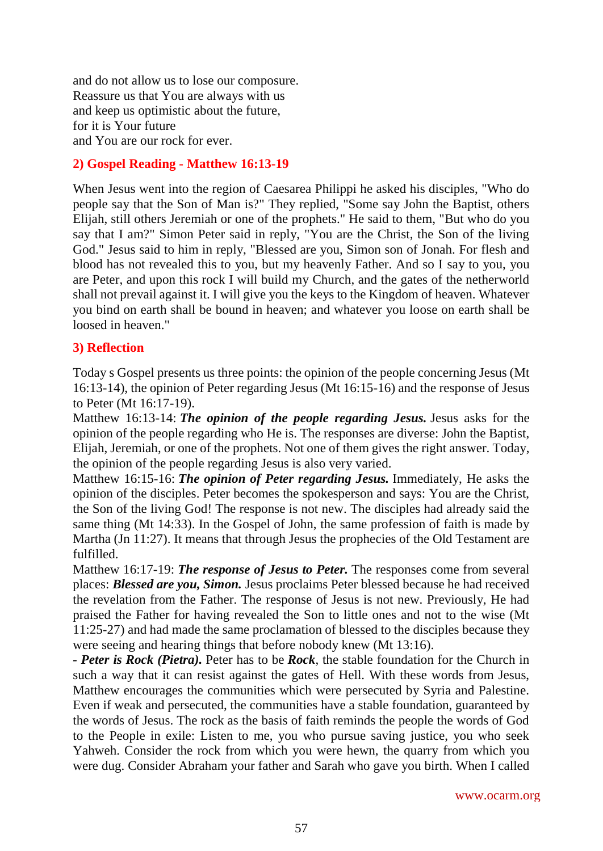and do not allow us to lose our composure. Reassure us that You are always with us and keep us optimistic about the future, for it is Your future and You are our rock for ever.

### **2) Gospel Reading - Matthew 16:13-19**

When Jesus went into the region of Caesarea Philippi he asked his disciples, "Who do people say that the Son of Man is?" They replied, "Some say John the Baptist, others Elijah, still others Jeremiah or one of the prophets." He said to them, "But who do you say that I am?" Simon Peter said in reply, "You are the Christ, the Son of the living God." Jesus said to him in reply, "Blessed are you, Simon son of Jonah. For flesh and blood has not revealed this to you, but my heavenly Father. And so I say to you, you are Peter, and upon this rock I will build my Church, and the gates of the netherworld shall not prevail against it. I will give you the keys to the Kingdom of heaven. Whatever you bind on earth shall be bound in heaven; and whatever you loose on earth shall be loosed in heaven."

## **3) Reflection**

Today s Gospel presents us three points: the opinion of the people concerning Jesus (Mt 16:13-14), the opinion of Peter regarding Jesus (Mt 16:15-16) and the response of Jesus to Peter (Mt 16:17-19).

Matthew 16:13-14: *The opinion of the people regarding Jesus.* Jesus asks for the opinion of the people regarding who He is. The responses are diverse: John the Baptist, Elijah, Jeremiah, or one of the prophets. Not one of them gives the right answer. Today, the opinion of the people regarding Jesus is also very varied.

Matthew 16:15-16: *The opinion of Peter regarding Jesus.* Immediately, He asks the opinion of the disciples. Peter becomes the spokesperson and says: You are the Christ, the Son of the living God! The response is not new. The disciples had already said the same thing (Mt 14:33). In the Gospel of John, the same profession of faith is made by Martha (Jn 11:27). It means that through Jesus the prophecies of the Old Testament are fulfilled.

Matthew 16:17-19: *The response of Jesus to Peter.* The responses come from several places: *Blessed are you, Simon.* Jesus proclaims Peter blessed because he had received the revelation from the Father. The response of Jesus is not new. Previously, He had praised the Father for having revealed the Son to little ones and not to the wise (Mt 11:25-27) and had made the same proclamation of blessed to the disciples because they were seeing and hearing things that before nobody knew (Mt 13:16).

*- Peter is Rock (Pietra).* Peter has to be *Rock*, the stable foundation for the Church in such a way that it can resist against the gates of Hell. With these words from Jesus, Matthew encourages the communities which were persecuted by Syria and Palestine. Even if weak and persecuted, the communities have a stable foundation, guaranteed by the words of Jesus. The rock as the basis of faith reminds the people the words of God to the People in exile: Listen to me, you who pursue saving justice, you who seek Yahweh. Consider the rock from which you were hewn, the quarry from which you were dug. Consider Abraham your father and Sarah who gave you birth. When I called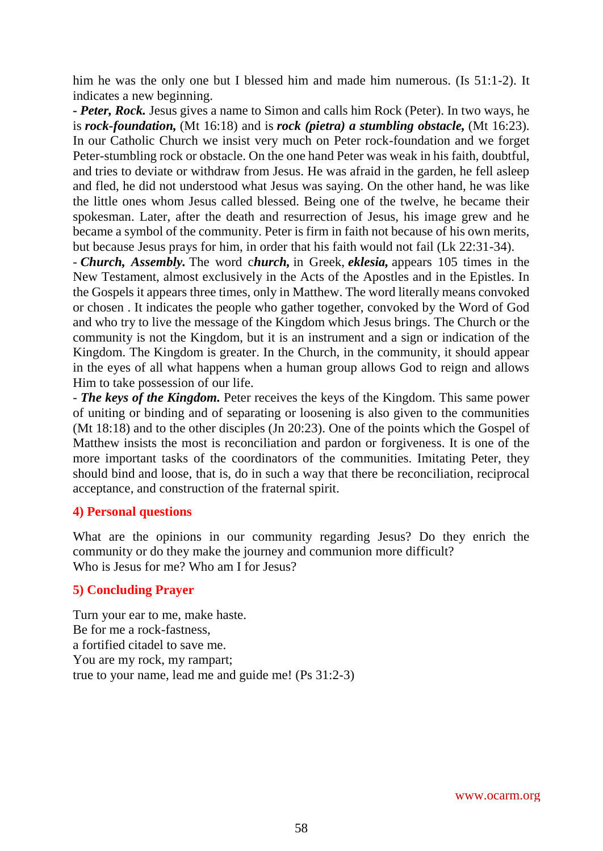him he was the only one but I blessed him and made him numerous. (Is 51:1-2). It indicates a new beginning.

*- Peter, Rock.* Jesus gives a name to Simon and calls him Rock (Peter). In two ways, he is *rock-foundation,* (Mt 16:18) and is *rock (pietra) a stumbling obstacle,* (Mt 16:23). In our Catholic Church we insist very much on Peter rock-foundation and we forget Peter-stumbling rock or obstacle. On the one hand Peter was weak in his faith, doubtful, and tries to deviate or withdraw from Jesus. He was afraid in the garden, he fell asleep and fled, he did not understood what Jesus was saying. On the other hand, he was like the little ones whom Jesus called blessed. Being one of the twelve, he became their spokesman. Later, after the death and resurrection of Jesus, his image grew and he became a symbol of the community. Peter is firm in faith not because of his own merits, but because Jesus prays for him, in order that his faith would not fail (Lk 22:31-34).

- *Church, Assembly.* The word c*hurch,* in Greek, *eklesia,* appears 105 times in the New Testament, almost exclusively in the Acts of the Apostles and in the Epistles. In the Gospels it appears three times, only in Matthew. The word literally means convoked or chosen . It indicates the people who gather together, convoked by the Word of God and who try to live the message of the Kingdom which Jesus brings. The Church or the community is not the Kingdom, but it is an instrument and a sign or indication of the Kingdom. The Kingdom is greater. In the Church, in the community, it should appear in the eyes of all what happens when a human group allows God to reign and allows Him to take possession of our life.

- *The keys of the Kingdom.* Peter receives the keys of the Kingdom. This same power of uniting or binding and of separating or loosening is also given to the communities (Mt 18:18) and to the other disciples (Jn 20:23). One of the points which the Gospel of Matthew insists the most is reconciliation and pardon or forgiveness. It is one of the more important tasks of the coordinators of the communities. Imitating Peter, they should bind and loose, that is, do in such a way that there be reconciliation, reciprocal acceptance, and construction of the fraternal spirit.

#### **4) Personal questions**

What are the opinions in our community regarding Jesus? Do they enrich the community or do they make the journey and communion more difficult? Who is Jesus for me? Who am I for Jesus?

#### **5) Concluding Prayer**

Turn your ear to me, make haste. Be for me a rock-fastness, a fortified citadel to save me. You are my rock, my rampart; true to your name, lead me and guide me! (Ps 31:2-3)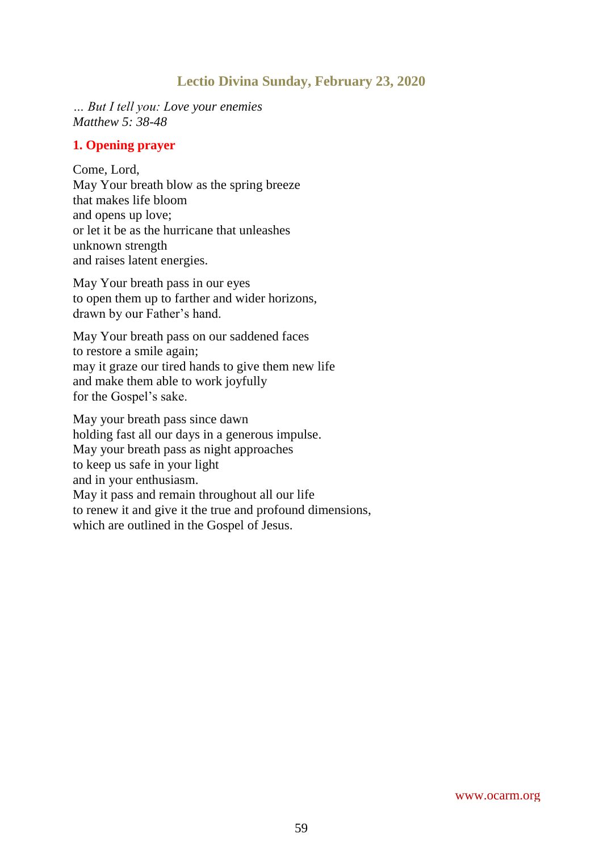## **Lectio Divina Sunday, February 23, 2020**

*… But I tell you: Love your enemies Matthew 5: 38-48*

#### **1. Opening prayer**

Come, Lord, May Your breath blow as the spring breeze that makes life bloom and opens up love; or let it be as the hurricane that unleashes unknown strength and raises latent energies.

May Your breath pass in our eyes to open them up to farther and wider horizons, drawn by our Father's hand.

May Your breath pass on our saddened faces to restore a smile again; may it graze our tired hands to give them new life and make them able to work joyfully for the Gospel's sake.

May your breath pass since dawn holding fast all our days in a generous impulse. May your breath pass as night approaches to keep us safe in your light and in your enthusiasm. May it pass and remain throughout all our life to renew it and give it the true and profound dimensions, which are outlined in the Gospel of Jesus.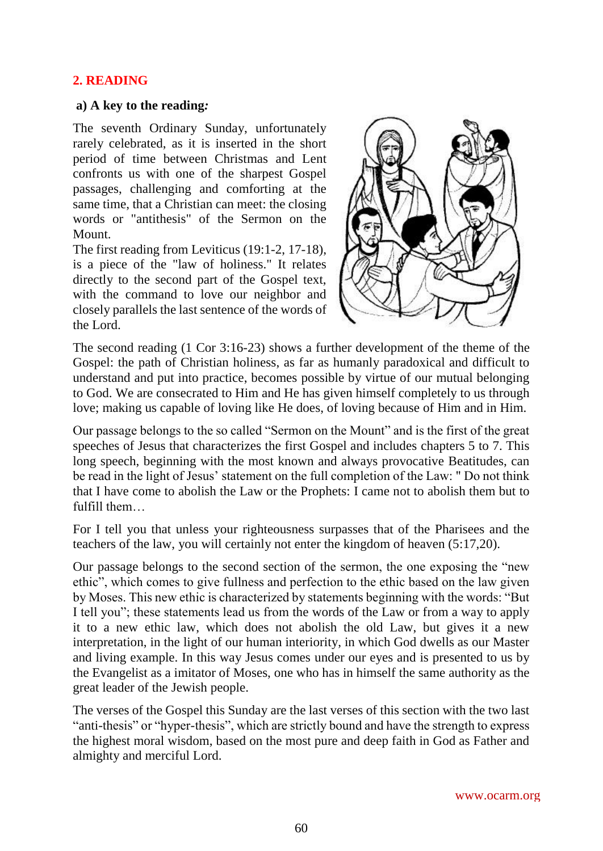## **2. READING**

#### **a) A key to the reading***:*

The seventh Ordinary Sunday, unfortunately rarely celebrated, as it is inserted in the short period of time between Christmas and Lent confronts us with one of the sharpest Gospel passages, challenging and comforting at the same time, that a Christian can meet: the closing words or "antithesis" of the Sermon on the Mount.

The first reading from Leviticus (19:1-2, 17-18), is a piece of the "law of holiness." It relates directly to the second part of the Gospel text, with the command to love our neighbor and closely parallels the last sentence of the words of the Lord.



The second reading (1 Cor 3:16-23) shows a further development of the theme of the Gospel: the path of Christian holiness, as far as humanly paradoxical and difficult to understand and put into practice, becomes possible by virtue of our mutual belonging to God. We are consecrated to Him and He has given himself completely to us through love; making us capable of loving like He does, of loving because of Him and in Him.

Our passage belongs to the so called "Sermon on the Mount" and is the first of the great speeches of Jesus that characterizes the first Gospel and includes chapters 5 to 7. This long speech, beginning with the most known and always provocative Beatitudes, can be read in the light of Jesus' statement on the full completion of the Law: " Do not think that I have come to abolish the Law or the Prophets: I came not to abolish them but to fulfill them…

For I tell you that unless your righteousness surpasses that of the Pharisees and the teachers of the law, you will certainly not enter the kingdom of heaven (5:17,20).

Our passage belongs to the second section of the sermon, the one exposing the "new ethic", which comes to give fullness and perfection to the ethic based on the law given by Moses. This new ethic is characterized by statements beginning with the words: "But I tell you"; these statements lead us from the words of the Law or from a way to apply it to a new ethic law, which does not abolish the old Law, but gives it a new interpretation, in the light of our human interiority, in which God dwells as our Master and living example. In this way Jesus comes under our eyes and is presented to us by the Evangelist as a imitator of Moses, one who has in himself the same authority as the great leader of the Jewish people.

The verses of the Gospel this Sunday are the last verses of this section with the two last "anti-thesis" or "hyper-thesis", which are strictly bound and have the strength to express the highest moral wisdom, based on the most pure and deep faith in God as Father and almighty and merciful Lord.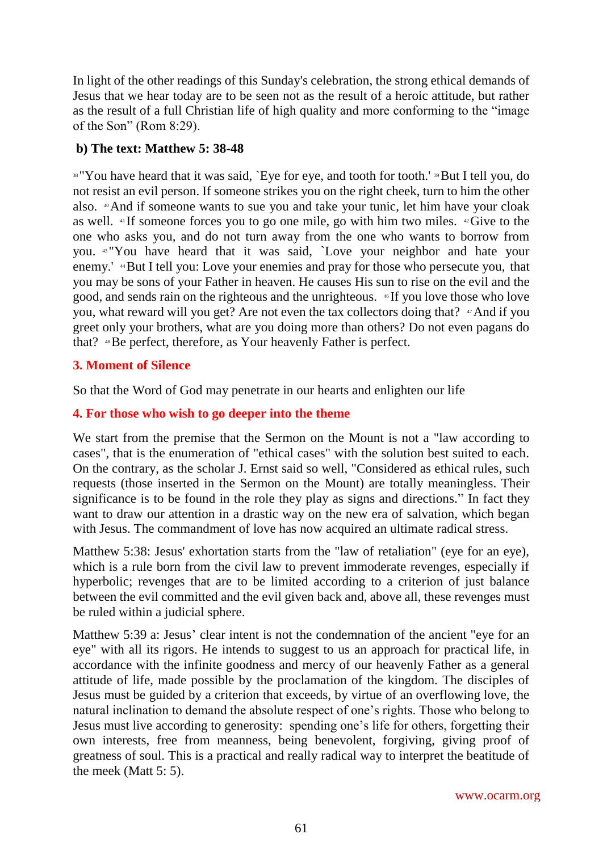In light of the other readings of this Sunday's celebration, the strong ethical demands of Jesus that we hear today are to be seen not as the result of a heroic attitude, but rather as the result of a full Christian life of high quality and more conforming to the "image of the Son" (Rom 8:29).

### **b) The text: Matthew 5: 38-48**

<sup>38</sup> "You have heard that it was said, `Eye for eye, and tooth for tooth.' <sup>39</sup>But I tell you, do not resist an evil person. If someone strikes you on the right cheek, turn to him the other also. <sup>40</sup>And if someone wants to sue you and take your tunic, let him have your cloak as well. <sup>41</sup> If someone forces you to go one mile, go with him two miles. <sup>42</sup>Give to the one who asks you, and do not turn away from the one who wants to borrow from you. <sup>43</sup> "You have heard that it was said, `Love your neighbor and hate your enemy.' "But I tell you: Love your enemies and pray for those who persecute you, that you may be sons of your Father in heaven. He causes His sun to rise on the evil and the good, and sends rain on the righteous and the unrighteous. <sup>46</sup> If you love those who love you, what reward will you get? Are not even the tax collectors doing that? "And if you greet only your brothers, what are you doing more than others? Do not even pagans do that? <sup>48</sup>Be perfect, therefore, as Your heavenly Father is perfect.

## **3. Moment of Silence**

So that the Word of God may penetrate in our hearts and enlighten our life

## **4. For those who wish to go deeper into the theme**

We start from the premise that the Sermon on the Mount is not a "law according to cases", that is the enumeration of "ethical cases" with the solution best suited to each. On the contrary, as the scholar J. Ernst said so well, "Considered as ethical rules, such requests (those inserted in the Sermon on the Mount) are totally meaningless. Their significance is to be found in the role they play as signs and directions." In fact they want to draw our attention in a drastic way on the new era of salvation, which began with Jesus. The commandment of love has now acquired an ultimate radical stress.

Matthew 5:38: Jesus' exhortation starts from the "law of retaliation" (eye for an eye), which is a rule born from the civil law to prevent immoderate revenges, especially if hyperbolic; revenges that are to be limited according to a criterion of just balance between the evil committed and the evil given back and, above all, these revenges must be ruled within a judicial sphere.

Matthew 5:39 a: Jesus' clear intent is not the condemnation of the ancient "eye for an eye" with all its rigors. He intends to suggest to us an approach for practical life, in accordance with the infinite goodness and mercy of our heavenly Father as a general attitude of life, made possible by the proclamation of the kingdom. The disciples of Jesus must be guided by a criterion that exceeds, by virtue of an overflowing love, the natural inclination to demand the absolute respect of one's rights. Those who belong to Jesus must live according to generosity: spending one's life for others, forgetting their own interests, free from meanness, being benevolent, forgiving, giving proof of greatness of soul. This is a practical and really radical way to interpret the beatitude of the meek (Matt 5: 5).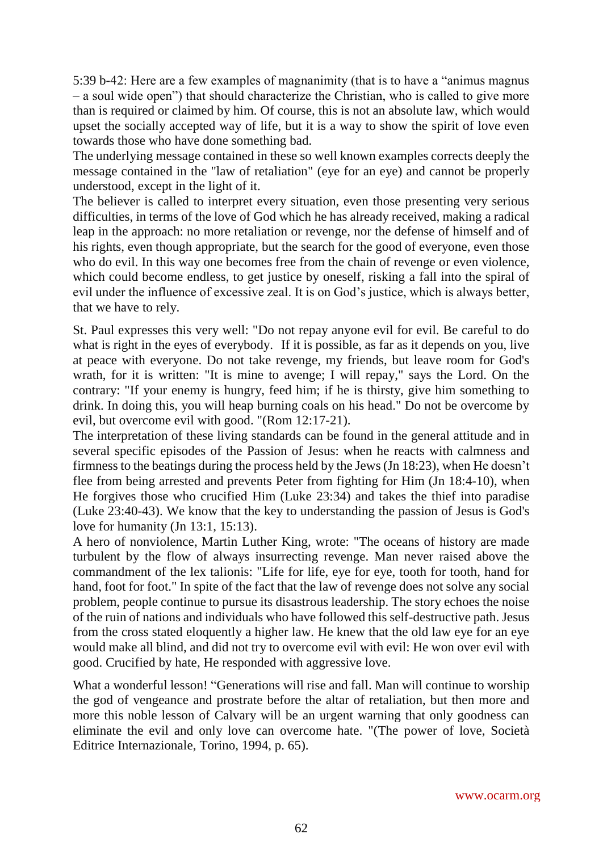5:39 b-42: Here are a few examples of magnanimity (that is to have a "animus magnus – a soul wide open") that should characterize the Christian, who is called to give more than is required or claimed by him. Of course, this is not an absolute law, which would upset the socially accepted way of life, but it is a way to show the spirit of love even towards those who have done something bad.

The underlying message contained in these so well known examples corrects deeply the message contained in the "law of retaliation" (eye for an eye) and cannot be properly understood, except in the light of it.

The believer is called to interpret every situation, even those presenting very serious difficulties, in terms of the love of God which he has already received, making a radical leap in the approach: no more retaliation or revenge, nor the defense of himself and of his rights, even though appropriate, but the search for the good of everyone, even those who do evil. In this way one becomes free from the chain of revenge or even violence, which could become endless, to get justice by oneself, risking a fall into the spiral of evil under the influence of excessive zeal. It is on God's justice, which is always better, that we have to rely.

St. Paul expresses this very well: "Do not repay anyone evil for evil. Be careful to do what is right in the eyes of everybody. If it is possible, as far as it depends on you, live at peace with everyone. Do not take revenge, my friends, but leave room for God's wrath, for it is written: "It is mine to avenge; I will repay," says the Lord. On the contrary: "If your enemy is hungry, feed him; if he is thirsty, give him something to drink. In doing this, you will heap burning coals on his head." Do not be overcome by evil, but overcome evil with good. "(Rom 12:17-21).

The interpretation of these living standards can be found in the general attitude and in several specific episodes of the Passion of Jesus: when he reacts with calmness and firmness to the beatings during the process held by the Jews (Jn 18:23), when He doesn't flee from being arrested and prevents Peter from fighting for Him (Jn 18:4-10), when He forgives those who crucified Him (Luke 23:34) and takes the thief into paradise (Luke 23:40-43). We know that the key to understanding the passion of Jesus is God's love for humanity (Jn 13:1, 15:13).

A hero of nonviolence, Martin Luther King, wrote: "The oceans of history are made turbulent by the flow of always insurrecting revenge. Man never raised above the commandment of the lex talionis: "Life for life, eye for eye, tooth for tooth, hand for hand, foot for foot." In spite of the fact that the law of revenge does not solve any social problem, people continue to pursue its disastrous leadership. The story echoes the noise of the ruin of nations and individuals who have followed this self-destructive path. Jesus from the cross stated eloquently a higher law. He knew that the old law eye for an eye would make all blind, and did not try to overcome evil with evil: He won over evil with good. Crucified by hate, He responded with aggressive love.

What a wonderful lesson! "Generations will rise and fall. Man will continue to worship the god of vengeance and prostrate before the altar of retaliation, but then more and more this noble lesson of Calvary will be an urgent warning that only goodness can eliminate the evil and only love can overcome hate. "(The power of love, Società Editrice Internazionale, Torino, 1994, p. 65).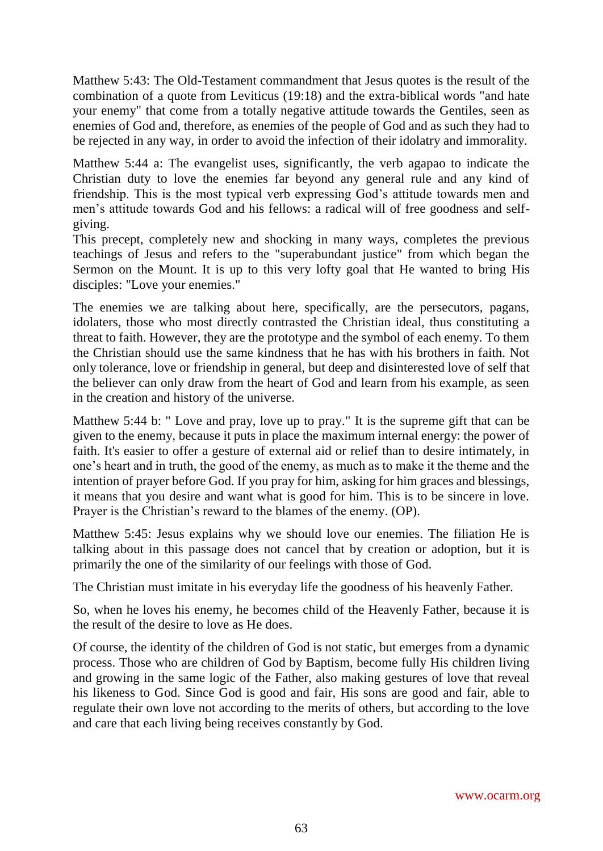Matthew 5:43: The Old-Testament commandment that Jesus quotes is the result of the combination of a quote from Leviticus (19:18) and the extra-biblical words "and hate your enemy" that come from a totally negative attitude towards the Gentiles, seen as enemies of God and, therefore, as enemies of the people of God and as such they had to be rejected in any way, in order to avoid the infection of their idolatry and immorality.

Matthew 5:44 a: The evangelist uses, significantly, the verb agapao to indicate the Christian duty to love the enemies far beyond any general rule and any kind of friendship. This is the most typical verb expressing God's attitude towards men and men's attitude towards God and his fellows: a radical will of free goodness and selfgiving.

This precept, completely new and shocking in many ways, completes the previous teachings of Jesus and refers to the "superabundant justice" from which began the Sermon on the Mount. It is up to this very lofty goal that He wanted to bring His disciples: "Love your enemies."

The enemies we are talking about here, specifically, are the persecutors, pagans, idolaters, those who most directly contrasted the Christian ideal, thus constituting a threat to faith. However, they are the prototype and the symbol of each enemy. To them the Christian should use the same kindness that he has with his brothers in faith. Not only tolerance, love or friendship in general, but deep and disinterested love of self that the believer can only draw from the heart of God and learn from his example, as seen in the creation and history of the universe.

Matthew 5:44 b: " Love and pray, love up to pray." It is the supreme gift that can be given to the enemy, because it puts in place the maximum internal energy: the power of faith. It's easier to offer a gesture of external aid or relief than to desire intimately, in one's heart and in truth, the good of the enemy, as much as to make it the theme and the intention of prayer before God. If you pray for him, asking for him graces and blessings, it means that you desire and want what is good for him. This is to be sincere in love. Prayer is the Christian's reward to the blames of the enemy. (OP).

Matthew 5:45: Jesus explains why we should love our enemies. The filiation He is talking about in this passage does not cancel that by creation or adoption, but it is primarily the one of the similarity of our feelings with those of God.

The Christian must imitate in his everyday life the goodness of his heavenly Father.

So, when he loves his enemy, he becomes child of the Heavenly Father, because it is the result of the desire to love as He does.

Of course, the identity of the children of God is not static, but emerges from a dynamic process. Those who are children of God by Baptism, become fully His children living and growing in the same logic of the Father, also making gestures of love that reveal his likeness to God. Since God is good and fair, His sons are good and fair, able to regulate their own love not according to the merits of others, but according to the love and care that each living being receives constantly by God.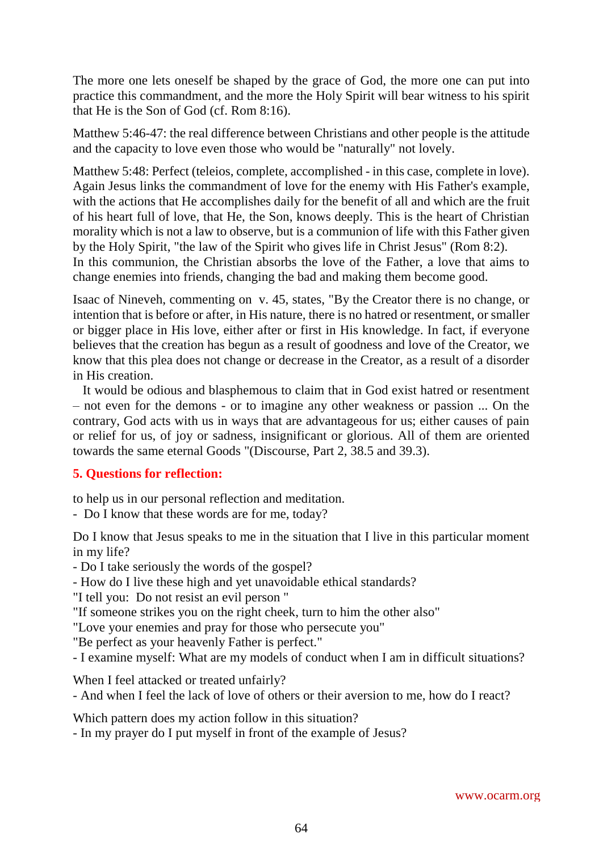The more one lets oneself be shaped by the grace of God, the more one can put into practice this commandment, and the more the Holy Spirit will bear witness to his spirit that He is the Son of God (cf. Rom 8:16).

Matthew 5:46-47: the real difference between Christians and other people is the attitude and the capacity to love even those who would be "naturally" not lovely.

Matthew 5:48: Perfect (teleios, complete, accomplished - in this case, complete in love). Again Jesus links the commandment of love for the enemy with His Father's example, with the actions that He accomplishes daily for the benefit of all and which are the fruit of his heart full of love, that He, the Son, knows deeply. This is the heart of Christian morality which is not a law to observe, but is a communion of life with this Father given by the Holy Spirit, "the law of the Spirit who gives life in Christ Jesus" (Rom 8:2). In this communion, the Christian absorbs the love of the Father, a love that aims to

change enemies into friends, changing the bad and making them become good.

Isaac of Nineveh, commenting on v. 45, states, "By the Creator there is no change, or intention that is before or after, in His nature, there is no hatred or resentment, or smaller or bigger place in His love, either after or first in His knowledge. In fact, if everyone believes that the creation has begun as a result of goodness and love of the Creator, we know that this plea does not change or decrease in the Creator, as a result of a disorder in His creation.

 It would be odious and blasphemous to claim that in God exist hatred or resentment – not even for the demons - or to imagine any other weakness or passion ... On the contrary, God acts with us in ways that are advantageous for us; either causes of pain or relief for us, of joy or sadness, insignificant or glorious. All of them are oriented towards the same eternal Goods "(Discourse, Part 2, 38.5 and 39.3).

### **5. Questions for reflection:**

to help us in our personal reflection and meditation.

- Do I know that these words are for me, today?

Do I know that Jesus speaks to me in the situation that I live in this particular moment in my life?

- Do I take seriously the words of the gospel?

- How do I live these high and yet unavoidable ethical standards?

"I tell you: Do not resist an evil person "

"If someone strikes you on the right cheek, turn to him the other also"

"Love your enemies and pray for those who persecute you"

"Be perfect as your heavenly Father is perfect."

- I examine myself: What are my models of conduct when I am in difficult situations?

When I feel attacked or treated unfairly?

- And when I feel the lack of love of others or their aversion to me, how do I react?

Which pattern does my action follow in this situation?

- In my prayer do I put myself in front of the example of Jesus?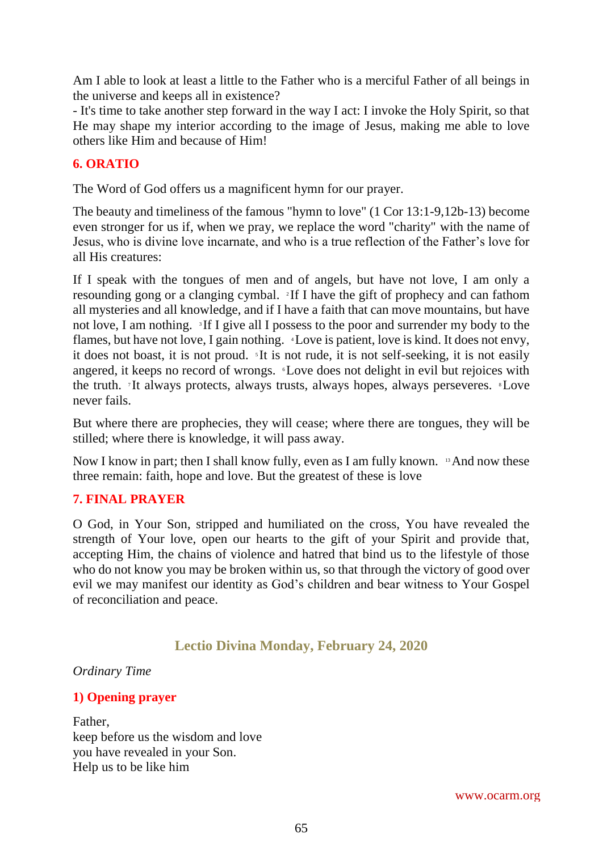Am I able to look at least a little to the Father who is a merciful Father of all beings in the universe and keeps all in existence?

- It's time to take another step forward in the way I act: I invoke the Holy Spirit, so that He may shape my interior according to the image of Jesus, making me able to love others like Him and because of Him!

## **6. ORATIO**

The Word of God offers us a magnificent hymn for our prayer.

The beauty and timeliness of the famous "hymn to love" (1 Cor 13:1-9,12b-13) become even stronger for us if, when we pray, we replace the word "charity" with the name of Jesus, who is divine love incarnate, and who is a true reflection of the Father's love for all His creatures:

If I speak with the tongues of men and of angels, but have not love, I am only a resounding gong or a clanging cymbal. <sup>2</sup> If I have the gift of prophecy and can fathom all mysteries and all knowledge, and if I have a faith that can move mountains, but have not love, I am nothing. <sup>3</sup> If I give all I possess to the poor and surrender my body to the flames, but have not love, I gain nothing. <sup>4</sup>Love is patient, love is kind. It does not envy, it does not boast, it is not proud. It is not rude, it is not self-seeking, it is not easily angered, it keeps no record of wrongs. <sup>6</sup>Love does not delight in evil but rejoices with the truth. <sup>7</sup>It always protects, always trusts, always hopes, always perseveres. <sup>8</sup>Love never fails.

But where there are prophecies, they will cease; where there are tongues, they will be stilled; where there is knowledge, it will pass away.

Now I know in part; then I shall know fully, even as I am fully known. <sup>13</sup> And now these three remain: faith, hope and love. But the greatest of these is love

### **7. FINAL PRAYER**

O God, in Your Son, stripped and humiliated on the cross, You have revealed the strength of Your love, open our hearts to the gift of your Spirit and provide that, accepting Him, the chains of violence and hatred that bind us to the lifestyle of those who do not know you may be broken within us, so that through the victory of good over evil we may manifest our identity as God's children and bear witness to Your Gospel of reconciliation and peace.

# **Lectio Divina Monday, February 24, 2020**

*Ordinary Time*

### **1) Opening prayer**

Father, keep before us the wisdom and love you have revealed in your Son. Help us to be like him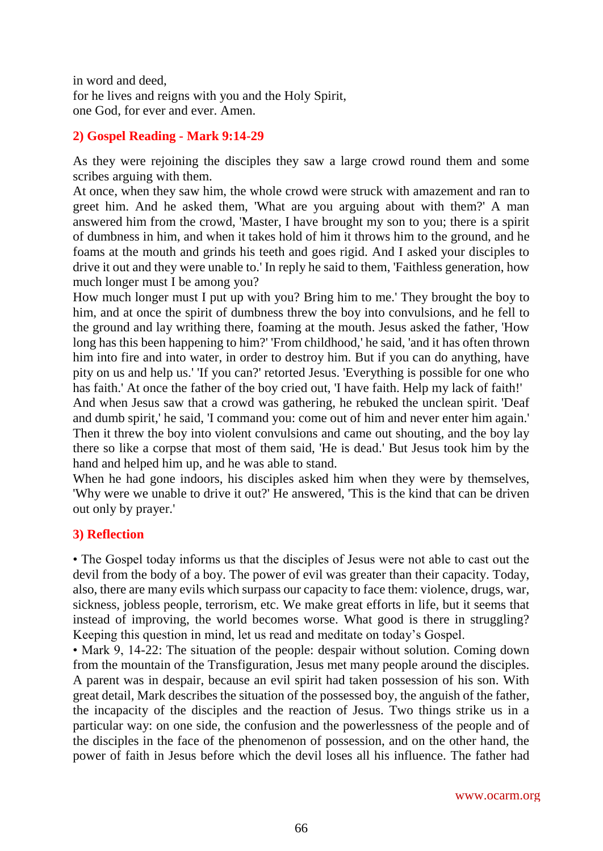in word and deed, for he lives and reigns with you and the Holy Spirit, one God, for ever and ever. Amen.

#### **2) Gospel Reading - Mark 9:14-29**

As they were rejoining the disciples they saw a large crowd round them and some scribes arguing with them.

At once, when they saw him, the whole crowd were struck with amazement and ran to greet him. And he asked them, 'What are you arguing about with them?' A man answered him from the crowd, 'Master, I have brought my son to you; there is a spirit of dumbness in him, and when it takes hold of him it throws him to the ground, and he foams at the mouth and grinds his teeth and goes rigid. And I asked your disciples to drive it out and they were unable to.' In reply he said to them, 'Faithless generation, how much longer must I be among you?

How much longer must I put up with you? Bring him to me.' They brought the boy to him, and at once the spirit of dumbness threw the boy into convulsions, and he fell to the ground and lay writhing there, foaming at the mouth. Jesus asked the father, 'How long has this been happening to him?' 'From childhood,' he said, 'and it has often thrown him into fire and into water, in order to destroy him. But if you can do anything, have pity on us and help us.' 'If you can?' retorted Jesus. 'Everything is possible for one who has faith.' At once the father of the boy cried out, 'I have faith. Help my lack of faith!' And when Jesus saw that a crowd was gathering, he rebuked the unclean spirit. 'Deaf and dumb spirit,' he said, 'I command you: come out of him and never enter him again.'

Then it threw the boy into violent convulsions and came out shouting, and the boy lay there so like a corpse that most of them said, 'He is dead.' But Jesus took him by the hand and helped him up, and he was able to stand.

When he had gone indoors, his disciples asked him when they were by themselves, 'Why were we unable to drive it out?' He answered, 'This is the kind that can be driven out only by prayer.'

#### **3) Reflection**

• The Gospel today informs us that the disciples of Jesus were not able to cast out the devil from the body of a boy. The power of evil was greater than their capacity. Today, also, there are many evils which surpass our capacity to face them: violence, drugs, war, sickness, jobless people, terrorism, etc. We make great efforts in life, but it seems that instead of improving, the world becomes worse. What good is there in struggling? Keeping this question in mind, let us read and meditate on today's Gospel.

• Mark 9, 14-22: The situation of the people: despair without solution. Coming down from the mountain of the Transfiguration, Jesus met many people around the disciples. A parent was in despair, because an evil spirit had taken possession of his son. With great detail, Mark describes the situation of the possessed boy, the anguish of the father, the incapacity of the disciples and the reaction of Jesus. Two things strike us in a particular way: on one side, the confusion and the powerlessness of the people and of the disciples in the face of the phenomenon of possession, and on the other hand, the power of faith in Jesus before which the devil loses all his influence. The father had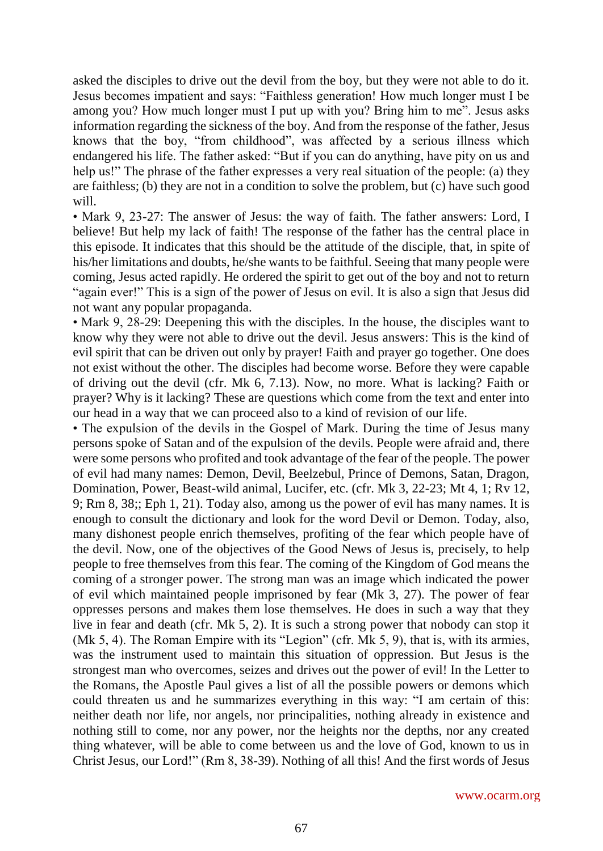asked the disciples to drive out the devil from the boy, but they were not able to do it. Jesus becomes impatient and says: "Faithless generation! How much longer must I be among you? How much longer must I put up with you? Bring him to me". Jesus asks information regarding the sickness of the boy. And from the response of the father, Jesus knows that the boy, "from childhood", was affected by a serious illness which endangered his life. The father asked: "But if you can do anything, have pity on us and help us!" The phrase of the father expresses a very real situation of the people: (a) they are faithless; (b) they are not in a condition to solve the problem, but (c) have such good will.

• Mark 9, 23-27: The answer of Jesus: the way of faith. The father answers: Lord, I believe! But help my lack of faith! The response of the father has the central place in this episode. It indicates that this should be the attitude of the disciple, that, in spite of his/her limitations and doubts, he/she wants to be faithful. Seeing that many people were coming, Jesus acted rapidly. He ordered the spirit to get out of the boy and not to return "again ever!" This is a sign of the power of Jesus on evil. It is also a sign that Jesus did not want any popular propaganda.

• Mark 9, 28-29: Deepening this with the disciples. In the house, the disciples want to know why they were not able to drive out the devil. Jesus answers: This is the kind of evil spirit that can be driven out only by prayer! Faith and prayer go together. One does not exist without the other. The disciples had become worse. Before they were capable of driving out the devil (cfr. Mk 6, 7.13). Now, no more. What is lacking? Faith or prayer? Why is it lacking? These are questions which come from the text and enter into our head in a way that we can proceed also to a kind of revision of our life.

• The expulsion of the devils in the Gospel of Mark. During the time of Jesus many persons spoke of Satan and of the expulsion of the devils. People were afraid and, there were some persons who profited and took advantage of the fear of the people. The power of evil had many names: Demon, Devil, Beelzebul, Prince of Demons, Satan, Dragon, Domination, Power, Beast-wild animal, Lucifer, etc. (cfr. Mk 3, 22-23; Mt 4, 1; Rv 12, 9; Rm 8, 38;; Eph 1, 21). Today also, among us the power of evil has many names. It is enough to consult the dictionary and look for the word Devil or Demon. Today, also, many dishonest people enrich themselves, profiting of the fear which people have of the devil. Now, one of the objectives of the Good News of Jesus is, precisely, to help people to free themselves from this fear. The coming of the Kingdom of God means the coming of a stronger power. The strong man was an image which indicated the power of evil which maintained people imprisoned by fear (Mk 3, 27). The power of fear oppresses persons and makes them lose themselves. He does in such a way that they live in fear and death (cfr. Mk 5, 2). It is such a strong power that nobody can stop it (Mk 5, 4). The Roman Empire with its "Legion" (cfr. Mk 5, 9), that is, with its armies, was the instrument used to maintain this situation of oppression. But Jesus is the strongest man who overcomes, seizes and drives out the power of evil! In the Letter to the Romans, the Apostle Paul gives a list of all the possible powers or demons which could threaten us and he summarizes everything in this way: "I am certain of this: neither death nor life, nor angels, nor principalities, nothing already in existence and nothing still to come, nor any power, nor the heights nor the depths, nor any created thing whatever, will be able to come between us and the love of God, known to us in Christ Jesus, our Lord!" (Rm 8, 38-39). Nothing of all this! And the first words of Jesus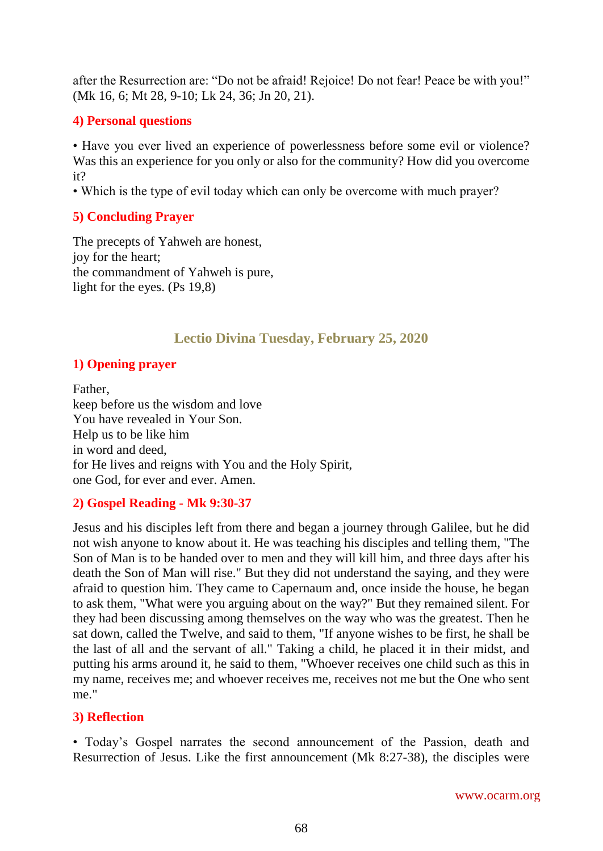after the Resurrection are: "Do not be afraid! Rejoice! Do not fear! Peace be with you!" (Mk 16, 6; Mt 28, 9-10; Lk 24, 36; Jn 20, 21).

### **4) Personal questions**

• Have you ever lived an experience of powerlessness before some evil or violence? Was this an experience for you only or also for the community? How did you overcome it?

• Which is the type of evil today which can only be overcome with much prayer?

# **5) Concluding Prayer**

The precepts of Yahweh are honest, joy for the heart; the commandment of Yahweh is pure, light for the eyes. (Ps 19,8)

# **Lectio Divina Tuesday, February 25, 2020**

### **1) Opening prayer**

Father, keep before us the wisdom and love You have revealed in Your Son. Help us to be like him in word and deed, for He lives and reigns with You and the Holy Spirit, one God, for ever and ever. Amen.

### **2) Gospel Reading - Mk 9:30-37**

Jesus and his disciples left from there and began a journey through Galilee, but he did not wish anyone to know about it. He was teaching his disciples and telling them, "The Son of Man is to be handed over to men and they will kill him, and three days after his death the Son of Man will rise." But they did not understand the saying, and they were afraid to question him. They came to Capernaum and, once inside the house, he began to ask them, "What were you arguing about on the way?" But they remained silent. For they had been discussing among themselves on the way who was the greatest. Then he sat down, called the Twelve, and said to them, "If anyone wishes to be first, he shall be the last of all and the servant of all." Taking a child, he placed it in their midst, and putting his arms around it, he said to them, "Whoever receives one child such as this in my name, receives me; and whoever receives me, receives not me but the One who sent me."

### **3) Reflection**

• Today's Gospel narrates the second announcement of the Passion, death and Resurrection of Jesus. Like the first announcement (Mk 8:27-38), the disciples were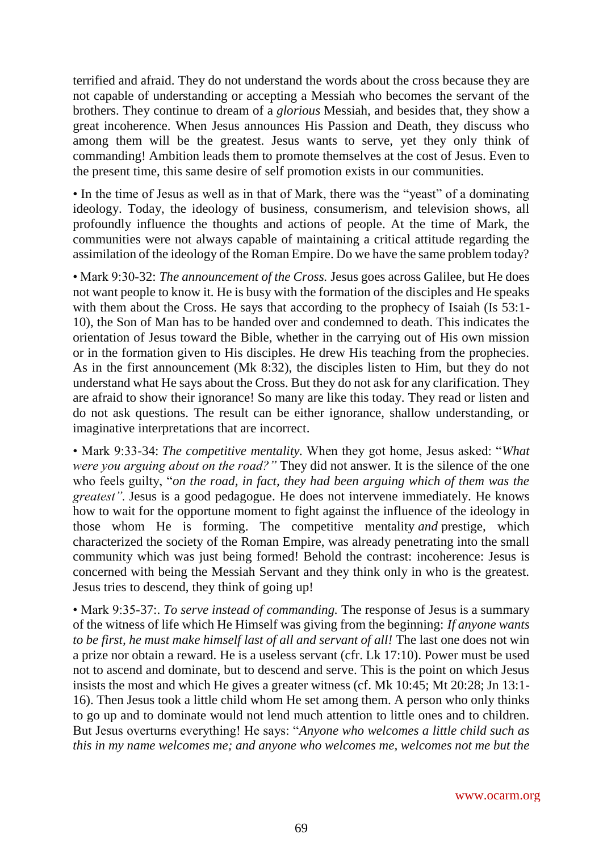terrified and afraid. They do not understand the words about the cross because they are not capable of understanding or accepting a Messiah who becomes the servant of the brothers. They continue to dream of a *glorious* Messiah, and besides that, they show a great incoherence. When Jesus announces His Passion and Death, they discuss who among them will be the greatest. Jesus wants to serve, yet they only think of commanding! Ambition leads them to promote themselves at the cost of Jesus. Even to the present time, this same desire of self promotion exists in our communities.

• In the time of Jesus as well as in that of Mark, there was the "yeast" of a dominating ideology. Today, the ideology of business, consumerism, and television shows, all profoundly influence the thoughts and actions of people. At the time of Mark, the communities were not always capable of maintaining a critical attitude regarding the assimilation of the ideology of the Roman Empire. Do we have the same problem today?

• Mark 9:30-32: *The announcement of the Cross.* Jesus goes across Galilee, but He does not want people to know it. He is busy with the formation of the disciples and He speaks with them about the Cross. He says that according to the prophecy of Isaiah (Is 53:1-10), the Son of Man has to be handed over and condemned to death. This indicates the orientation of Jesus toward the Bible, whether in the carrying out of His own mission or in the formation given to His disciples. He drew His teaching from the prophecies. As in the first announcement (Mk 8:32), the disciples listen to Him, but they do not understand what He says about the Cross. But they do not ask for any clarification. They are afraid to show their ignorance! So many are like this today. They read or listen and do not ask questions. The result can be either ignorance, shallow understanding, or imaginative interpretations that are incorrect.

• Mark 9:33-34: *The competitive mentality.* When they got home, Jesus asked: "*What were you arguing about on the road?"* They did not answer. It is the silence of the one who feels guilty, "*on the road, in fact, they had been arguing which of them was the greatest".* Jesus is a good pedagogue. He does not intervene immediately. He knows how to wait for the opportune moment to fight against the influence of the ideology in those whom He is forming. The competitive mentality *and* prestige, which characterized the society of the Roman Empire, was already penetrating into the small community which was just being formed! Behold the contrast: incoherence: Jesus is concerned with being the Messiah Servant and they think only in who is the greatest. Jesus tries to descend, they think of going up!

• Mark 9:35-37:. *To serve instead of commanding.* The response of Jesus is a summary of the witness of life which He Himself was giving from the beginning: *If anyone wants to be first, he must make himself last of all and servant of all!* The last one does not win a prize nor obtain a reward. He is a useless servant (cfr. Lk 17:10). Power must be used not to ascend and dominate, but to descend and serve. This is the point on which Jesus insists the most and which He gives a greater witness (cf. Mk 10:45; Mt 20:28; Jn 13:1- 16). Then Jesus took a little child whom He set among them. A person who only thinks to go up and to dominate would not lend much attention to little ones and to children. But Jesus overturns everything! He says: "*Anyone who welcomes a little child such as this in my name welcomes me; and anyone who welcomes me, welcomes not me but the*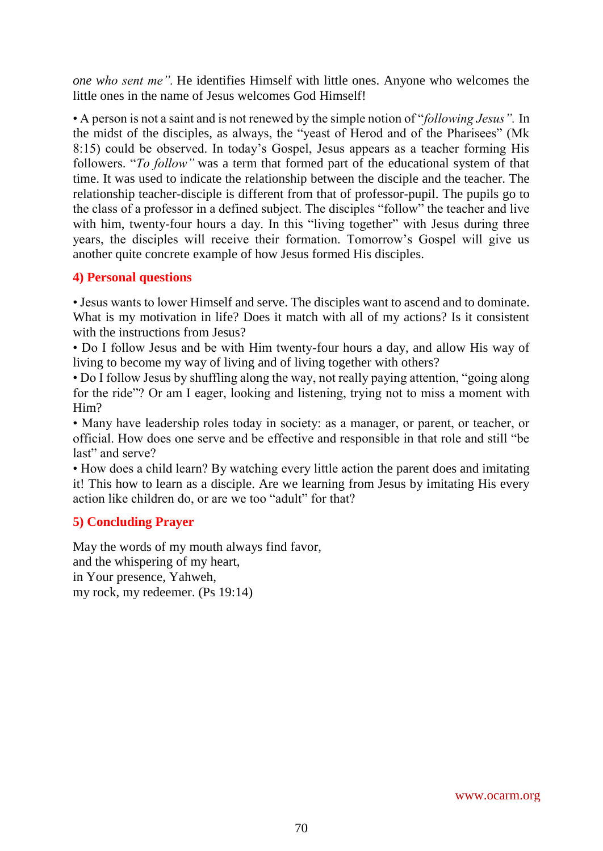*one who sent me".* He identifies Himself with little ones. Anyone who welcomes the little ones in the name of Jesus welcomes God Himself!

• A person is not a saint and is not renewed by the simple notion of "*following Jesus".* In the midst of the disciples, as always, the "yeast of Herod and of the Pharisees" (Mk 8:15) could be observed. In today's Gospel, Jesus appears as a teacher forming His followers. "*To follow"* was a term that formed part of the educational system of that time. It was used to indicate the relationship between the disciple and the teacher. The relationship teacher-disciple is different from that of professor-pupil. The pupils go to the class of a professor in a defined subject. The disciples "follow" the teacher and live with him, twenty-four hours a day. In this "living together" with Jesus during three years, the disciples will receive their formation. Tomorrow's Gospel will give us another quite concrete example of how Jesus formed His disciples.

### **4) Personal questions**

• Jesus wants to lower Himself and serve. The disciples want to ascend and to dominate. What is my motivation in life? Does it match with all of my actions? Is it consistent with the instructions from Jesus?

• Do I follow Jesus and be with Him twenty-four hours a day, and allow His way of living to become my way of living and of living together with others?

• Do I follow Jesus by shuffling along the way, not really paying attention, "going along for the ride"? Or am I eager, looking and listening, trying not to miss a moment with Him?

• Many have leadership roles today in society: as a manager, or parent, or teacher, or official. How does one serve and be effective and responsible in that role and still "be last" and serve?

• How does a child learn? By watching every little action the parent does and imitating it! This how to learn as a disciple. Are we learning from Jesus by imitating His every action like children do, or are we too "adult" for that?

### **5) Concluding Prayer**

May the words of my mouth always find favor, and the whispering of my heart, in Your presence, Yahweh, my rock, my redeemer. (Ps 19:14)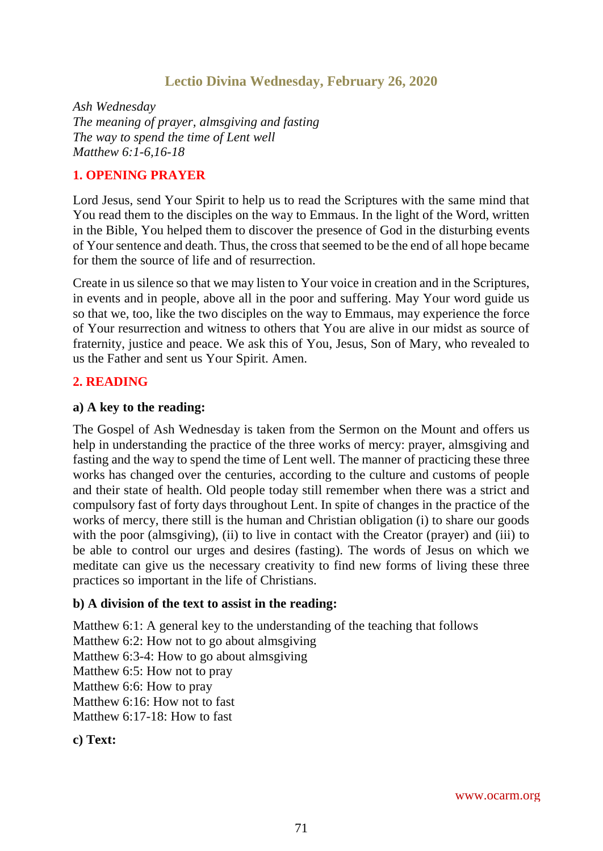# **Lectio Divina Wednesday, February 26, 2020**

*Ash Wednesday The meaning of prayer, almsgiving and fasting The way to spend the time of Lent well Matthew 6:1-6,16-18*

### **1. OPENING PRAYER**

Lord Jesus, send Your Spirit to help us to read the Scriptures with the same mind that You read them to the disciples on the way to Emmaus. In the light of the Word, written in the Bible, You helped them to discover the presence of God in the disturbing events of Your sentence and death. Thus, the cross that seemed to be the end of all hope became for them the source of life and of resurrection.

Create in us silence so that we may listen to Your voice in creation and in the Scriptures, in events and in people, above all in the poor and suffering. May Your word guide us so that we, too, like the two disciples on the way to Emmaus, may experience the force of Your resurrection and witness to others that You are alive in our midst as source of fraternity, justice and peace. We ask this of You, Jesus, Son of Mary, who revealed to us the Father and sent us Your Spirit. Amen.

#### **2. READING**

#### **a) A key to the reading:**

The Gospel of Ash Wednesday is taken from the Sermon on the Mount and offers us help in understanding the practice of the three works of mercy: prayer, almsgiving and fasting and the way to spend the time of Lent well. The manner of practicing these three works has changed over the centuries, according to the culture and customs of people and their state of health. Old people today still remember when there was a strict and compulsory fast of forty days throughout Lent. In spite of changes in the practice of the works of mercy, there still is the human and Christian obligation (i) to share our goods with the poor (almsgiving), (ii) to live in contact with the Creator (prayer) and (iii) to be able to control our urges and desires (fasting). The words of Jesus on which we meditate can give us the necessary creativity to find new forms of living these three practices so important in the life of Christians.

#### **b) A division of the text to assist in the reading:**

Matthew 6:1: A general key to the understanding of the teaching that follows Matthew 6:2: How not to go about almsgiving Matthew 6:3-4: How to go about almsgiving Matthew 6:5: How not to pray Matthew 6:6: How to pray Matthew 6:16: How not to fast Matthew 6:17-18: How to fast

**c) Text:**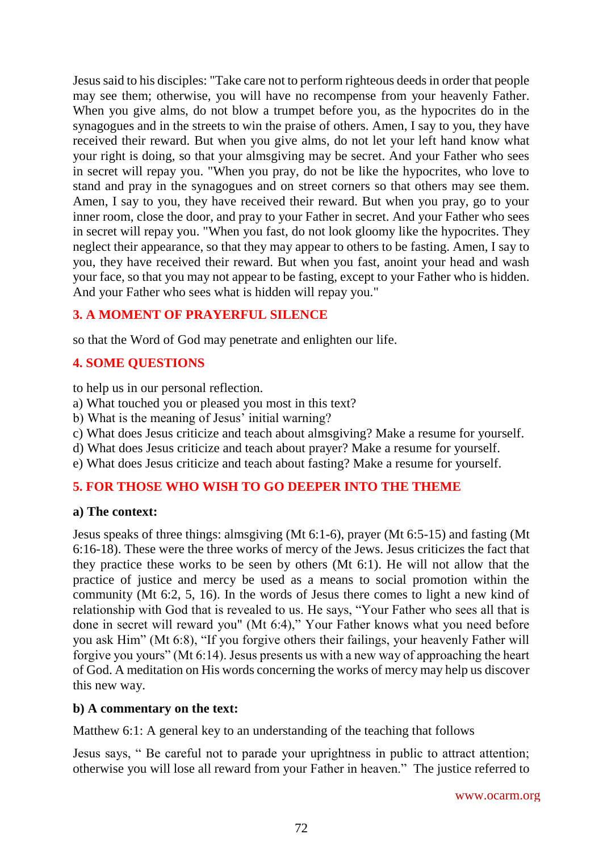Jesus said to his disciples: "Take care not to perform righteous deeds in order that people may see them; otherwise, you will have no recompense from your heavenly Father. When you give alms, do not blow a trumpet before you, as the hypocrites do in the synagogues and in the streets to win the praise of others. Amen, I say to you, they have received their reward. But when you give alms, do not let your left hand know what your right is doing, so that your almsgiving may be secret. And your Father who sees in secret will repay you. "When you pray, do not be like the hypocrites, who love to stand and pray in the synagogues and on street corners so that others may see them. Amen, I say to you, they have received their reward. But when you pray, go to your inner room, close the door, and pray to your Father in secret. And your Father who sees in secret will repay you. "When you fast, do not look gloomy like the hypocrites. They neglect their appearance, so that they may appear to others to be fasting. Amen, I say to you, they have received their reward. But when you fast, anoint your head and wash your face, so that you may not appear to be fasting, except to your Father who is hidden. And your Father who sees what is hidden will repay you."

# **3. A MOMENT OF PRAYERFUL SILENCE**

so that the Word of God may penetrate and enlighten our life.

## **4. SOME QUESTIONS**

to help us in our personal reflection.

- a) What touched you or pleased you most in this text?
- b) What is the meaning of Jesus' initial warning?
- c) What does Jesus criticize and teach about almsgiving? Make a resume for yourself.
- d) What does Jesus criticize and teach about prayer? Make a resume for yourself.

e) What does Jesus criticize and teach about fasting? Make a resume for yourself.

# **5. FOR THOSE WHO WISH TO GO DEEPER INTO THE THEME**

### **a) The context:**

Jesus speaks of three things: almsgiving (Mt 6:1-6), prayer (Mt 6:5-15) and fasting (Mt 6:16-18). These were the three works of mercy of the Jews. Jesus criticizes the fact that they practice these works to be seen by others (Mt 6:1). He will not allow that the practice of justice and mercy be used as a means to social promotion within the community (Mt 6:2, 5, 16). In the words of Jesus there comes to light a new kind of relationship with God that is revealed to us. He says, "Your Father who sees all that is done in secret will reward you" (Mt 6:4)," Your Father knows what you need before you ask Him" (Mt 6:8), "If you forgive others their failings, your heavenly Father will forgive you yours" (Mt 6:14). Jesus presents us with a new way of approaching the heart of God. A meditation on His words concerning the works of mercy may help us discover this new way.

### **b) A commentary on the text:**

Matthew 6:1: A general key to an understanding of the teaching that follows

Jesus says, " Be careful not to parade your uprightness in public to attract attention; otherwise you will lose all reward from your Father in heaven." The justice referred to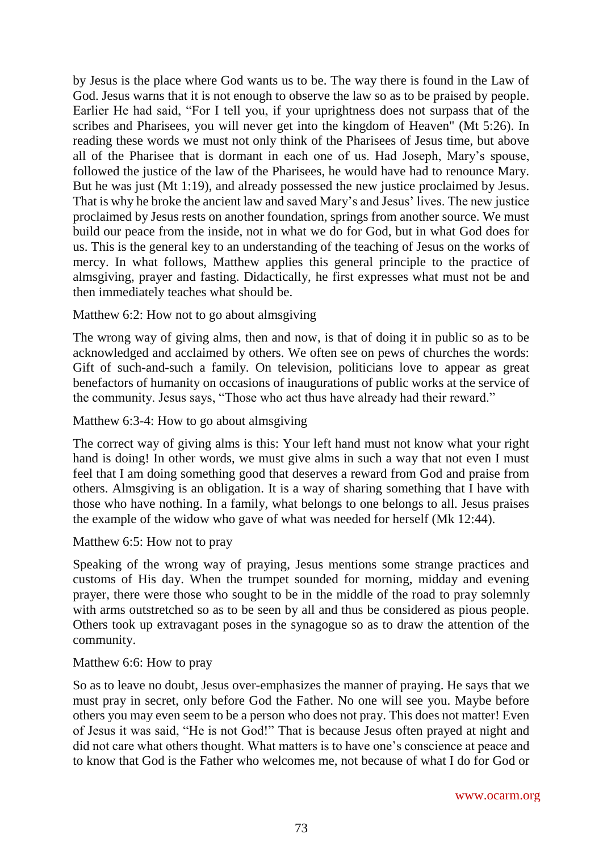by Jesus is the place where God wants us to be. The way there is found in the Law of God. Jesus warns that it is not enough to observe the law so as to be praised by people. Earlier He had said, "For I tell you, if your uprightness does not surpass that of the scribes and Pharisees, you will never get into the kingdom of Heaven" (Mt 5:26). In reading these words we must not only think of the Pharisees of Jesus time, but above all of the Pharisee that is dormant in each one of us. Had Joseph, Mary's spouse, followed the justice of the law of the Pharisees, he would have had to renounce Mary. But he was just (Mt 1:19), and already possessed the new justice proclaimed by Jesus. That is why he broke the ancient law and saved Mary's and Jesus' lives. The new justice proclaimed by Jesus rests on another foundation, springs from another source. We must build our peace from the inside, not in what we do for God, but in what God does for us. This is the general key to an understanding of the teaching of Jesus on the works of mercy. In what follows, Matthew applies this general principle to the practice of almsgiving, prayer and fasting. Didactically, he first expresses what must not be and then immediately teaches what should be.

## Matthew 6:2: How not to go about almsgiving

The wrong way of giving alms, then and now, is that of doing it in public so as to be acknowledged and acclaimed by others. We often see on pews of churches the words: Gift of such-and-such a family. On television, politicians love to appear as great benefactors of humanity on occasions of inaugurations of public works at the service of the community. Jesus says, "Those who act thus have already had their reward."

Matthew 6:3-4: How to go about almsgiving

The correct way of giving alms is this: Your left hand must not know what your right hand is doing! In other words, we must give alms in such a way that not even I must feel that I am doing something good that deserves a reward from God and praise from others. Almsgiving is an obligation. It is a way of sharing something that I have with those who have nothing. In a family, what belongs to one belongs to all. Jesus praises the example of the widow who gave of what was needed for herself (Mk 12:44).

#### Matthew 6:5: How not to pray

Speaking of the wrong way of praying, Jesus mentions some strange practices and customs of His day. When the trumpet sounded for morning, midday and evening prayer, there were those who sought to be in the middle of the road to pray solemnly with arms outstretched so as to be seen by all and thus be considered as pious people. Others took up extravagant poses in the synagogue so as to draw the attention of the community.

#### Matthew 6:6: How to pray

So as to leave no doubt, Jesus over-emphasizes the manner of praying. He says that we must pray in secret, only before God the Father. No one will see you. Maybe before others you may even seem to be a person who does not pray. This does not matter! Even of Jesus it was said, "He is not God!" That is because Jesus often prayed at night and did not care what others thought. What matters is to have one's conscience at peace and to know that God is the Father who welcomes me, not because of what I do for God or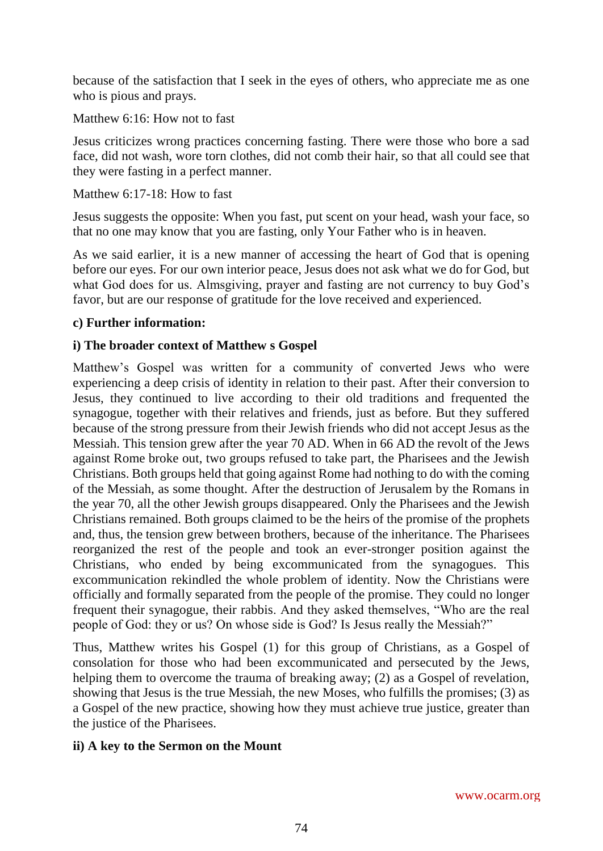because of the satisfaction that I seek in the eyes of others, who appreciate me as one who is pious and prays.

Matthew 6:16: How not to fast

Jesus criticizes wrong practices concerning fasting. There were those who bore a sad face, did not wash, wore torn clothes, did not comb their hair, so that all could see that they were fasting in a perfect manner.

Matthew 6:17-18: How to fast

Jesus suggests the opposite: When you fast, put scent on your head, wash your face, so that no one may know that you are fasting, only Your Father who is in heaven.

As we said earlier, it is a new manner of accessing the heart of God that is opening before our eyes. For our own interior peace, Jesus does not ask what we do for God, but what God does for us. Almsgiving, prayer and fasting are not currency to buy God's favor, but are our response of gratitude for the love received and experienced.

## **c) Further information:**

## **i) The broader context of Matthew s Gospel**

Matthew's Gospel was written for a community of converted Jews who were experiencing a deep crisis of identity in relation to their past. After their conversion to Jesus, they continued to live according to their old traditions and frequented the synagogue, together with their relatives and friends, just as before. But they suffered because of the strong pressure from their Jewish friends who did not accept Jesus as the Messiah. This tension grew after the year 70 AD. When in 66 AD the revolt of the Jews against Rome broke out, two groups refused to take part, the Pharisees and the Jewish Christians. Both groups held that going against Rome had nothing to do with the coming of the Messiah, as some thought. After the destruction of Jerusalem by the Romans in the year 70, all the other Jewish groups disappeared. Only the Pharisees and the Jewish Christians remained. Both groups claimed to be the heirs of the promise of the prophets and, thus, the tension grew between brothers, because of the inheritance. The Pharisees reorganized the rest of the people and took an ever-stronger position against the Christians, who ended by being excommunicated from the synagogues. This excommunication rekindled the whole problem of identity. Now the Christians were officially and formally separated from the people of the promise. They could no longer frequent their synagogue, their rabbis. And they asked themselves, "Who are the real people of God: they or us? On whose side is God? Is Jesus really the Messiah?"

Thus, Matthew writes his Gospel (1) for this group of Christians, as a Gospel of consolation for those who had been excommunicated and persecuted by the Jews, helping them to overcome the trauma of breaking away; (2) as a Gospel of revelation, showing that Jesus is the true Messiah, the new Moses, who fulfills the promises; (3) as a Gospel of the new practice, showing how they must achieve true justice, greater than the justice of the Pharisees.

#### **ii) A key to the Sermon on the Mount**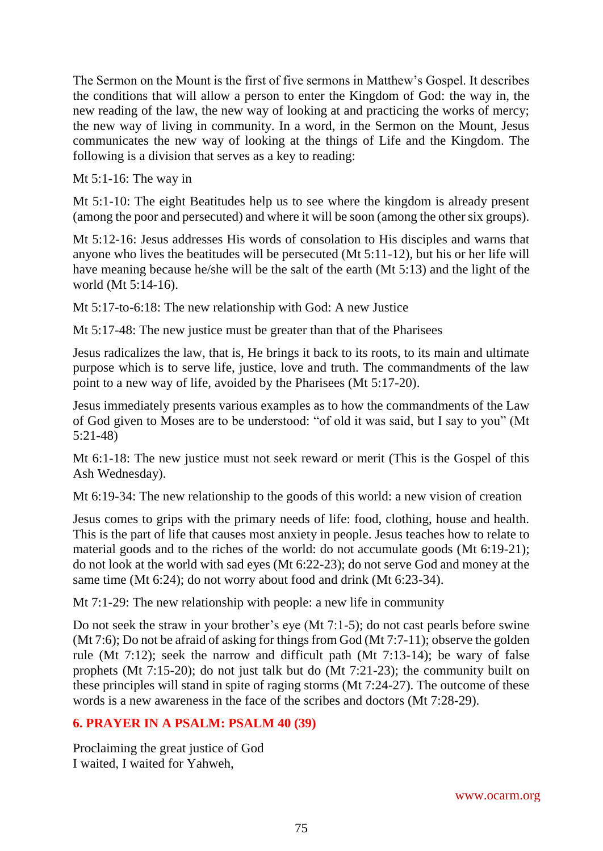The Sermon on the Mount is the first of five sermons in Matthew's Gospel. It describes the conditions that will allow a person to enter the Kingdom of God: the way in, the new reading of the law, the new way of looking at and practicing the works of mercy; the new way of living in community. In a word, in the Sermon on the Mount, Jesus communicates the new way of looking at the things of Life and the Kingdom. The following is a division that serves as a key to reading:

Mt 5:1-16: The way in

Mt 5:1-10: The eight Beatitudes help us to see where the kingdom is already present (among the poor and persecuted) and where it will be soon (among the other six groups).

Mt 5:12-16: Jesus addresses His words of consolation to His disciples and warns that anyone who lives the beatitudes will be persecuted (Mt 5:11-12), but his or her life will have meaning because he/she will be the salt of the earth (Mt 5:13) and the light of the world (Mt 5:14-16).

Mt 5:17-to-6:18: The new relationship with God: A new Justice

Mt 5:17-48: The new justice must be greater than that of the Pharisees

Jesus radicalizes the law, that is, He brings it back to its roots, to its main and ultimate purpose which is to serve life, justice, love and truth. The commandments of the law point to a new way of life, avoided by the Pharisees (Mt 5:17-20).

Jesus immediately presents various examples as to how the commandments of the Law of God given to Moses are to be understood: "of old it was said, but I say to you" (Mt 5:21-48)

Mt 6:1-18: The new justice must not seek reward or merit (This is the Gospel of this Ash Wednesday).

Mt 6:19-34: The new relationship to the goods of this world: a new vision of creation

Jesus comes to grips with the primary needs of life: food, clothing, house and health. This is the part of life that causes most anxiety in people. Jesus teaches how to relate to material goods and to the riches of the world: do not accumulate goods (Mt 6:19-21); do not look at the world with sad eyes (Mt 6:22-23); do not serve God and money at the same time (Mt 6:24); do not worry about food and drink (Mt 6:23-34).

Mt 7:1-29: The new relationship with people: a new life in community

Do not seek the straw in your brother's eye (Mt 7:1-5); do not cast pearls before swine (Mt 7:6); Do not be afraid of asking for things from God (Mt 7:7-11); observe the golden rule (Mt 7:12); seek the narrow and difficult path (Mt 7:13-14); be wary of false prophets (Mt 7:15-20); do not just talk but do (Mt 7:21-23); the community built on these principles will stand in spite of raging storms (Mt 7:24-27). The outcome of these words is a new awareness in the face of the scribes and doctors (Mt 7:28-29).

## **6. PRAYER IN A PSALM: PSALM 40 (39)**

Proclaiming the great justice of God I waited, I waited for Yahweh,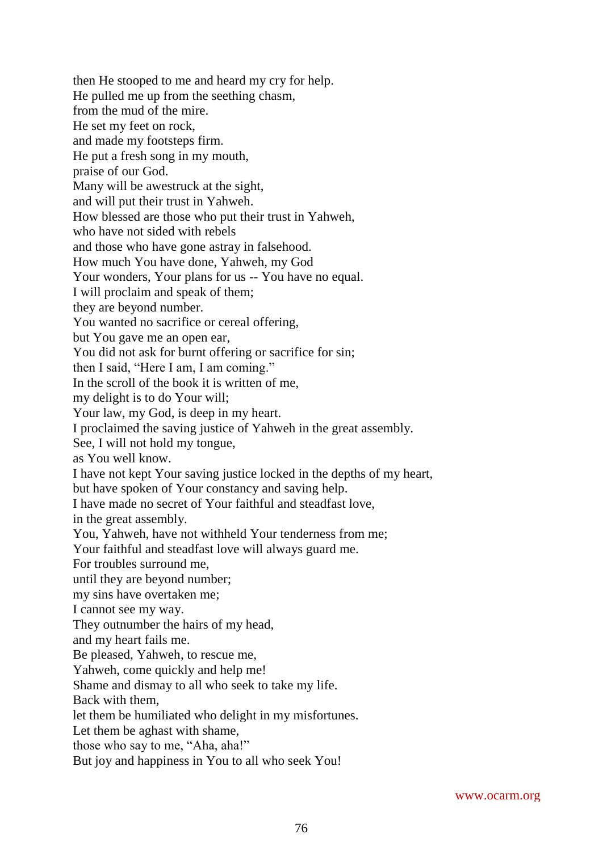then He stooped to me and heard my cry for help. He pulled me up from the seething chasm, from the mud of the mire. He set my feet on rock, and made my footsteps firm. He put a fresh song in my mouth, praise of our God. Many will be awestruck at the sight, and will put their trust in Yahweh. How blessed are those who put their trust in Yahweh, who have not sided with rebels and those who have gone astray in falsehood. How much You have done, Yahweh, my God Your wonders, Your plans for us -- You have no equal. I will proclaim and speak of them; they are beyond number. You wanted no sacrifice or cereal offering, but You gave me an open ear, You did not ask for burnt offering or sacrifice for sin; then I said, "Here I am, I am coming." In the scroll of the book it is written of me, my delight is to do Your will; Your law, my God, is deep in my heart. I proclaimed the saving justice of Yahweh in the great assembly. See, I will not hold my tongue, as You well know. I have not kept Your saving justice locked in the depths of my heart, but have spoken of Your constancy and saving help. I have made no secret of Your faithful and steadfast love, in the great assembly. You, Yahweh, have not withheld Your tenderness from me; Your faithful and steadfast love will always guard me. For troubles surround me, until they are beyond number; my sins have overtaken me; I cannot see my way. They outnumber the hairs of my head, and my heart fails me. Be pleased, Yahweh, to rescue me, Yahweh, come quickly and help me! Shame and dismay to all who seek to take my life. Back with them, let them be humiliated who delight in my misfortunes. Let them be aghast with shame, those who say to me, "Aha, aha!" But joy and happiness in You to all who seek You!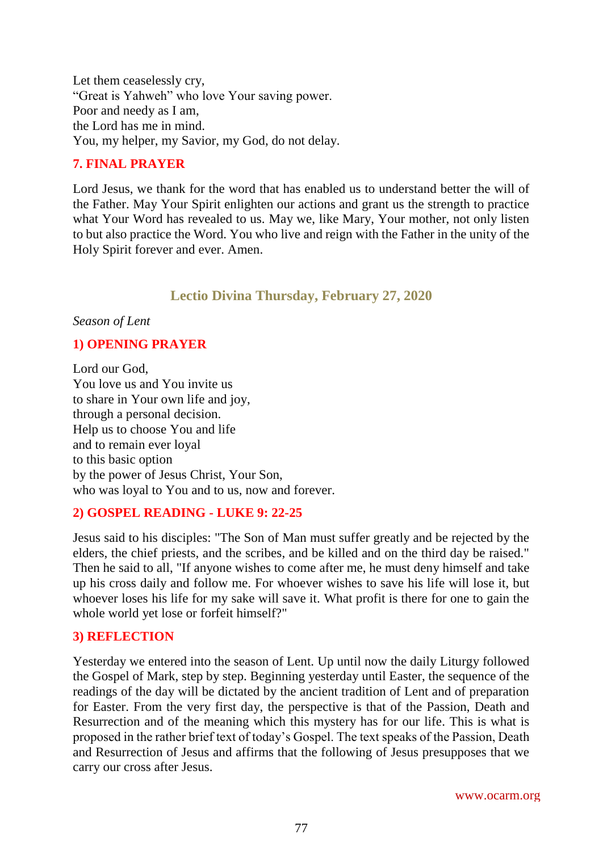Let them ceaselessly cry, "Great is Yahweh" who love Your saving power. Poor and needy as I am, the Lord has me in mind. You, my helper, my Savior, my God, do not delay.

## **7. FINAL PRAYER**

Lord Jesus, we thank for the word that has enabled us to understand better the will of the Father. May Your Spirit enlighten our actions and grant us the strength to practice what Your Word has revealed to us. May we, like Mary, Your mother, not only listen to but also practice the Word. You who live and reign with the Father in the unity of the Holy Spirit forever and ever. Amen.

# **Lectio Divina Thursday, February 27, 2020**

*Season of Lent*

## **1) OPENING PRAYER**

Lord our God, You love us and You invite us to share in Your own life and joy, through a personal decision. Help us to choose You and life and to remain ever loyal to this basic option by the power of Jesus Christ, Your Son, who was loyal to You and to us, now and forever.

## **2) GOSPEL READING - LUKE 9: 22-25**

Jesus said to his disciples: "The Son of Man must suffer greatly and be rejected by the elders, the chief priests, and the scribes, and be killed and on the third day be raised." Then he said to all, "If anyone wishes to come after me, he must deny himself and take up his cross daily and follow me. For whoever wishes to save his life will lose it, but whoever loses his life for my sake will save it. What profit is there for one to gain the whole world yet lose or forfeit himself?"

## **3) REFLECTION**

Yesterday we entered into the season of Lent. Up until now the daily Liturgy followed the Gospel of Mark, step by step. Beginning yesterday until Easter, the sequence of the readings of the day will be dictated by the ancient tradition of Lent and of preparation for Easter. From the very first day, the perspective is that of the Passion, Death and Resurrection and of the meaning which this mystery has for our life. This is what is proposed in the rather brief text of today's Gospel. The text speaks of the Passion, Death and Resurrection of Jesus and affirms that the following of Jesus presupposes that we carry our cross after Jesus.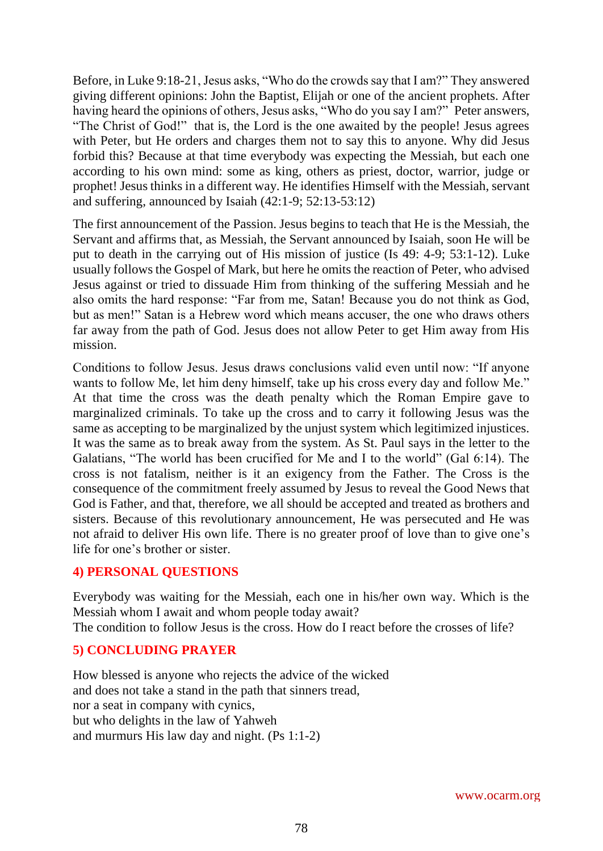Before, in Luke 9:18-21, Jesus asks, "Who do the crowds say that I am?" They answered giving different opinions: John the Baptist, Elijah or one of the ancient prophets. After having heard the opinions of others, Jesus asks, "Who do you say I am?" Peter answers, "The Christ of God!" that is, the Lord is the one awaited by the people! Jesus agrees with Peter, but He orders and charges them not to say this to anyone. Why did Jesus forbid this? Because at that time everybody was expecting the Messiah, but each one according to his own mind: some as king, others as priest, doctor, warrior, judge or prophet! Jesus thinks in a different way. He identifies Himself with the Messiah, servant and suffering, announced by Isaiah (42:1-9; 52:13-53:12)

The first announcement of the Passion. Jesus begins to teach that He is the Messiah, the Servant and affirms that, as Messiah, the Servant announced by Isaiah, soon He will be put to death in the carrying out of His mission of justice (Is 49: 4-9; 53:1-12). Luke usually follows the Gospel of Mark, but here he omits the reaction of Peter, who advised Jesus against or tried to dissuade Him from thinking of the suffering Messiah and he also omits the hard response: "Far from me, Satan! Because you do not think as God, but as men!" Satan is a Hebrew word which means accuser, the one who draws others far away from the path of God. Jesus does not allow Peter to get Him away from His mission.

Conditions to follow Jesus. Jesus draws conclusions valid even until now: "If anyone wants to follow Me, let him deny himself, take up his cross every day and follow Me." At that time the cross was the death penalty which the Roman Empire gave to marginalized criminals. To take up the cross and to carry it following Jesus was the same as accepting to be marginalized by the unjust system which legitimized injustices. It was the same as to break away from the system. As St. Paul says in the letter to the Galatians, "The world has been crucified for Me and I to the world" (Gal 6:14). The cross is not fatalism, neither is it an exigency from the Father. The Cross is the consequence of the commitment freely assumed by Jesus to reveal the Good News that God is Father, and that, therefore, we all should be accepted and treated as brothers and sisters. Because of this revolutionary announcement, He was persecuted and He was not afraid to deliver His own life. There is no greater proof of love than to give one's life for one's brother or sister.

## **4) PERSONAL QUESTIONS**

Everybody was waiting for the Messiah, each one in his/her own way. Which is the Messiah whom I await and whom people today await? The condition to follow Jesus is the cross. How do I react before the crosses of life?

## **5) CONCLUDING PRAYER**

How blessed is anyone who rejects the advice of the wicked and does not take a stand in the path that sinners tread, nor a seat in company with cynics, but who delights in the law of Yahweh and murmurs His law day and night. (Ps 1:1-2)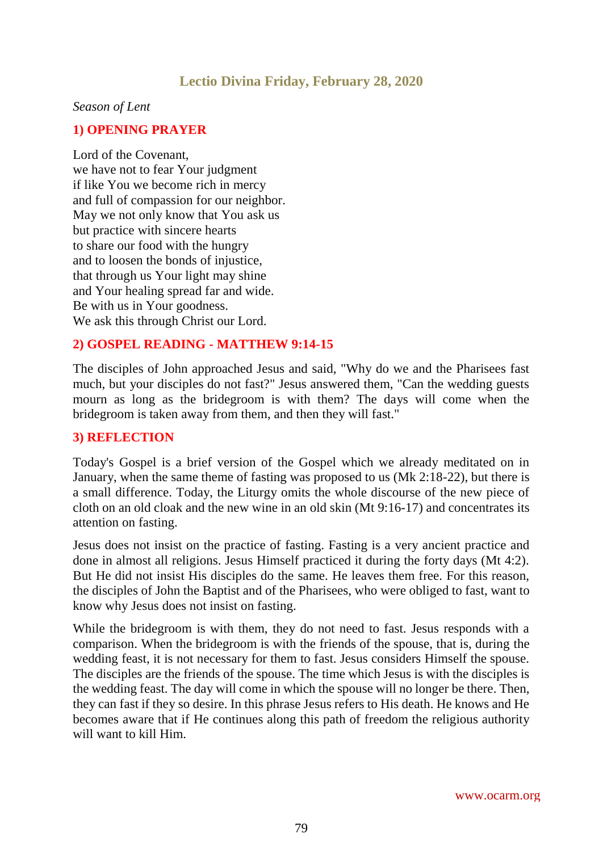## **Lectio Divina Friday, February 28, 2020**

*Season of Lent*

#### **1) OPENING PRAYER**

Lord of the Covenant, we have not to fear Your judgment if like You we become rich in mercy and full of compassion for our neighbor. May we not only know that You ask us but practice with sincere hearts to share our food with the hungry and to loosen the bonds of injustice, that through us Your light may shine and Your healing spread far and wide. Be with us in Your goodness. We ask this through Christ our Lord.

## **2) GOSPEL READING - MATTHEW 9:14-15**

The disciples of John approached Jesus and said, "Why do we and the Pharisees fast much, but your disciples do not fast?" Jesus answered them, "Can the wedding guests mourn as long as the bridegroom is with them? The days will come when the bridegroom is taken away from them, and then they will fast."

#### **3) REFLECTION**

Today's Gospel is a brief version of the Gospel which we already meditated on in January, when the same theme of fasting was proposed to us (Mk 2:18-22), but there is a small difference. Today, the Liturgy omits the whole discourse of the new piece of cloth on an old cloak and the new wine in an old skin (Mt 9:16-17) and concentrates its attention on fasting.

Jesus does not insist on the practice of fasting. Fasting is a very ancient practice and done in almost all religions. Jesus Himself practiced it during the forty days (Mt 4:2). But He did not insist His disciples do the same. He leaves them free. For this reason, the disciples of John the Baptist and of the Pharisees, who were obliged to fast, want to know why Jesus does not insist on fasting.

While the bridegroom is with them, they do not need to fast. Jesus responds with a comparison. When the bridegroom is with the friends of the spouse, that is, during the wedding feast, it is not necessary for them to fast. Jesus considers Himself the spouse. The disciples are the friends of the spouse. The time which Jesus is with the disciples is the wedding feast. The day will come in which the spouse will no longer be there. Then, they can fast if they so desire. In this phrase Jesus refers to His death. He knows and He becomes aware that if He continues along this path of freedom the religious authority will want to kill Him.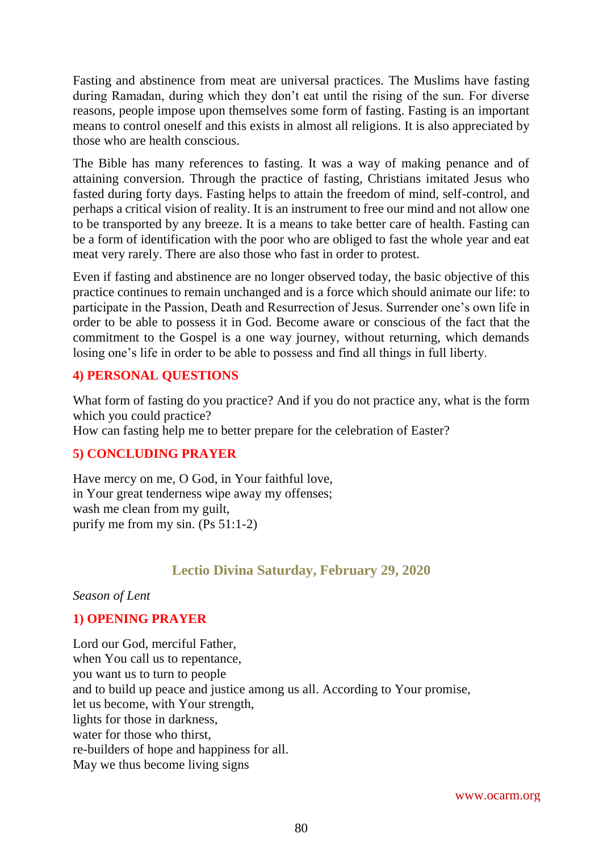Fasting and abstinence from meat are universal practices. The Muslims have fasting during Ramadan, during which they don't eat until the rising of the sun. For diverse reasons, people impose upon themselves some form of fasting. Fasting is an important means to control oneself and this exists in almost all religions. It is also appreciated by those who are health conscious.

The Bible has many references to fasting. It was a way of making penance and of attaining conversion. Through the practice of fasting, Christians imitated Jesus who fasted during forty days. Fasting helps to attain the freedom of mind, self-control, and perhaps a critical vision of reality. It is an instrument to free our mind and not allow one to be transported by any breeze. It is a means to take better care of health. Fasting can be a form of identification with the poor who are obliged to fast the whole year and eat meat very rarely. There are also those who fast in order to protest.

Even if fasting and abstinence are no longer observed today, the basic objective of this practice continues to remain unchanged and is a force which should animate our life: to participate in the Passion, Death and Resurrection of Jesus. Surrender one's own life in order to be able to possess it in God. Become aware or conscious of the fact that the commitment to the Gospel is a one way journey, without returning, which demands losing one's life in order to be able to possess and find all things in full liberty.

# **4) PERSONAL QUESTIONS**

What form of fasting do you practice? And if you do not practice any, what is the form which you could practice?

How can fasting help me to better prepare for the celebration of Easter?

# **5) CONCLUDING PRAYER**

Have mercy on me, O God, in Your faithful love, in Your great tenderness wipe away my offenses; wash me clean from my guilt, purify me from my sin. (Ps 51:1-2)

# **Lectio Divina Saturday, February 29, 2020**

#### *Season of Lent*

## **1) OPENING PRAYER**

Lord our God, merciful Father, when You call us to repentance, you want us to turn to people and to build up peace and justice among us all. According to Your promise, let us become, with Your strength, lights for those in darkness, water for those who thirst, re-builders of hope and happiness for all. May we thus become living signs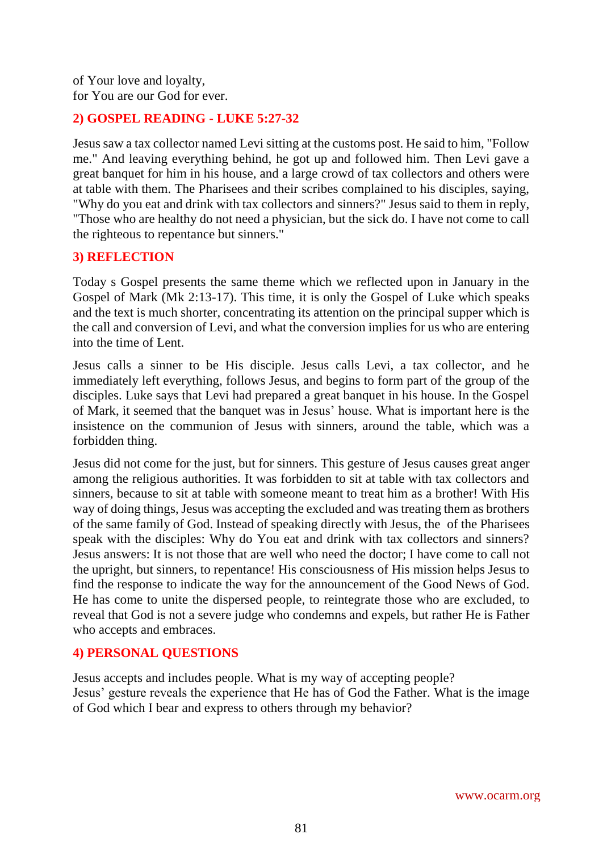of Your love and loyalty, for You are our God for ever.

## **2) GOSPEL READING - LUKE 5:27-32**

Jesus saw a tax collector named Levi sitting at the customs post. He said to him, "Follow me." And leaving everything behind, he got up and followed him. Then Levi gave a great banquet for him in his house, and a large crowd of tax collectors and others were at table with them. The Pharisees and their scribes complained to his disciples, saying, "Why do you eat and drink with tax collectors and sinners?" Jesus said to them in reply, "Those who are healthy do not need a physician, but the sick do. I have not come to call the righteous to repentance but sinners."

#### **3) REFLECTION**

Today s Gospel presents the same theme which we reflected upon in January in the Gospel of Mark (Mk 2:13-17). This time, it is only the Gospel of Luke which speaks and the text is much shorter, concentrating its attention on the principal supper which is the call and conversion of Levi, and what the conversion implies for us who are entering into the time of Lent.

Jesus calls a sinner to be His disciple. Jesus calls Levi, a tax collector, and he immediately left everything, follows Jesus, and begins to form part of the group of the disciples. Luke says that Levi had prepared a great banquet in his house. In the Gospel of Mark, it seemed that the banquet was in Jesus' house. What is important here is the insistence on the communion of Jesus with sinners, around the table, which was a forbidden thing.

Jesus did not come for the just, but for sinners. This gesture of Jesus causes great anger among the religious authorities. It was forbidden to sit at table with tax collectors and sinners, because to sit at table with someone meant to treat him as a brother! With His way of doing things, Jesus was accepting the excluded and was treating them as brothers of the same family of God. Instead of speaking directly with Jesus, the of the Pharisees speak with the disciples: Why do You eat and drink with tax collectors and sinners? Jesus answers: It is not those that are well who need the doctor; I have come to call not the upright, but sinners, to repentance! His consciousness of His mission helps Jesus to find the response to indicate the way for the announcement of the Good News of God. He has come to unite the dispersed people, to reintegrate those who are excluded, to reveal that God is not a severe judge who condemns and expels, but rather He is Father who accepts and embraces.

## **4) PERSONAL QUESTIONS**

Jesus accepts and includes people. What is my way of accepting people? Jesus' gesture reveals the experience that He has of God the Father. What is the image of God which I bear and express to others through my behavior?